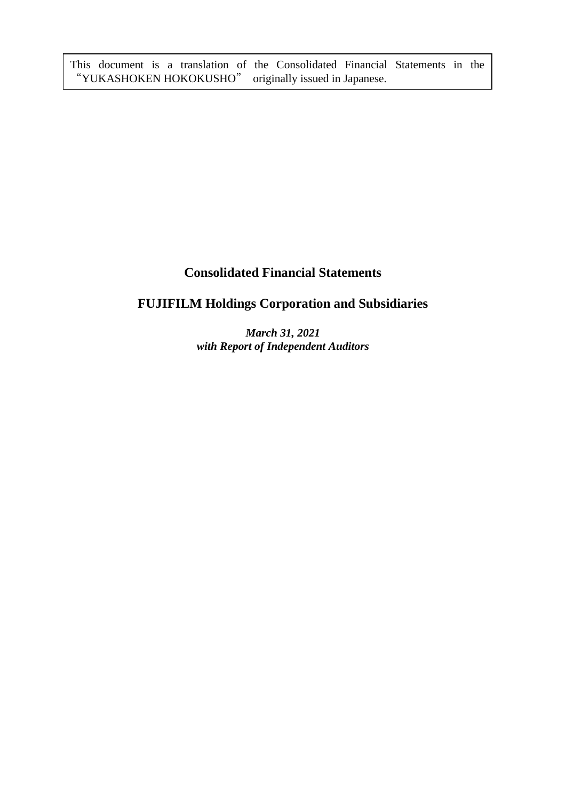This document is a translation of the Consolidated Financial Statements in the "YUKASHOKEN HOKOKUSHO" originally issued in Japanese.

# **Consolidated Financial Statements**

# **FUJIFILM Holdings Corporation and Subsidiaries**

*March 31, 2021 with Report of Independent Auditors*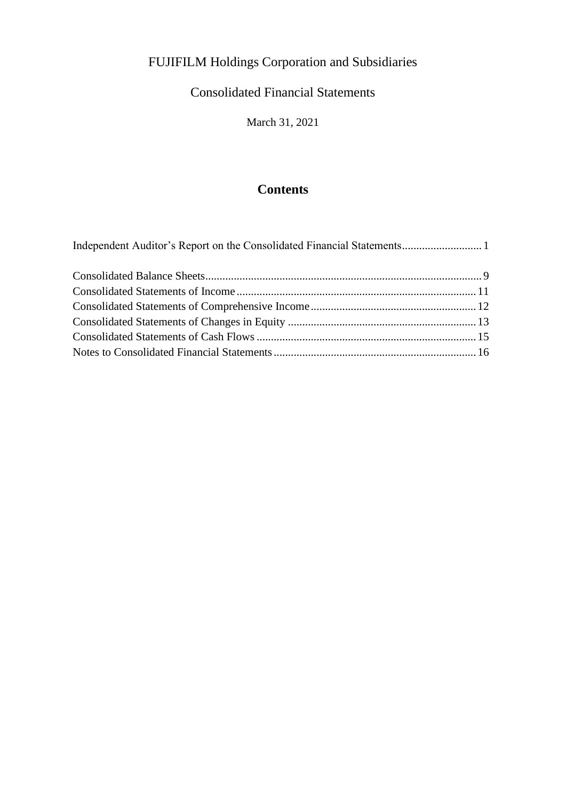# Consolidated Financial Statements

March 31, 2021

# **Contents**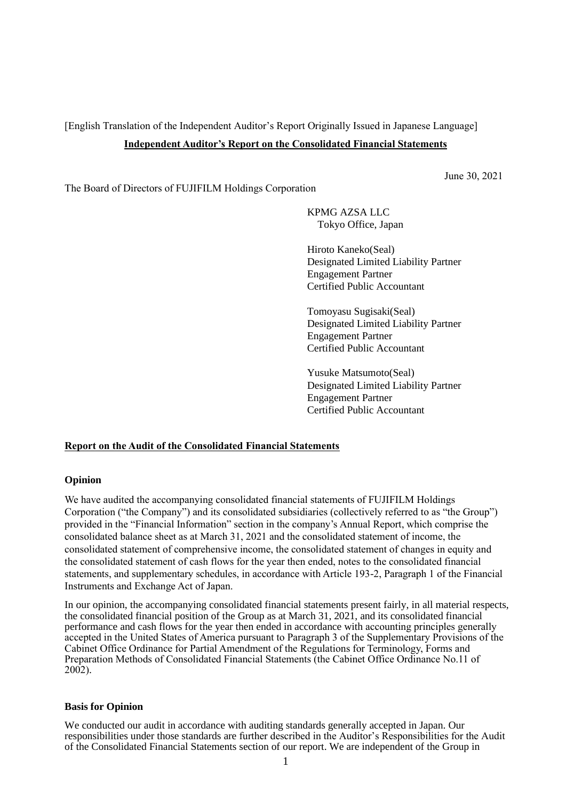## [English Translation of the Independent Auditor's Report Originally Issued in Japanese Language] **Independent Auditor's Report on the Consolidated Financial Statements**

June 30, 2021

The Board of Directors of FUJIFILM Holdings Corporation

KPMG AZSA LLC Tokyo Office, Japan

Hiroto Kaneko(Seal) Designated Limited Liability Partner Engagement Partner Certified Public Accountant

Tomoyasu Sugisaki(Seal) Designated Limited Liability Partner Engagement Partner Certified Public Accountant

Yusuke Matsumoto(Seal) Designated Limited Liability Partner Engagement Partner Certified Public Accountant

#### **Report on the Audit of the Consolidated Financial Statements**

#### **Opinion**

We have audited the accompanying consolidated financial statements of FUJIFILM Holdings Corporation ("the Company") and its consolidated subsidiaries (collectively referred to as "the Group") provided in the "Financial Information" section in the company's Annual Report, which comprise the consolidated balance sheet as at March 31, 2021 and the consolidated statement of income, the consolidated statement of comprehensive income, the consolidated statement of changes in equity and the consolidated statement of cash flows for the year then ended, notes to the consolidated financial statements, and supplementary schedules, in accordance with Article 193-2, Paragraph 1 of the Financial Instruments and Exchange Act of Japan.

In our opinion, the accompanying consolidated financial statements present fairly, in all material respects, the consolidated financial position of the Group as at March 31, 2021, and its consolidated financial performance and cash flows for the year then ended in accordance with accounting principles generally accepted in the United States of America pursuant to Paragraph 3 of the Supplementary Provisions of the Cabinet Office Ordinance for Partial Amendment of the Regulations for Terminology, Forms and Preparation Methods of Consolidated Financial Statements (the Cabinet Office Ordinance No.11 of 2002).

#### **Basis for Opinion**

We conducted our audit in accordance with auditing standards generally accepted in Japan. Our responsibilities under those standards are further described in the Auditor's Responsibilities for the Audit of the Consolidated Financial Statements section of our report. We are independent of the Group in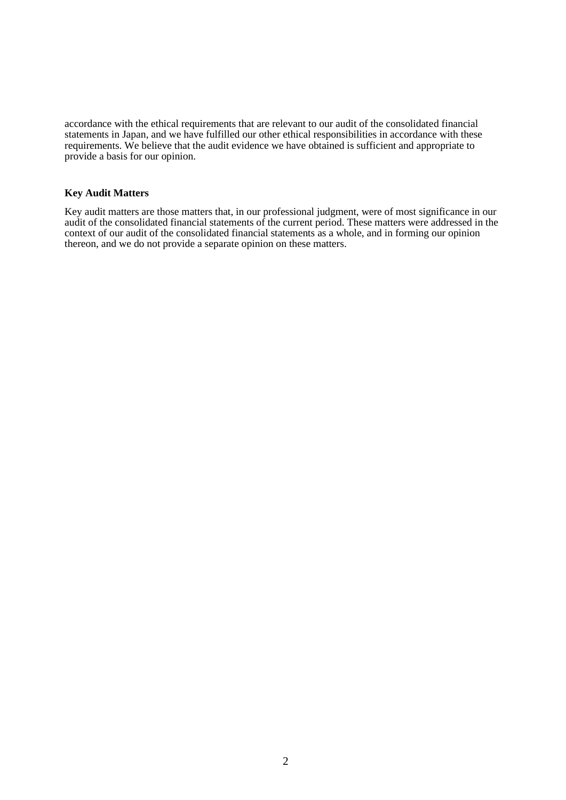accordance with the ethical requirements that are relevant to our audit of the consolidated financial statements in Japan, and we have fulfilled our other ethical responsibilities in accordance with these requirements. We believe that the audit evidence we have obtained is sufficient and appropriate to provide a basis for our opinion.

#### **Key Audit Matters**

Key audit matters are those matters that, in our professional judgment, were of most significance in our audit of the consolidated financial statements of the current period. These matters were addressed in the context of our audit of the consolidated financial statements as a whole, and in forming our opinion thereon, and we do not provide a separate opinion on these matters.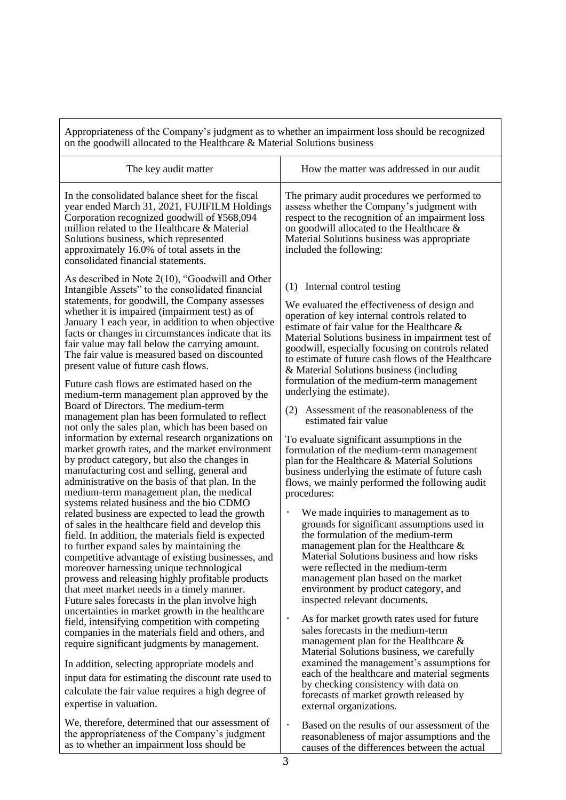| Appropriateness of the Company's judgment as to whether an impairment loss should be recognized<br>on the goodwill allocated to the Healthcare & Material Solutions business                                                                                                                                                                                                                                                                                                                                                                                                                                                                                                                                                                                                                                                                                                                                                                                                                                                                                    |                                                                                                                                                                                                                                                                                                                                                                                                                                                                                                                                                                                                                                                                                                                                                                                                          |  |  |  |  |
|-----------------------------------------------------------------------------------------------------------------------------------------------------------------------------------------------------------------------------------------------------------------------------------------------------------------------------------------------------------------------------------------------------------------------------------------------------------------------------------------------------------------------------------------------------------------------------------------------------------------------------------------------------------------------------------------------------------------------------------------------------------------------------------------------------------------------------------------------------------------------------------------------------------------------------------------------------------------------------------------------------------------------------------------------------------------|----------------------------------------------------------------------------------------------------------------------------------------------------------------------------------------------------------------------------------------------------------------------------------------------------------------------------------------------------------------------------------------------------------------------------------------------------------------------------------------------------------------------------------------------------------------------------------------------------------------------------------------------------------------------------------------------------------------------------------------------------------------------------------------------------------|--|--|--|--|
| The key audit matter                                                                                                                                                                                                                                                                                                                                                                                                                                                                                                                                                                                                                                                                                                                                                                                                                                                                                                                                                                                                                                            | How the matter was addressed in our audit                                                                                                                                                                                                                                                                                                                                                                                                                                                                                                                                                                                                                                                                                                                                                                |  |  |  |  |
| In the consolidated balance sheet for the fiscal<br>year ended March 31, 2021, FUJIFILM Holdings<br>Corporation recognized goodwill of ¥568,094<br>million related to the Healthcare & Material<br>Solutions business, which represented<br>approximately 16.0% of total assets in the<br>consolidated financial statements.                                                                                                                                                                                                                                                                                                                                                                                                                                                                                                                                                                                                                                                                                                                                    | The primary audit procedures we performed to<br>assess whether the Company's judgment with<br>respect to the recognition of an impairment loss<br>on goodwill allocated to the Healthcare &<br>Material Solutions business was appropriate<br>included the following:                                                                                                                                                                                                                                                                                                                                                                                                                                                                                                                                    |  |  |  |  |
| As described in Note 2(10), "Goodwill and Other<br>Intangible Assets" to the consolidated financial<br>statements, for goodwill, the Company assesses<br>whether it is impaired (impairment test) as of<br>January 1 each year, in addition to when objective<br>facts or changes in circumstances indicate that its<br>fair value may fall below the carrying amount.<br>The fair value is measured based on discounted<br>present value of future cash flows.<br>Future cash flows are estimated based on the<br>medium-term management plan approved by the<br>Board of Directors. The medium-term<br>management plan has been formulated to reflect<br>not only the sales plan, which has been based on<br>information by external research organizations on<br>market growth rates, and the market environment<br>by product category, but also the changes in<br>manufacturing cost and selling, general and<br>administrative on the basis of that plan. In the<br>medium-term management plan, the medical<br>systems related business and the bio CDMO | (1) Internal control testing<br>We evaluated the effectiveness of design and<br>operation of key internal controls related to<br>estimate of fair value for the Healthcare &<br>Material Solutions business in impairment test of<br>goodwill, especially focusing on controls related<br>to estimate of future cash flows of the Healthcare<br>& Material Solutions business (including<br>formulation of the medium-term management<br>underlying the estimate).<br>(2) Assessment of the reasonableness of the<br>estimated fair value<br>To evaluate significant assumptions in the<br>formulation of the medium-term management<br>plan for the Healthcare & Material Solutions<br>business underlying the estimate of future cash<br>flows, we mainly performed the following audit<br>procedures: |  |  |  |  |
| related business are expected to lead the growth<br>of sales in the healthcare field and develop this<br>field. In addition, the materials field is expected<br>to further expand sales by maintaining the<br>competitive advantage of existing businesses, and<br>moreover harnessing unique technological<br>prowess and releasing highly profitable products<br>that meet market needs in a timely manner.<br>Future sales forecasts in the plan involve high<br>uncertainties in market growth in the healthcare<br>field, intensifying competition with competing<br>companies in the materials field and others, and<br>require significant judgments by management.<br>In addition, selecting appropriate models and<br>input data for estimating the discount rate used to<br>calculate the fair value requires a high degree of<br>expertise in valuation.                                                                                                                                                                                             | We made inquiries to management as to<br>grounds for significant assumptions used in<br>the formulation of the medium-term<br>management plan for the Healthcare &<br>Material Solutions business and how risks<br>were reflected in the medium-term<br>management plan based on the market<br>environment by product category, and<br>inspected relevant documents.<br>As for market growth rates used for future<br>sales forecasts in the medium-term<br>management plan for the Healthcare $\&$<br>Material Solutions business, we carefully<br>examined the management's assumptions for<br>each of the healthcare and material segments<br>by checking consistency with data on<br>forecasts of market growth released by<br>external organizations.                                               |  |  |  |  |

We, therefore, determined that our assessment of the appropriateness of the Company's judgment as to whether an impairment loss should be

• Based on the results of our assessment of the reasonableness of major assumptions and the causes of the differences between the actual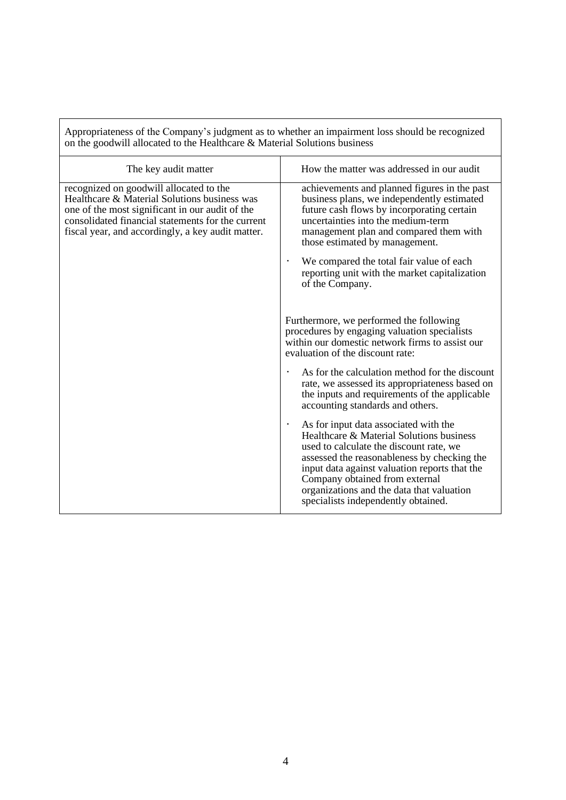| Appropriateness of the Company's judgment as to whether an impairment loss should be recognized<br>on the goodwill allocated to the Healthcare & Material Solutions business                                                                         |                                                                                                                                                                                                                                                                                                                                                    |
|------------------------------------------------------------------------------------------------------------------------------------------------------------------------------------------------------------------------------------------------------|----------------------------------------------------------------------------------------------------------------------------------------------------------------------------------------------------------------------------------------------------------------------------------------------------------------------------------------------------|
| The key audit matter                                                                                                                                                                                                                                 | How the matter was addressed in our audit                                                                                                                                                                                                                                                                                                          |
| recognized on goodwill allocated to the<br>Healthcare & Material Solutions business was<br>one of the most significant in our audit of the<br>consolidated financial statements for the current<br>fiscal year, and accordingly, a key audit matter. | achievements and planned figures in the past<br>business plans, we independently estimated<br>future cash flows by incorporating certain<br>uncertainties into the medium-term<br>management plan and compared them with<br>those estimated by management.                                                                                         |
|                                                                                                                                                                                                                                                      | We compared the total fair value of each<br>reporting unit with the market capitalization<br>of the Company.                                                                                                                                                                                                                                       |
|                                                                                                                                                                                                                                                      | Furthermore, we performed the following<br>procedures by engaging valuation specialists<br>within our domestic network firms to assist our<br>evaluation of the discount rate:                                                                                                                                                                     |
|                                                                                                                                                                                                                                                      | As for the calculation method for the discount<br>rate, we assessed its appropriateness based on<br>the inputs and requirements of the applicable<br>accounting standards and others.                                                                                                                                                              |
|                                                                                                                                                                                                                                                      | As for input data associated with the<br>Healthcare & Material Solutions business<br>used to calculate the discount rate, we<br>assessed the reasonableness by checking the<br>input data against valuation reports that the<br>Company obtained from external<br>organizations and the data that valuation<br>specialists independently obtained. |

 $\overline{1}$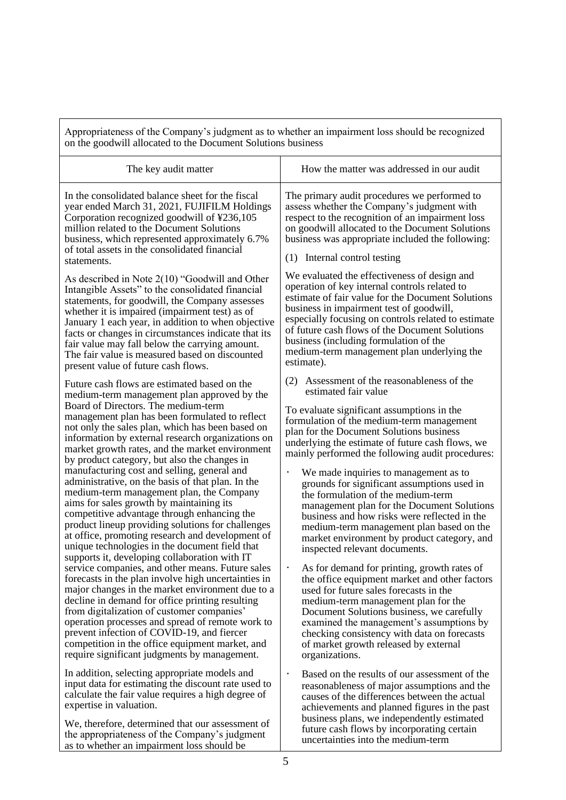Appropriateness of the Company's judgment as to whether an impairment loss should be recognized on the goodwill allocated to the Document Solutions business The key audit matter **How the matter was addressed in our audit** In the consolidated balance sheet for the fiscal year ended March 31, 2021, FUJIFILM Holdings Corporation recognized goodwill of ¥236,105 million related to the Document Solutions business, which represented approximately 6.7% of total assets in the consolidated financial statements. As described in Note 2(10) "Goodwill and Other Intangible Assets" to the consolidated financial statements, for goodwill, the Company assesses whether it is impaired (impairment test) as of January 1 each year, in addition to when objective facts or changes in circumstances indicate that its fair value may fall below the carrying amount. The fair value is measured based on discounted present value of future cash flows. Future cash flows are estimated based on the medium-term management plan approved by the Board of Directors. The medium-term management plan has been formulated to reflect not only the sales plan, which has been based on information by external research organizations on market growth rates, and the market environment by product category, but also the changes in manufacturing cost and selling, general and administrative, on the basis of that plan. In the medium-term management plan, the Company aims for sales growth by maintaining its competitive advantage through enhancing the product lineup providing solutions for challenges at office, promoting research and development of unique technologies in the document field that supports it, developing collaboration with IT service companies, and other means. Future sales forecasts in the plan involve high uncertainties in major changes in the market environment due to a decline in demand for office printing resulting from digitalization of customer companies' operation processes and spread of remote work to prevent infection of COVID-19, and fiercer competition in the office equipment market, and require significant judgments by management. In addition, selecting appropriate models and input data for estimating the discount rate used to calculate the fair value requires a high degree of The primary audit procedures we performed to assess whether the Company's judgment with respect to the recognition of an impairment loss on goodwill allocated to the Document Solutions business was appropriate included the following: (1) Internal control testing We evaluated the effectiveness of design and operation of key internal controls related to estimate of fair value for the Document Solutions business in impairment test of goodwill, especially focusing on controls related to estimate of future cash flows of the Document Solutions business (including formulation of the medium-term management plan underlying the estimate). (2) Assessment of the reasonableness of the estimated fair value To evaluate significant assumptions in the formulation of the medium-term management plan for the Document Solutions business underlying the estimate of future cash flows, we mainly performed the following audit procedures: We made inquiries to management as to grounds for significant assumptions used in the formulation of the medium-term management plan for the Document Solutions business and how risks were reflected in the medium-term management plan based on the market environment by product category, and inspected relevant documents. As for demand for printing, growth rates of the office equipment market and other factors used for future sales forecasts in the medium-term management plan for the Document Solutions business, we carefully examined the management's assumptions by checking consistency with data on forecasts of market growth released by external organizations. • Based on the results of our assessment of the reasonableness of major assumptions and the causes of the differences between the actual

We, therefore, determined that our assessment of the appropriateness of the Company's judgment as to whether an impairment loss should be

expertise in valuation.

achievements and planned figures in the past business plans, we independently estimated future cash flows by incorporating certain uncertainties into the medium-term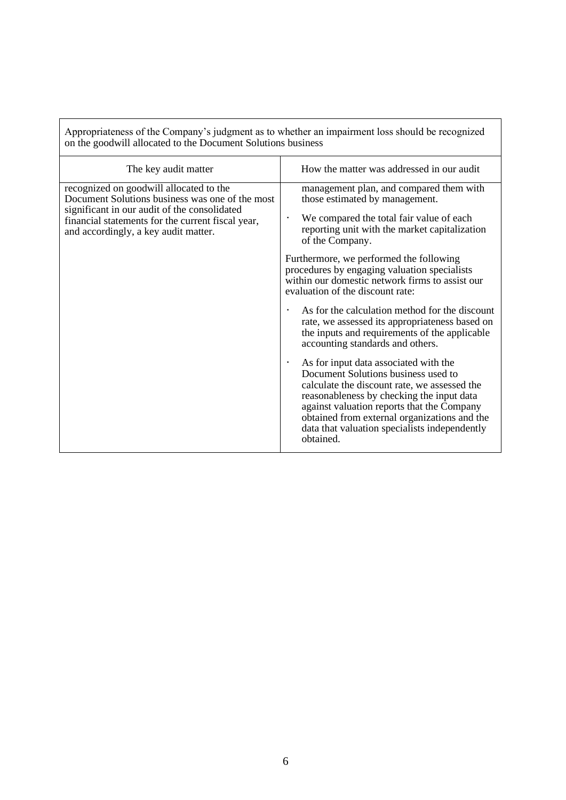| Appropriateness of the Company's judgment as to whether an impairment loss should be recognized<br>on the goodwill allocated to the Document Solutions business |                                                                                                                                                                                                                                                                                                                                            |  |  |  |  |  |
|-----------------------------------------------------------------------------------------------------------------------------------------------------------------|--------------------------------------------------------------------------------------------------------------------------------------------------------------------------------------------------------------------------------------------------------------------------------------------------------------------------------------------|--|--|--|--|--|
| The key audit matter                                                                                                                                            | How the matter was addressed in our audit                                                                                                                                                                                                                                                                                                  |  |  |  |  |  |
| recognized on goodwill allocated to the<br>Document Solutions business was one of the most<br>significant in our audit of the consolidated                      | management plan, and compared them with<br>those estimated by management.                                                                                                                                                                                                                                                                  |  |  |  |  |  |
| financial statements for the current fiscal year,<br>and accordingly, a key audit matter.                                                                       | We compared the total fair value of each<br>$\blacksquare$<br>reporting unit with the market capitalization<br>of the Company.                                                                                                                                                                                                             |  |  |  |  |  |
|                                                                                                                                                                 | Furthermore, we performed the following<br>procedures by engaging valuation specialists<br>within our domestic network firms to assist our<br>evaluation of the discount rate:                                                                                                                                                             |  |  |  |  |  |
|                                                                                                                                                                 | As for the calculation method for the discount<br>rate, we assessed its appropriateness based on<br>the inputs and requirements of the applicable<br>accounting standards and others.                                                                                                                                                      |  |  |  |  |  |
|                                                                                                                                                                 | As for input data associated with the<br>٠<br>Document Solutions business used to<br>calculate the discount rate, we assessed the<br>reasonableness by checking the input data<br>against valuation reports that the Company<br>obtained from external organizations and the<br>data that valuation specialists independently<br>obtained. |  |  |  |  |  |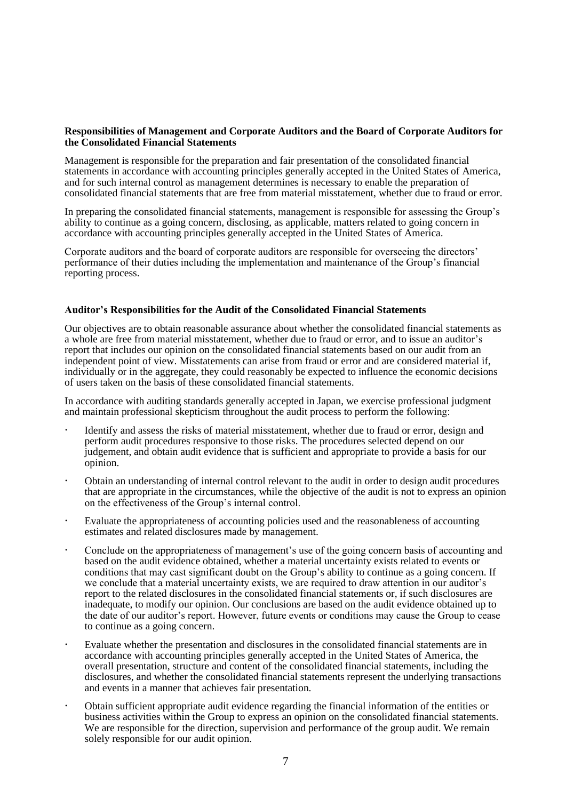#### **Responsibilities of Management and Corporate Auditors and the Board of Corporate Auditors for the Consolidated Financial Statements**

Management is responsible for the preparation and fair presentation of the consolidated financial statements in accordance with accounting principles generally accepted in the United States of America, and for such internal control as management determines is necessary to enable the preparation of consolidated financial statements that are free from material misstatement, whether due to fraud or error.

In preparing the consolidated financial statements, management is responsible for assessing the Group's ability to continue as a going concern, disclosing, as applicable, matters related to going concern in accordance with accounting principles generally accepted in the United States of America.

Corporate auditors and the board of corporate auditors are responsible for overseeing the directors' performance of their duties including the implementation and maintenance of the Group's financial reporting process.

#### **Auditor's Responsibilities for the Audit of the Consolidated Financial Statements**

Our objectives are to obtain reasonable assurance about whether the consolidated financial statements as a whole are free from material misstatement, whether due to fraud or error, and to issue an auditor's report that includes our opinion on the consolidated financial statements based on our audit from an independent point of view. Misstatements can arise from fraud or error and are considered material if, individually or in the aggregate, they could reasonably be expected to influence the economic decisions of users taken on the basis of these consolidated financial statements.

In accordance with auditing standards generally accepted in Japan, we exercise professional judgment and maintain professional skepticism throughout the audit process to perform the following:

- Identify and assess the risks of material misstatement, whether due to fraud or error, design and perform audit procedures responsive to those risks. The procedures selected depend on our judgement, and obtain audit evidence that is sufficient and appropriate to provide a basis for our opinion.
- Obtain an understanding of internal control relevant to the audit in order to design audit procedures that are appropriate in the circumstances, while the objective of the audit is not to express an opinion on the effectiveness of the Group's internal control.
- Evaluate the appropriateness of accounting policies used and the reasonableness of accounting estimates and related disclosures made by management.
- Conclude on the appropriateness of management's use of the going concern basis of accounting and based on the audit evidence obtained, whether a material uncertainty exists related to events or conditions that may cast significant doubt on the Group's ability to continue as a going concern. If we conclude that a material uncertainty exists, we are required to draw attention in our auditor's report to the related disclosures in the consolidated financial statements or, if such disclosures are inadequate, to modify our opinion. Our conclusions are based on the audit evidence obtained up to the date of our auditor's report. However, future events or conditions may cause the Group to cease to continue as a going concern.
- Evaluate whether the presentation and disclosures in the consolidated financial statements are in accordance with accounting principles generally accepted in the United States of America, the overall presentation, structure and content of the consolidated financial statements, including the disclosures, and whether the consolidated financial statements represent the underlying transactions and events in a manner that achieves fair presentation.
- Obtain sufficient appropriate audit evidence regarding the financial information of the entities or business activities within the Group to express an opinion on the consolidated financial statements. We are responsible for the direction, supervision and performance of the group audit. We remain solely responsible for our audit opinion.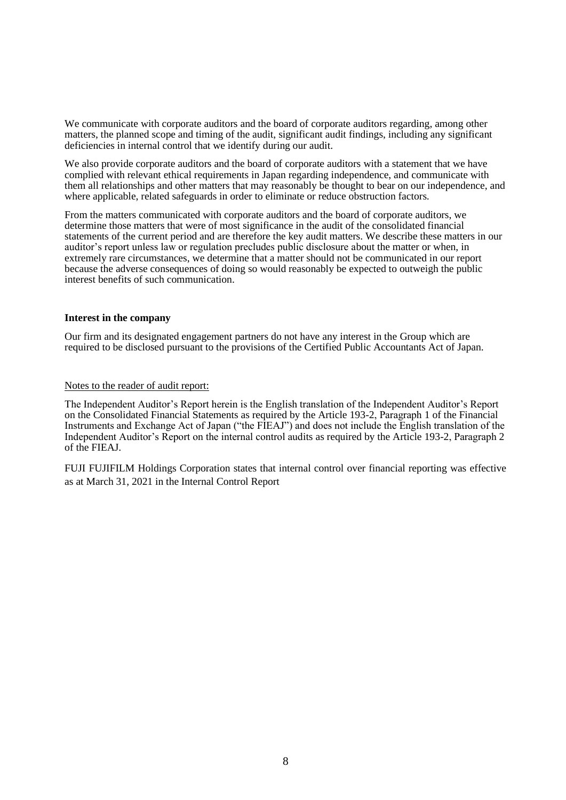We communicate with corporate auditors and the board of corporate auditors regarding, among other matters, the planned scope and timing of the audit, significant audit findings, including any significant deficiencies in internal control that we identify during our audit.

We also provide corporate auditors and the board of corporate auditors with a statement that we have complied with relevant ethical requirements in Japan regarding independence, and communicate with them all relationships and other matters that may reasonably be thought to bear on our independence, and where applicable, related safeguards in order to eliminate or reduce obstruction factors.

From the matters communicated with corporate auditors and the board of corporate auditors, we determine those matters that were of most significance in the audit of the consolidated financial statements of the current period and are therefore the key audit matters. We describe these matters in our auditor's report unless law or regulation precludes public disclosure about the matter or when, in extremely rare circumstances, we determine that a matter should not be communicated in our report because the adverse consequences of doing so would reasonably be expected to outweigh the public interest benefits of such communication.

#### **Interest in the company**

Our firm and its designated engagement partners do not have any interest in the Group which are required to be disclosed pursuant to the provisions of the Certified Public Accountants Act of Japan.

#### Notes to the reader of audit report:

The Independent Auditor's Report herein is the English translation of the Independent Auditor's Report on the Consolidated Financial Statements as required by the Article 193-2, Paragraph 1 of the Financial Instruments and Exchange Act of Japan ("the FIEAJ") and does not include the English translation of the Independent Auditor's Report on the internal control audits as required by the Article 193-2, Paragraph 2 of the FIEAJ.

FUJI FUJIFILM Holdings Corporation states that internal control over financial reporting was effective as at March 31, 2021 in the Internal Control Report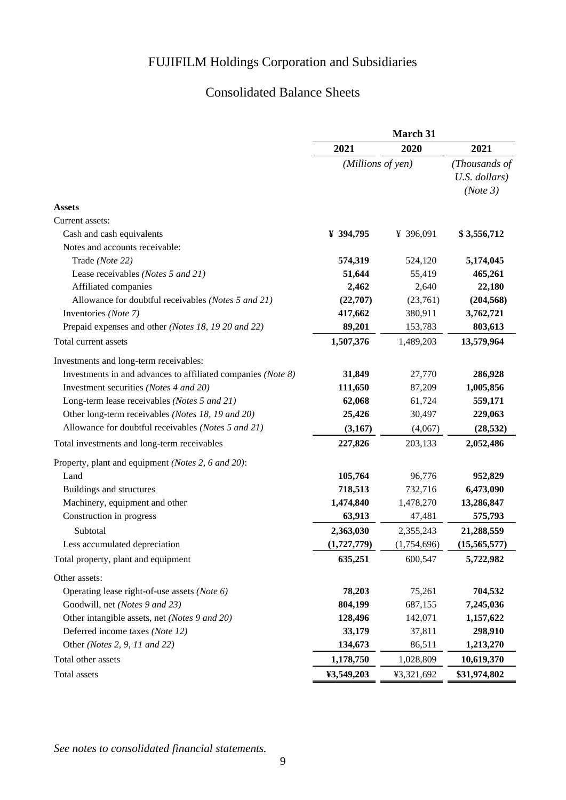# Consolidated Balance Sheets

|                                                              | <b>March 31</b>   |             |                                            |  |
|--------------------------------------------------------------|-------------------|-------------|--------------------------------------------|--|
|                                                              | 2020<br>2021      |             | 2021                                       |  |
|                                                              | (Millions of yen) |             | (Thousands of<br>U.S. dollars)<br>(Note 3) |  |
| <b>Assets</b>                                                |                   |             |                                            |  |
| Current assets:                                              |                   |             |                                            |  |
| Cash and cash equivalents                                    | ¥ 394,795         | ¥ 396,091   | \$3,556,712                                |  |
| Notes and accounts receivable:                               |                   |             |                                            |  |
| Trade (Note 22)                                              | 574,319           | 524,120     | 5,174,045                                  |  |
| Lease receivables (Notes 5 and 21)                           | 51,644            | 55,419      | 465,261                                    |  |
| Affiliated companies                                         | 2,462             | 2,640       | 22,180                                     |  |
| Allowance for doubtful receivables (Notes 5 and 21)          | (22,707)          | (23,761)    | (204, 568)                                 |  |
| Inventories (Note 7)                                         | 417,662           | 380,911     | 3,762,721                                  |  |
| Prepaid expenses and other (Notes 18, 19 20 and 22)          | 89,201            | 153,783     | 803,613                                    |  |
| Total current assets                                         | 1,507,376         | 1,489,203   | 13,579,964                                 |  |
| Investments and long-term receivables:                       |                   |             |                                            |  |
| Investments in and advances to affiliated companies (Note 8) | 31,849            | 27,770      | 286,928                                    |  |
| Investment securities (Notes 4 and 20)                       | 111,650           | 87,209      | 1,005,856                                  |  |
| Long-term lease receivables (Notes 5 and 21)                 | 62,068            | 61,724      | 559,171                                    |  |
| Other long-term receivables (Notes 18, 19 and 20)            | 25,426            | 30,497      | 229,063                                    |  |
| Allowance for doubtful receivables (Notes 5 and 21)          | (3,167)           | (4,067)     | (28, 532)                                  |  |
| Total investments and long-term receivables                  | 227,826           | 203,133     | 2,052,486                                  |  |
| Property, plant and equipment (Notes 2, 6 and 20):           |                   |             |                                            |  |
| Land                                                         | 105,764           | 96,776      | 952,829                                    |  |
| Buildings and structures                                     | 718,513           | 732,716     | 6,473,090                                  |  |
| Machinery, equipment and other                               | 1,474,840         | 1,478,270   | 13,286,847                                 |  |
| Construction in progress                                     | 63,913            | 47,481      | 575,793                                    |  |
| Subtotal                                                     | 2,363,030         | 2,355,243   | 21,288,559                                 |  |
| Less accumulated depreciation                                | (1,727,779)       | (1,754,696) | (15, 565, 577)                             |  |
| Total property, plant and equipment                          | 635,251           | 600,547     | 5,722,982                                  |  |
| Other assets:                                                |                   |             |                                            |  |
| Operating lease right-of-use assets (Note 6)                 | 78,203            | 75,261      | 704,532                                    |  |
| Goodwill, net (Notes 9 and 23)                               | 804,199           | 687,155     | 7,245,036                                  |  |
| Other intangible assets, net (Notes 9 and 20)                | 128,496           | 142,071     | 1,157,622                                  |  |
| Deferred income taxes (Note 12)                              | 33,179            | 37,811      | 298,910                                    |  |
| Other (Notes 2, 9, 11 and 22)                                | 134,673           | 86,511      | 1,213,270                                  |  |
| Total other assets                                           | 1,178,750         | 1,028,809   | 10,619,370                                 |  |
| Total assets                                                 | ¥3,549,203        | ¥3,321,692  | \$31,974,802                               |  |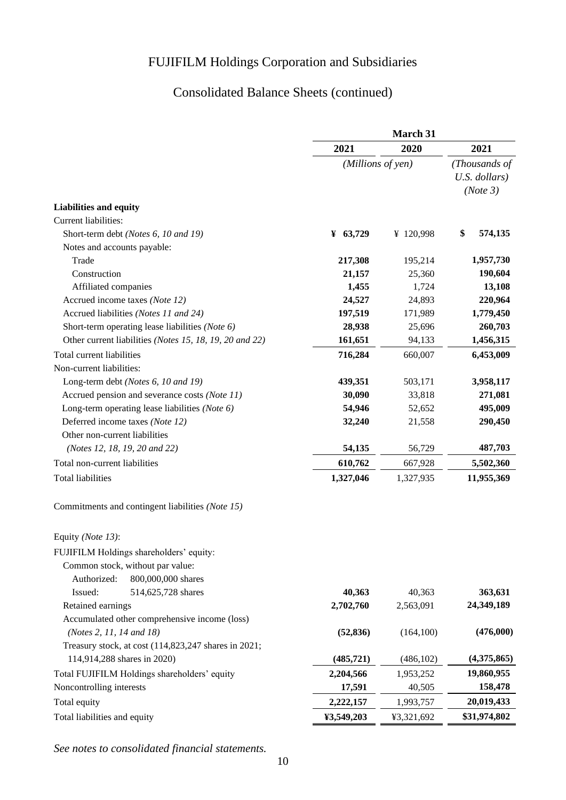# Consolidated Balance Sheets (continued)

| 2020<br>2021<br>2021<br>(Millions of yen)<br>(Thousands of<br>U.S. dollars)<br>(Note 3)<br><b>Liabilities and equity</b><br>Current liabilities:<br>Short-term debt (Notes 6, 10 and 19)<br>\$<br>¥ $63,729$<br>¥ 120,998<br>574,135<br>Notes and accounts payable:<br>1,957,730<br>Trade<br>217,308<br>195,214<br>21,157<br>25,360<br>190,604<br>Construction<br>1,455<br>1,724<br>13,108<br>Affiliated companies<br>220,964<br>Accrued income taxes (Note 12)<br>24,527<br>24,893<br>Accrued liabilities (Notes 11 and 24)<br>197,519<br>171,989<br>1,779,450<br>28,938<br>260,703<br>Short-term operating lease liabilities (Note 6)<br>25,696<br>161,651<br>Other current liabilities (Notes 15, 18, 19, 20 and 22)<br>94,133<br>1,456,315<br>716,284<br>6,453,009<br>Total current liabilities<br>660,007<br>Non-current liabilities:<br>3,958,117<br>Long-term debt (Notes 6, 10 and 19)<br>439,351<br>503,171<br>Accrued pension and severance costs (Note 11)<br>30,090<br>33,818<br>271,081<br>Long-term operating lease liabilities (Note 6)<br>54,946<br>495,009<br>52,652<br>Deferred income taxes (Note 12)<br>290,450<br>32,240<br>21,558<br>Other non-current liabilities<br>(Notes 12, 18, 19, 20 and 22)<br>54,135<br>56,729<br>487,703<br>Total non-current liabilities<br>610,762<br>667,928<br>5,502,360<br>1,327,046<br>11,955,369<br><b>Total liabilities</b><br>1,327,935<br>Commitments and contingent liabilities (Note 15)<br>Equity (Note 13):<br>FUJIFILM Holdings shareholders' equity:<br>Common stock, without par value:<br>Authorized:<br>800,000,000 shares<br>363,631<br>Issued:<br>40,363<br>514,625,728 shares<br>40,363<br>24,349,189<br>Retained earnings<br>2,702,760<br>2,563,091<br>Accumulated other comprehensive income (loss)<br>(476,000)<br>(Notes 2, 11, 14 and 18)<br>(52, 836)<br>(164, 100)<br>Treasury stock, at cost (114,823,247 shares in 2021;<br>114,914,288 shares in 2020)<br>(485, 721)<br>(486, 102)<br>(4,375,865)<br>Total FUJIFILM Holdings shareholders' equity<br>2,204,566<br>1,953,252<br>19,860,955<br>Noncontrolling interests<br>158,478<br>17,591<br>40,505<br>20,019,433<br>Total equity<br>2,222,157<br>1,993,757<br>\$31,974,802<br>Total liabilities and equity<br>¥3,549,203<br>¥3,321,692 |  | March 31 |  |
|--------------------------------------------------------------------------------------------------------------------------------------------------------------------------------------------------------------------------------------------------------------------------------------------------------------------------------------------------------------------------------------------------------------------------------------------------------------------------------------------------------------------------------------------------------------------------------------------------------------------------------------------------------------------------------------------------------------------------------------------------------------------------------------------------------------------------------------------------------------------------------------------------------------------------------------------------------------------------------------------------------------------------------------------------------------------------------------------------------------------------------------------------------------------------------------------------------------------------------------------------------------------------------------------------------------------------------------------------------------------------------------------------------------------------------------------------------------------------------------------------------------------------------------------------------------------------------------------------------------------------------------------------------------------------------------------------------------------------------------------------------------------------------------------------------------------------------------------------------------------------------------------------------------------------------------------------------------------------------------------------------------------------------------------------------------------------------------------------------------------------------------------------------------------------------------------------------------------------------------------------------------------------|--|----------|--|
|                                                                                                                                                                                                                                                                                                                                                                                                                                                                                                                                                                                                                                                                                                                                                                                                                                                                                                                                                                                                                                                                                                                                                                                                                                                                                                                                                                                                                                                                                                                                                                                                                                                                                                                                                                                                                                                                                                                                                                                                                                                                                                                                                                                                                                                                          |  |          |  |
|                                                                                                                                                                                                                                                                                                                                                                                                                                                                                                                                                                                                                                                                                                                                                                                                                                                                                                                                                                                                                                                                                                                                                                                                                                                                                                                                                                                                                                                                                                                                                                                                                                                                                                                                                                                                                                                                                                                                                                                                                                                                                                                                                                                                                                                                          |  |          |  |
|                                                                                                                                                                                                                                                                                                                                                                                                                                                                                                                                                                                                                                                                                                                                                                                                                                                                                                                                                                                                                                                                                                                                                                                                                                                                                                                                                                                                                                                                                                                                                                                                                                                                                                                                                                                                                                                                                                                                                                                                                                                                                                                                                                                                                                                                          |  |          |  |
|                                                                                                                                                                                                                                                                                                                                                                                                                                                                                                                                                                                                                                                                                                                                                                                                                                                                                                                                                                                                                                                                                                                                                                                                                                                                                                                                                                                                                                                                                                                                                                                                                                                                                                                                                                                                                                                                                                                                                                                                                                                                                                                                                                                                                                                                          |  |          |  |
|                                                                                                                                                                                                                                                                                                                                                                                                                                                                                                                                                                                                                                                                                                                                                                                                                                                                                                                                                                                                                                                                                                                                                                                                                                                                                                                                                                                                                                                                                                                                                                                                                                                                                                                                                                                                                                                                                                                                                                                                                                                                                                                                                                                                                                                                          |  |          |  |
|                                                                                                                                                                                                                                                                                                                                                                                                                                                                                                                                                                                                                                                                                                                                                                                                                                                                                                                                                                                                                                                                                                                                                                                                                                                                                                                                                                                                                                                                                                                                                                                                                                                                                                                                                                                                                                                                                                                                                                                                                                                                                                                                                                                                                                                                          |  |          |  |
|                                                                                                                                                                                                                                                                                                                                                                                                                                                                                                                                                                                                                                                                                                                                                                                                                                                                                                                                                                                                                                                                                                                                                                                                                                                                                                                                                                                                                                                                                                                                                                                                                                                                                                                                                                                                                                                                                                                                                                                                                                                                                                                                                                                                                                                                          |  |          |  |
|                                                                                                                                                                                                                                                                                                                                                                                                                                                                                                                                                                                                                                                                                                                                                                                                                                                                                                                                                                                                                                                                                                                                                                                                                                                                                                                                                                                                                                                                                                                                                                                                                                                                                                                                                                                                                                                                                                                                                                                                                                                                                                                                                                                                                                                                          |  |          |  |
|                                                                                                                                                                                                                                                                                                                                                                                                                                                                                                                                                                                                                                                                                                                                                                                                                                                                                                                                                                                                                                                                                                                                                                                                                                                                                                                                                                                                                                                                                                                                                                                                                                                                                                                                                                                                                                                                                                                                                                                                                                                                                                                                                                                                                                                                          |  |          |  |
|                                                                                                                                                                                                                                                                                                                                                                                                                                                                                                                                                                                                                                                                                                                                                                                                                                                                                                                                                                                                                                                                                                                                                                                                                                                                                                                                                                                                                                                                                                                                                                                                                                                                                                                                                                                                                                                                                                                                                                                                                                                                                                                                                                                                                                                                          |  |          |  |
|                                                                                                                                                                                                                                                                                                                                                                                                                                                                                                                                                                                                                                                                                                                                                                                                                                                                                                                                                                                                                                                                                                                                                                                                                                                                                                                                                                                                                                                                                                                                                                                                                                                                                                                                                                                                                                                                                                                                                                                                                                                                                                                                                                                                                                                                          |  |          |  |
|                                                                                                                                                                                                                                                                                                                                                                                                                                                                                                                                                                                                                                                                                                                                                                                                                                                                                                                                                                                                                                                                                                                                                                                                                                                                                                                                                                                                                                                                                                                                                                                                                                                                                                                                                                                                                                                                                                                                                                                                                                                                                                                                                                                                                                                                          |  |          |  |
|                                                                                                                                                                                                                                                                                                                                                                                                                                                                                                                                                                                                                                                                                                                                                                                                                                                                                                                                                                                                                                                                                                                                                                                                                                                                                                                                                                                                                                                                                                                                                                                                                                                                                                                                                                                                                                                                                                                                                                                                                                                                                                                                                                                                                                                                          |  |          |  |
|                                                                                                                                                                                                                                                                                                                                                                                                                                                                                                                                                                                                                                                                                                                                                                                                                                                                                                                                                                                                                                                                                                                                                                                                                                                                                                                                                                                                                                                                                                                                                                                                                                                                                                                                                                                                                                                                                                                                                                                                                                                                                                                                                                                                                                                                          |  |          |  |
|                                                                                                                                                                                                                                                                                                                                                                                                                                                                                                                                                                                                                                                                                                                                                                                                                                                                                                                                                                                                                                                                                                                                                                                                                                                                                                                                                                                                                                                                                                                                                                                                                                                                                                                                                                                                                                                                                                                                                                                                                                                                                                                                                                                                                                                                          |  |          |  |
|                                                                                                                                                                                                                                                                                                                                                                                                                                                                                                                                                                                                                                                                                                                                                                                                                                                                                                                                                                                                                                                                                                                                                                                                                                                                                                                                                                                                                                                                                                                                                                                                                                                                                                                                                                                                                                                                                                                                                                                                                                                                                                                                                                                                                                                                          |  |          |  |
|                                                                                                                                                                                                                                                                                                                                                                                                                                                                                                                                                                                                                                                                                                                                                                                                                                                                                                                                                                                                                                                                                                                                                                                                                                                                                                                                                                                                                                                                                                                                                                                                                                                                                                                                                                                                                                                                                                                                                                                                                                                                                                                                                                                                                                                                          |  |          |  |
|                                                                                                                                                                                                                                                                                                                                                                                                                                                                                                                                                                                                                                                                                                                                                                                                                                                                                                                                                                                                                                                                                                                                                                                                                                                                                                                                                                                                                                                                                                                                                                                                                                                                                                                                                                                                                                                                                                                                                                                                                                                                                                                                                                                                                                                                          |  |          |  |
|                                                                                                                                                                                                                                                                                                                                                                                                                                                                                                                                                                                                                                                                                                                                                                                                                                                                                                                                                                                                                                                                                                                                                                                                                                                                                                                                                                                                                                                                                                                                                                                                                                                                                                                                                                                                                                                                                                                                                                                                                                                                                                                                                                                                                                                                          |  |          |  |
|                                                                                                                                                                                                                                                                                                                                                                                                                                                                                                                                                                                                                                                                                                                                                                                                                                                                                                                                                                                                                                                                                                                                                                                                                                                                                                                                                                                                                                                                                                                                                                                                                                                                                                                                                                                                                                                                                                                                                                                                                                                                                                                                                                                                                                                                          |  |          |  |
|                                                                                                                                                                                                                                                                                                                                                                                                                                                                                                                                                                                                                                                                                                                                                                                                                                                                                                                                                                                                                                                                                                                                                                                                                                                                                                                                                                                                                                                                                                                                                                                                                                                                                                                                                                                                                                                                                                                                                                                                                                                                                                                                                                                                                                                                          |  |          |  |
|                                                                                                                                                                                                                                                                                                                                                                                                                                                                                                                                                                                                                                                                                                                                                                                                                                                                                                                                                                                                                                                                                                                                                                                                                                                                                                                                                                                                                                                                                                                                                                                                                                                                                                                                                                                                                                                                                                                                                                                                                                                                                                                                                                                                                                                                          |  |          |  |
|                                                                                                                                                                                                                                                                                                                                                                                                                                                                                                                                                                                                                                                                                                                                                                                                                                                                                                                                                                                                                                                                                                                                                                                                                                                                                                                                                                                                                                                                                                                                                                                                                                                                                                                                                                                                                                                                                                                                                                                                                                                                                                                                                                                                                                                                          |  |          |  |
|                                                                                                                                                                                                                                                                                                                                                                                                                                                                                                                                                                                                                                                                                                                                                                                                                                                                                                                                                                                                                                                                                                                                                                                                                                                                                                                                                                                                                                                                                                                                                                                                                                                                                                                                                                                                                                                                                                                                                                                                                                                                                                                                                                                                                                                                          |  |          |  |
|                                                                                                                                                                                                                                                                                                                                                                                                                                                                                                                                                                                                                                                                                                                                                                                                                                                                                                                                                                                                                                                                                                                                                                                                                                                                                                                                                                                                                                                                                                                                                                                                                                                                                                                                                                                                                                                                                                                                                                                                                                                                                                                                                                                                                                                                          |  |          |  |
|                                                                                                                                                                                                                                                                                                                                                                                                                                                                                                                                                                                                                                                                                                                                                                                                                                                                                                                                                                                                                                                                                                                                                                                                                                                                                                                                                                                                                                                                                                                                                                                                                                                                                                                                                                                                                                                                                                                                                                                                                                                                                                                                                                                                                                                                          |  |          |  |
|                                                                                                                                                                                                                                                                                                                                                                                                                                                                                                                                                                                                                                                                                                                                                                                                                                                                                                                                                                                                                                                                                                                                                                                                                                                                                                                                                                                                                                                                                                                                                                                                                                                                                                                                                                                                                                                                                                                                                                                                                                                                                                                                                                                                                                                                          |  |          |  |
|                                                                                                                                                                                                                                                                                                                                                                                                                                                                                                                                                                                                                                                                                                                                                                                                                                                                                                                                                                                                                                                                                                                                                                                                                                                                                                                                                                                                                                                                                                                                                                                                                                                                                                                                                                                                                                                                                                                                                                                                                                                                                                                                                                                                                                                                          |  |          |  |
|                                                                                                                                                                                                                                                                                                                                                                                                                                                                                                                                                                                                                                                                                                                                                                                                                                                                                                                                                                                                                                                                                                                                                                                                                                                                                                                                                                                                                                                                                                                                                                                                                                                                                                                                                                                                                                                                                                                                                                                                                                                                                                                                                                                                                                                                          |  |          |  |
|                                                                                                                                                                                                                                                                                                                                                                                                                                                                                                                                                                                                                                                                                                                                                                                                                                                                                                                                                                                                                                                                                                                                                                                                                                                                                                                                                                                                                                                                                                                                                                                                                                                                                                                                                                                                                                                                                                                                                                                                                                                                                                                                                                                                                                                                          |  |          |  |
|                                                                                                                                                                                                                                                                                                                                                                                                                                                                                                                                                                                                                                                                                                                                                                                                                                                                                                                                                                                                                                                                                                                                                                                                                                                                                                                                                                                                                                                                                                                                                                                                                                                                                                                                                                                                                                                                                                                                                                                                                                                                                                                                                                                                                                                                          |  |          |  |
|                                                                                                                                                                                                                                                                                                                                                                                                                                                                                                                                                                                                                                                                                                                                                                                                                                                                                                                                                                                                                                                                                                                                                                                                                                                                                                                                                                                                                                                                                                                                                                                                                                                                                                                                                                                                                                                                                                                                                                                                                                                                                                                                                                                                                                                                          |  |          |  |
|                                                                                                                                                                                                                                                                                                                                                                                                                                                                                                                                                                                                                                                                                                                                                                                                                                                                                                                                                                                                                                                                                                                                                                                                                                                                                                                                                                                                                                                                                                                                                                                                                                                                                                                                                                                                                                                                                                                                                                                                                                                                                                                                                                                                                                                                          |  |          |  |
|                                                                                                                                                                                                                                                                                                                                                                                                                                                                                                                                                                                                                                                                                                                                                                                                                                                                                                                                                                                                                                                                                                                                                                                                                                                                                                                                                                                                                                                                                                                                                                                                                                                                                                                                                                                                                                                                                                                                                                                                                                                                                                                                                                                                                                                                          |  |          |  |
|                                                                                                                                                                                                                                                                                                                                                                                                                                                                                                                                                                                                                                                                                                                                                                                                                                                                                                                                                                                                                                                                                                                                                                                                                                                                                                                                                                                                                                                                                                                                                                                                                                                                                                                                                                                                                                                                                                                                                                                                                                                                                                                                                                                                                                                                          |  |          |  |
|                                                                                                                                                                                                                                                                                                                                                                                                                                                                                                                                                                                                                                                                                                                                                                                                                                                                                                                                                                                                                                                                                                                                                                                                                                                                                                                                                                                                                                                                                                                                                                                                                                                                                                                                                                                                                                                                                                                                                                                                                                                                                                                                                                                                                                                                          |  |          |  |
|                                                                                                                                                                                                                                                                                                                                                                                                                                                                                                                                                                                                                                                                                                                                                                                                                                                                                                                                                                                                                                                                                                                                                                                                                                                                                                                                                                                                                                                                                                                                                                                                                                                                                                                                                                                                                                                                                                                                                                                                                                                                                                                                                                                                                                                                          |  |          |  |
|                                                                                                                                                                                                                                                                                                                                                                                                                                                                                                                                                                                                                                                                                                                                                                                                                                                                                                                                                                                                                                                                                                                                                                                                                                                                                                                                                                                                                                                                                                                                                                                                                                                                                                                                                                                                                                                                                                                                                                                                                                                                                                                                                                                                                                                                          |  |          |  |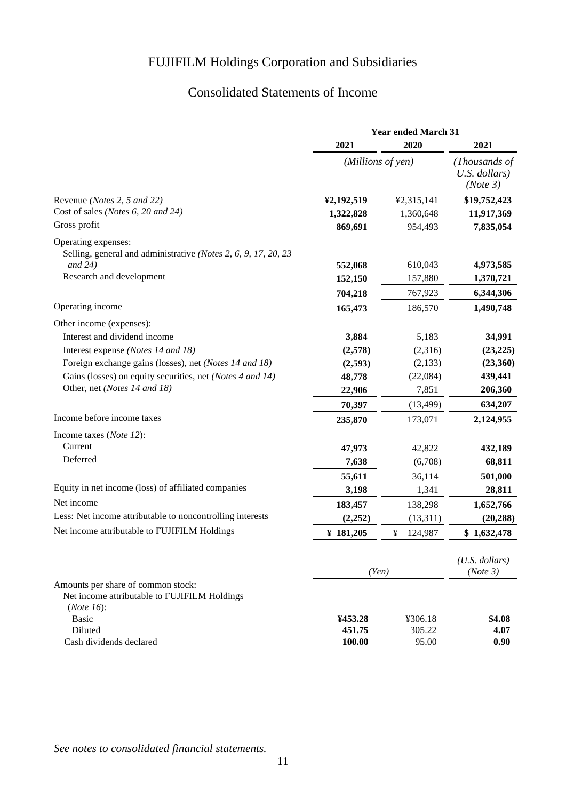# Consolidated Statements of Income

|                                                                                                             | <b>Year ended March 31</b> |                   |                                            |  |
|-------------------------------------------------------------------------------------------------------------|----------------------------|-------------------|--------------------------------------------|--|
|                                                                                                             | 2021                       | 2020              | 2021                                       |  |
|                                                                                                             | (Millions of yen)          |                   | (Thousands of<br>U.S. dollars)<br>(Note 3) |  |
| Revenue (Notes 2, 5 and 22)                                                                                 | ¥2,192,519                 | ¥2,315,141        | \$19,752,423                               |  |
| Cost of sales (Notes 6, 20 and 24)                                                                          | 1,322,828                  | 1,360,648         | 11,917,369                                 |  |
| Gross profit                                                                                                | 869,691                    | 954,493           | 7,835,054                                  |  |
| Operating expenses:<br>Selling, general and administrative (Notes 2, 6, 9, 17, 20, 23                       |                            |                   |                                            |  |
| and $24)$                                                                                                   | 552,068                    | 610,043           | 4,973,585                                  |  |
| Research and development                                                                                    | 152,150                    | 157,880           | 1,370,721                                  |  |
|                                                                                                             | 704,218                    | 767,923           | 6,344,306                                  |  |
| Operating income                                                                                            | 165,473                    | 186,570           | 1,490,748                                  |  |
| Other income (expenses):                                                                                    |                            |                   |                                            |  |
| Interest and dividend income                                                                                | 3,884                      | 5,183             | 34,991                                     |  |
| Interest expense (Notes 14 and 18)                                                                          | (2,578)                    | (2,316)           | (23, 225)                                  |  |
| Foreign exchange gains (losses), net (Notes 14 and 18)                                                      | (2,593)                    | (2,133)           | (23,360)                                   |  |
| Gains (losses) on equity securities, net (Notes 4 and 14)                                                   | 48,778                     | (22,084)          | 439,441                                    |  |
| Other, net (Notes 14 and 18)                                                                                | 22,906                     | 7,851             | 206,360                                    |  |
|                                                                                                             | 70,397                     | (13, 499)         | 634,207                                    |  |
| Income before income taxes                                                                                  | 235,870                    | 173,071           | 2,124,955                                  |  |
| Income taxes ( <i>Note 12</i> ):                                                                            |                            |                   |                                            |  |
| Current                                                                                                     | 47,973                     | 42,822            | 432,189                                    |  |
| Deferred                                                                                                    | 7,638                      | (6,708)           | 68,811                                     |  |
|                                                                                                             | 55,611                     | 36,114            | 501,000                                    |  |
| Equity in net income (loss) of affiliated companies                                                         | 3,198                      | 1,341             | 28,811                                     |  |
| Net income                                                                                                  | 183,457                    | 138,298           | 1,652,766                                  |  |
| Less: Net income attributable to noncontrolling interests                                                   | (2,252)                    | (13,311)          | (20, 288)                                  |  |
| Net income attributable to FUJIFILM Holdings                                                                | ¥ 181,205                  | ¥<br>124,987      | \$1,632,478                                |  |
|                                                                                                             | (Yen)                      |                   | $(U.S.$ dollars)<br>(Note 3)               |  |
| Amounts per share of common stock:<br>Net income attributable to FUJIFILM Holdings<br>( <i>Note</i> $16$ ): |                            |                   |                                            |  |
| <b>Basic</b><br>Diluted                                                                                     | ¥453.28<br>451.75          | ¥306.18<br>305.22 | \$4.08<br>4.07                             |  |
| Cash dividends declared                                                                                     | 100.00                     | 95.00             | 0.90                                       |  |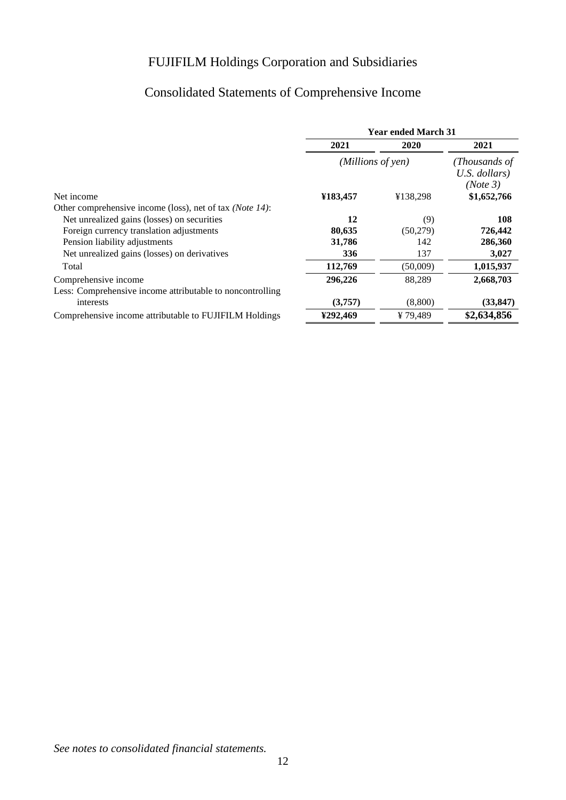# Consolidated Statements of Comprehensive Income

|                                                                   | <b>Year ended March 31</b>        |           |                                            |
|-------------------------------------------------------------------|-----------------------------------|-----------|--------------------------------------------|
|                                                                   | 2021<br>2020<br>(Millions of yen) |           | 2021                                       |
|                                                                   |                                   |           | (Thousands of<br>U.S. dollars)<br>(Note 3) |
| Net income                                                        | ¥183,457                          | ¥138,298  | \$1,652,766                                |
| Other comprehensive income (loss), net of tax ( <i>Note 14</i> ): |                                   |           |                                            |
| Net unrealized gains (losses) on securities                       | 12                                | (9)       | 108                                        |
| Foreign currency translation adjustments                          | 80,635                            | (50, 279) | 726,442                                    |
| Pension liability adjustments                                     | 31,786                            | 142       | 286,360                                    |
| Net unrealized gains (losses) on derivatives                      | 336                               | 137       | 3,027                                      |
| Total                                                             | 112,769                           | (50,009)  | 1,015,937                                  |
| Comprehensive income                                              | 296,226                           | 88,289    | 2,668,703                                  |
| Less: Comprehensive income attributable to noncontrolling         |                                   |           |                                            |
| interests                                                         | (3,757)                           | (8,800)   | (33, 847)                                  |
| Comprehensive income attributable to FUJIFILM Holdings            | ¥292,469                          | ¥79,489   | \$2,634,856                                |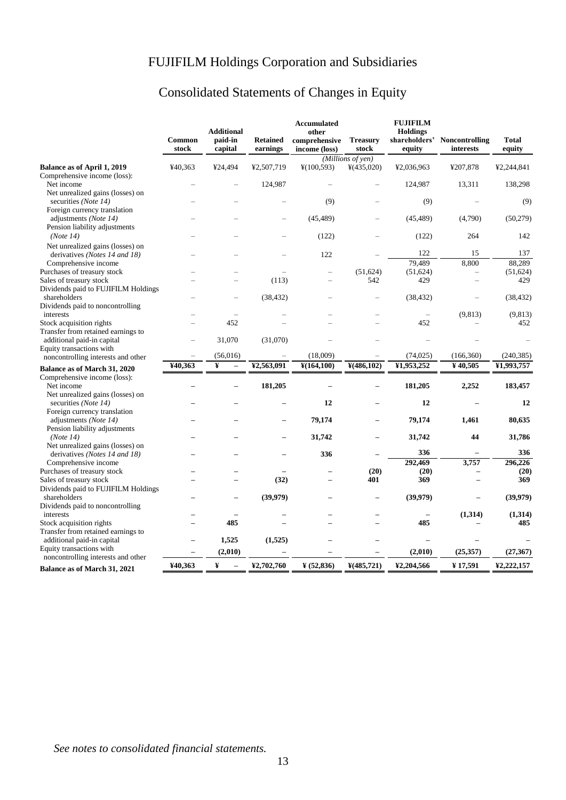# Consolidated Statements of Changes in Equity

|                                                       | Common<br>stock | <b>Additional</b><br>paid-in<br>capital | <b>Retained</b><br>earnings | Accumulated<br>other<br>comprehensive<br>income (loss) | <b>Treasury</b><br>stock        | <b>FUJIFILM</b><br><b>Holdings</b><br>equity | shareholders' Noncontrolling<br>interests | <b>Total</b><br>equity |
|-------------------------------------------------------|-----------------|-----------------------------------------|-----------------------------|--------------------------------------------------------|---------------------------------|----------------------------------------------|-------------------------------------------|------------------------|
| Balance as of April 1, 2019                           | ¥40,363         | ¥24,494                                 | ¥2,507,719                  | ¥(100,593)                                             | (Millions of yen)<br>¥(435,020) | ¥2,036,963                                   | ¥207,878                                  | ¥2,244,841             |
| Comprehensive income (loss):                          |                 |                                         |                             |                                                        |                                 |                                              |                                           |                        |
| Net income<br>Net unrealized gains (losses) on        |                 |                                         | 124,987                     |                                                        |                                 | 124,987                                      | 13,311                                    | 138,298                |
| securities (Note 14)                                  |                 |                                         |                             | (9)                                                    |                                 | (9)                                          |                                           | (9)                    |
| Foreign currency translation<br>adjustments (Note 14) |                 |                                         |                             | (45, 489)                                              |                                 | (45, 489)                                    | (4,790)                                   | (50,279)               |
| Pension liability adjustments<br>(Note 14)            |                 |                                         |                             | (122)                                                  |                                 | (122)                                        | 264                                       | 142                    |
| Net unrealized gains (losses) on                      |                 |                                         |                             |                                                        |                                 |                                              |                                           |                        |
| derivatives (Notes 14 and 18)                         |                 |                                         |                             | 122                                                    |                                 | 122                                          | 15                                        | 137                    |
| Comprehensive income                                  |                 |                                         |                             |                                                        |                                 | 79.489                                       | 8,800                                     | 88,289                 |
| Purchases of treasury stock                           |                 |                                         |                             |                                                        | (51, 624)                       | (51, 624)                                    | $\overline{\phantom{a}}$                  | (51, 624)              |
| Sales of treasury stock                               |                 |                                         | (113)                       |                                                        | 542                             | 429                                          |                                           | 429                    |
| Dividends paid to FUJIFILM Holdings<br>shareholders   |                 |                                         | (38, 432)                   |                                                        |                                 | (38, 432)                                    |                                           | (38, 432)              |
| Dividends paid to noncontrolling                      |                 |                                         |                             |                                                        |                                 |                                              |                                           |                        |
| interests                                             |                 |                                         |                             |                                                        | $\overline{\phantom{0}}$        |                                              | (9, 813)                                  | (9, 813)               |
| Stock acquisition rights                              |                 | 452                                     |                             |                                                        |                                 | 452                                          |                                           | 452                    |
| Transfer from retained earnings to                    |                 |                                         |                             |                                                        |                                 |                                              |                                           |                        |
| additional paid-in capital                            |                 | 31,070                                  | (31,070)                    |                                                        |                                 |                                              |                                           |                        |
| Equity transactions with                              |                 |                                         |                             |                                                        |                                 |                                              |                                           |                        |
| noncontrolling interests and other                    |                 | (56,016)                                |                             | (18,009)                                               |                                 | (74, 025)                                    | (166, 360)                                | (240, 385)             |
| Balance as of March 31, 2020                          | ¥40,363         | ¥<br>$\overline{\phantom{0}}$           | ¥2,563,091                  | ¥(164,100)                                             | ¥(486,102)                      | ¥1,953,252                                   | ¥40,505                                   | ¥1,993,757             |
| Comprehensive income (loss):                          |                 |                                         |                             |                                                        |                                 |                                              |                                           |                        |
| Net income                                            |                 |                                         | 181,205                     |                                                        |                                 | 181,205                                      | 2,252                                     | 183,457                |
| Net unrealized gains (losses) on                      |                 |                                         |                             |                                                        |                                 |                                              |                                           |                        |
| securities (Note 14)                                  |                 |                                         |                             | 12                                                     |                                 | 12                                           |                                           | 12                     |
| Foreign currency translation                          |                 |                                         |                             |                                                        |                                 |                                              |                                           |                        |
| adjustments (Note 14)                                 |                 |                                         |                             | 79,174                                                 |                                 | 79,174                                       | 1,461                                     | 80,635                 |
| Pension liability adjustments                         |                 |                                         |                             |                                                        |                                 |                                              |                                           |                        |
| (Note 14)                                             |                 |                                         |                             | 31,742                                                 |                                 | 31,742                                       | 44                                        | 31,786                 |
| Net unrealized gains (losses) on                      |                 |                                         |                             |                                                        |                                 | 336                                          |                                           | 336                    |
| derivatives (Notes 14 and 18)                         |                 |                                         |                             | 336                                                    |                                 |                                              |                                           |                        |
| Comprehensive income                                  |                 |                                         |                             |                                                        |                                 | 292,469                                      | 3,757                                     | 296,226                |
| Purchases of treasury stock                           |                 |                                         |                             |                                                        | (20)                            | (20)                                         |                                           | (20)                   |
| Sales of treasury stock                               |                 |                                         | (32)                        | $\overline{\phantom{a}}$                               | 401                             | 369                                          |                                           | 369                    |
| Dividends paid to FUJIFILM Holdings<br>shareholders   |                 |                                         | (39,979)                    |                                                        |                                 | (39,979)                                     |                                           | (39,979)               |
| Dividends paid to noncontrolling                      |                 |                                         |                             |                                                        |                                 |                                              |                                           |                        |
| interests                                             |                 |                                         |                             |                                                        |                                 |                                              | (1, 314)                                  | (1,314)                |
| Stock acquisition rights                              |                 | 485                                     |                             |                                                        |                                 | 485                                          |                                           | 485                    |
| Transfer from retained earnings to                    |                 |                                         |                             |                                                        |                                 |                                              |                                           |                        |
| additional paid-in capital                            |                 | 1,525                                   | (1,525)                     |                                                        |                                 |                                              |                                           |                        |
| Equity transactions with                              |                 | (2,010)                                 |                             |                                                        |                                 | (2,010)                                      | (25, 357)                                 | (27, 367)              |
| noncontrolling interests and other                    |                 |                                         |                             |                                                        |                                 |                                              |                                           |                        |
| Balance as of March 31, 2021                          | ¥40,363         | ¥<br>$\overline{\phantom{0}}$           | ¥2,702,760                  | ¥ (52,836)                                             | $\frac{1}{2}(485, 721)$         | ¥2,204,566                                   | ¥17,591                                   | ¥2,222,157             |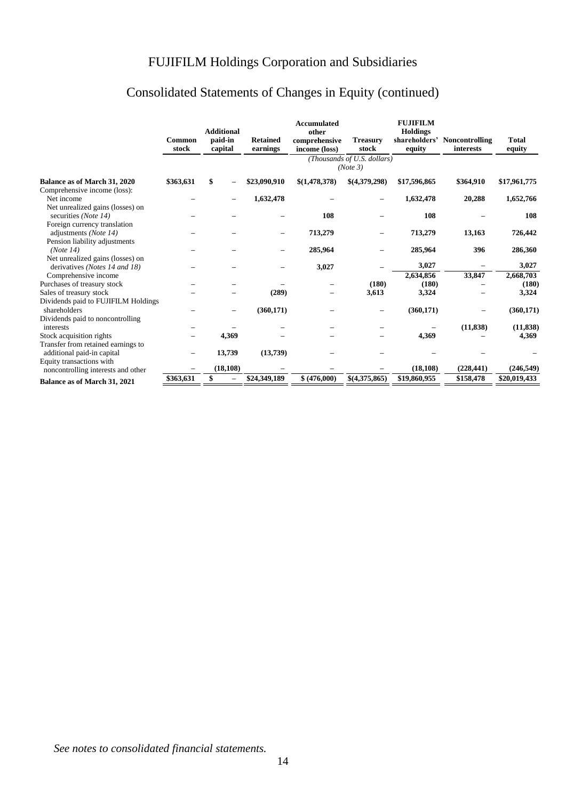# Consolidated Statements of Changes in Equity (continued)

|                                     | Common<br>stock | <b>Additional</b><br>paid-in<br>capital | <b>Retained</b><br>earnings | <b>Accumulated</b><br>other<br>comprehensive<br>income (loss) | <b>Treasury</b><br>stock                | <b>FUJIFILM</b><br><b>Holdings</b><br>equity | shareholders' Noncontrolling<br>interests | <b>Total</b><br>equity |
|-------------------------------------|-----------------|-----------------------------------------|-----------------------------|---------------------------------------------------------------|-----------------------------------------|----------------------------------------------|-------------------------------------------|------------------------|
|                                     |                 |                                         |                             |                                                               | (Thousands of U.S. dollars)<br>(Note 3) |                                              |                                           |                        |
| Balance as of March 31, 2020        | \$363,631       | \$                                      | \$23,090,910                | \$(1,478,378)                                                 | \$(4,379,298)                           | \$17,596,865                                 | \$364,910                                 | \$17,961,775           |
| Comprehensive income (loss):        |                 |                                         |                             |                                                               |                                         |                                              |                                           |                        |
| Net income                          |                 |                                         | 1,632,478                   |                                                               |                                         | 1,632,478                                    | 20,288                                    | 1,652,766              |
| Net unrealized gains (losses) on    |                 |                                         |                             |                                                               |                                         |                                              |                                           |                        |
| securities ( <i>Note 14</i> )       |                 |                                         |                             | 108                                                           |                                         | 108                                          |                                           | 108                    |
| Foreign currency translation        |                 |                                         |                             |                                                               |                                         |                                              |                                           |                        |
| adjustments (Note 14)               |                 |                                         | -                           | 713,279                                                       | -                                       | 713,279                                      | 13,163                                    | 726,442                |
| Pension liability adjustments       |                 |                                         |                             |                                                               |                                         |                                              |                                           |                        |
| (Note 14)                           |                 |                                         | -                           | 285,964                                                       |                                         | 285,964                                      | 396                                       | 286,360                |
| Net unrealized gains (losses) on    |                 |                                         |                             |                                                               |                                         |                                              |                                           |                        |
| derivatives (Notes 14 and 18)       |                 |                                         |                             | 3,027                                                         |                                         | 3,027                                        |                                           | 3,027                  |
| Comprehensive income                |                 |                                         |                             |                                                               |                                         | 2,634,856                                    | 33,847                                    | 2,668,703              |
| Purchases of treasury stock         |                 |                                         |                             |                                                               | (180)                                   | (180)                                        |                                           | (180)                  |
| Sales of treasury stock             |                 |                                         | (289)                       |                                                               | 3,613                                   | 3,324                                        |                                           | 3,324                  |
| Dividends paid to FUJIFILM Holdings |                 |                                         |                             |                                                               |                                         |                                              |                                           |                        |
| shareholders                        |                 |                                         | (360, 171)                  |                                                               |                                         | (360, 171)                                   |                                           | (360, 171)             |
| Dividends paid to noncontrolling    |                 |                                         |                             |                                                               |                                         |                                              |                                           |                        |
| interests                           |                 |                                         |                             |                                                               |                                         |                                              | (11, 838)                                 | (11, 838)              |
| Stock acquisition rights            |                 | 4,369                                   |                             |                                                               |                                         | 4,369                                        |                                           | 4,369                  |
| Transfer from retained earnings to  |                 |                                         |                             |                                                               |                                         |                                              |                                           |                        |
| additional paid-in capital          |                 | 13,739                                  | (13,739)                    |                                                               |                                         |                                              |                                           |                        |
| Equity transactions with            |                 |                                         |                             |                                                               |                                         |                                              |                                           |                        |
| noncontrolling interests and other  |                 | (18, 108)                               |                             |                                                               |                                         | (18, 108)                                    | (228, 441)                                | (246, 549)             |
| Balance as of March 31, 2021        | \$363,631       | \$<br>-                                 | \$24,349,189                | \$ (476,000)                                                  | \$(4,375,865)                           | \$19,860,955                                 | \$158,478                                 | \$20,019,433           |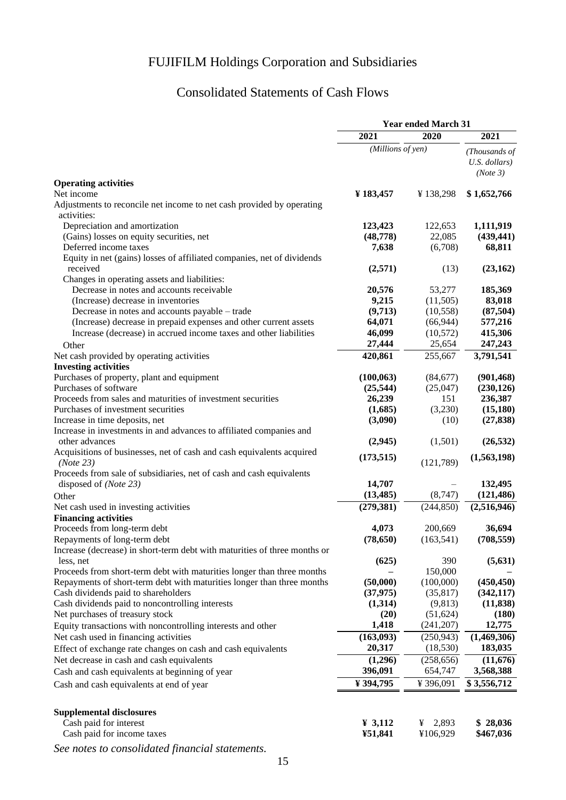# Consolidated Statements of Cash Flows

|                                                                           |                     | <b>Year ended March 31</b> |                                            |
|---------------------------------------------------------------------------|---------------------|----------------------------|--------------------------------------------|
|                                                                           | 2021                | 2020                       | 2021                                       |
|                                                                           | (Millions of yen)   |                            | (Thousands of<br>U.S. dollars)<br>(Note 3) |
| <b>Operating activities</b><br>Net income                                 |                     | ¥138,298                   |                                            |
| Adjustments to reconcile net income to net cash provided by operating     | ¥183,457            |                            | \$1,652,766                                |
| activities:                                                               |                     |                            |                                            |
| Depreciation and amortization                                             | 123,423             | 122,653                    | 1,111,919                                  |
| (Gains) losses on equity securities, net                                  | (48, 778)           | 22,085                     | (439, 441)                                 |
| Deferred income taxes                                                     | 7,638               | (6,708)                    | 68,811                                     |
| Equity in net (gains) losses of affiliated companies, net of dividends    |                     |                            |                                            |
| received                                                                  | (2,571)             | (13)                       | (23, 162)                                  |
| Changes in operating assets and liabilities:                              |                     |                            |                                            |
| Decrease in notes and accounts receivable                                 | 20,576              | 53,277                     | 185,369                                    |
| (Increase) decrease in inventories                                        | 9,215               | (11,505)                   | 83,018                                     |
| Decrease in notes and accounts payable - trade                            | (9,713)             | (10, 558)                  | (87, 504)                                  |
| (Increase) decrease in prepaid expenses and other current assets          | 64,071              | (66, 944)                  | 577,216                                    |
| Increase (decrease) in accrued income taxes and other liabilities         | 46,099              | (10, 572)                  | 415,306                                    |
| Other                                                                     | 27,444              | 25,654                     | 247,243                                    |
| Net cash provided by operating activities                                 | 420,861             | 255,667                    | 3,791,541                                  |
| <b>Investing activities</b>                                               |                     |                            |                                            |
| Purchases of property, plant and equipment<br>Purchases of software       | (100, 063)          | (84,677)                   | (901, 468)                                 |
| Proceeds from sales and maturities of investment securities               | (25, 544)<br>26,239 | (25,047)<br>151            | (230, 126)<br>236,387                      |
| Purchases of investment securities                                        | (1,685)             | (3,230)                    | (15,180)                                   |
| Increase in time deposits, net                                            | (3,090)             | (10)                       | (27, 838)                                  |
| Increase in investments in and advances to affiliated companies and       |                     |                            |                                            |
| other advances                                                            | (2,945)             | (1,501)                    | (26, 532)                                  |
| Acquisitions of businesses, net of cash and cash equivalents acquired     |                     |                            |                                            |
| (Note 23)                                                                 | (173, 515)          | (121, 789)                 | (1,563,198)                                |
| Proceeds from sale of subsidiaries, net of cash and cash equivalents      |                     |                            |                                            |
| disposed of (Note 23)                                                     | 14,707              |                            | 132,495                                    |
| Other                                                                     | (13, 485)           | (8,747)                    | (121, 486)                                 |
| Net cash used in investing activities                                     | (279, 381)          | (244, 850)                 | (2,516,946)                                |
| <b>Financing activities</b>                                               |                     |                            |                                            |
| Proceeds from long-term debt                                              | 4,073               | 200,669                    | 36,694                                     |
| Repayments of long-term debt                                              | (78, 650)           | (163, 541)                 | (708, 559)                                 |
| Increase (decrease) in short-term debt with maturities of three months or |                     |                            |                                            |
| less, net                                                                 | (625)               | 390                        | (5,631)                                    |
| Proceeds from short-term debt with maturities longer than three months    |                     | 150,000                    |                                            |
| Repayments of short-term debt with maturities longer than three months    | (50,000)            | (100,000)                  | (450, 450)                                 |
| Cash dividends paid to shareholders                                       | (37, 975)           | (35, 817)                  | (342, 117)                                 |
| Cash dividends paid to noncontrolling interests                           | (1,314)             | (9, 813)                   | (11, 838)                                  |
| Net purchases of treasury stock                                           | (20)                | (51, 624)                  | (180)                                      |
| Equity transactions with noncontrolling interests and other               | 1,418               | (241, 207)                 | 12,775                                     |
| Net cash used in financing activities                                     | (163,093)           | (250, 943)                 | (1,469,306)                                |
| Effect of exchange rate changes on cash and cash equivalents              | 20,317              | (18, 530)                  | 183,035                                    |
| Net decrease in cash and cash equivalents                                 | (1,296)             | (258, 656)                 | (11,676)                                   |
| Cash and cash equivalents at beginning of year                            | 396,091             | 654,747                    | 3,568,388                                  |
| Cash and cash equivalents at end of year                                  | ¥ 394,795           | ¥396,091                   | \$3,556,712                                |
| <b>Supplemental disclosures</b>                                           |                     |                            |                                            |
| Cash paid for interest                                                    | ¥ 3,112             | 2,893<br>¥                 | \$28,036                                   |
| Cash paid for income taxes                                                | ¥51,841             | ¥106,929                   | \$467,036                                  |
|                                                                           |                     |                            |                                            |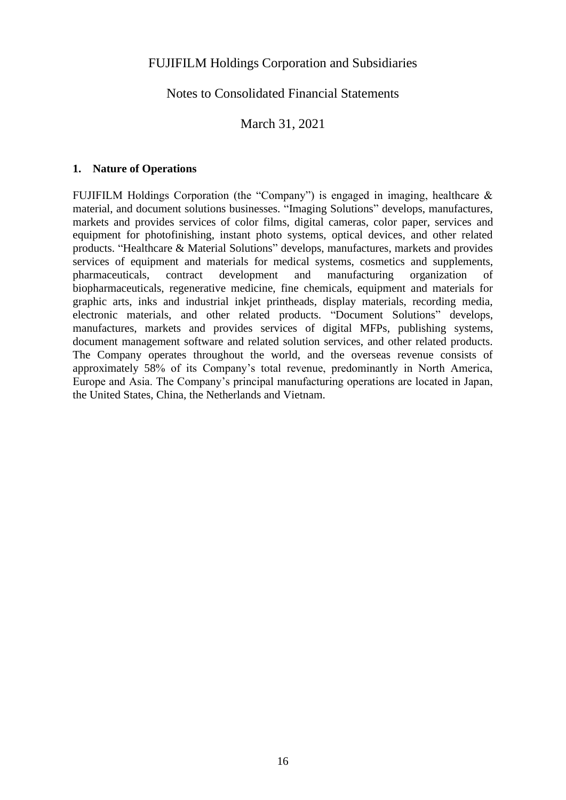## Notes to Consolidated Financial Statements

## March 31, 2021

### **1. Nature of Operations**

FUJIFILM Holdings Corporation (the "Company") is engaged in imaging, healthcare & material, and document solutions businesses. "Imaging Solutions" develops, manufactures, markets and provides services of color films, digital cameras, color paper, services and equipment for photofinishing, instant photo systems, optical devices, and other related products. "Healthcare & Material Solutions" develops, manufactures, markets and provides services of equipment and materials for medical systems, cosmetics and supplements, pharmaceuticals, contract development and manufacturing organization biopharmaceuticals, regenerative medicine, fine chemicals, equipment and materials for graphic arts, inks and industrial inkjet printheads, display materials, recording media, electronic materials, and other related products. "Document Solutions" develops, manufactures, markets and provides services of digital MFPs, publishing systems, document management software and related solution services, and other related products. The Company operates throughout the world, and the overseas revenue consists of approximately 58% of its Company's total revenue, predominantly in North America, Europe and Asia. The Company's principal manufacturing operations are located in Japan, the United States, China, the Netherlands and Vietnam.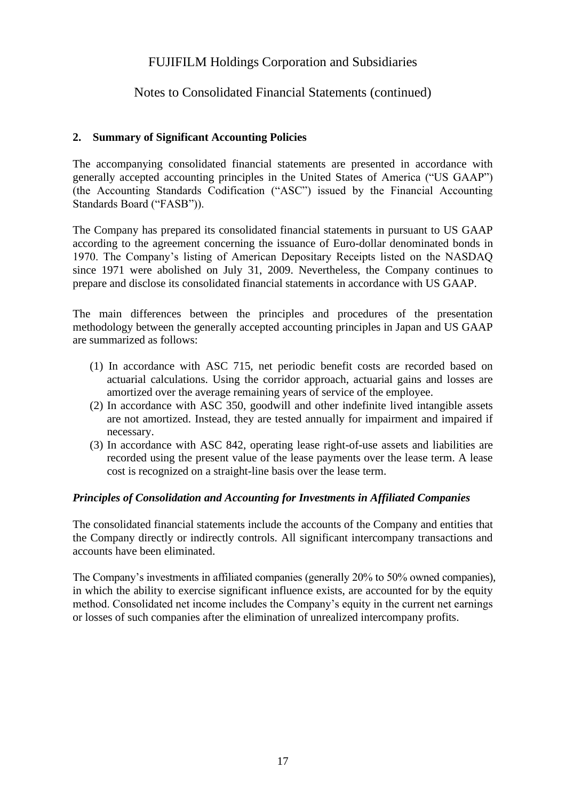## Notes to Consolidated Financial Statements (continued)

## **2. Summary of Significant Accounting Policies**

The accompanying consolidated financial statements are presented in accordance with generally accepted accounting principles in the United States of America ("US GAAP") (the Accounting Standards Codification ("ASC") issued by the Financial Accounting Standards Board ("FASB")).

The Company has prepared its consolidated financial statements in pursuant to US GAAP according to the agreement concerning the issuance of Euro-dollar denominated bonds in 1970. The Company's listing of American Depositary Receipts listed on the NASDAQ since 1971 were abolished on July 31, 2009. Nevertheless, the Company continues to prepare and disclose its consolidated financial statements in accordance with US GAAP.

The main differences between the principles and procedures of the presentation methodology between the generally accepted accounting principles in Japan and US GAAP are summarized as follows:

- (1) In accordance with ASC 715, net periodic benefit costs are recorded based on actuarial calculations. Using the corridor approach, actuarial gains and losses are amortized over the average remaining years of service of the employee.
- (2) In accordance with ASC 350, goodwill and other indefinite lived intangible assets are not amortized. Instead, they are tested annually for impairment and impaired if necessary.
- (3) In accordance with ASC 842, operating lease right-of-use assets and liabilities are recorded using the present value of the lease payments over the lease term. A lease cost is recognized on a straight-line basis over the lease term.

### *Principles of Consolidation and Accounting for Investments in Affiliated Companies*

The consolidated financial statements include the accounts of the Company and entities that the Company directly or indirectly controls. All significant intercompany transactions and accounts have been eliminated.

The Company's investments in affiliated companies (generally 20% to 50% owned companies), in which the ability to exercise significant influence exists, are accounted for by the equity method. Consolidated net income includes the Company's equity in the current net earnings or losses of such companies after the elimination of unrealized intercompany profits.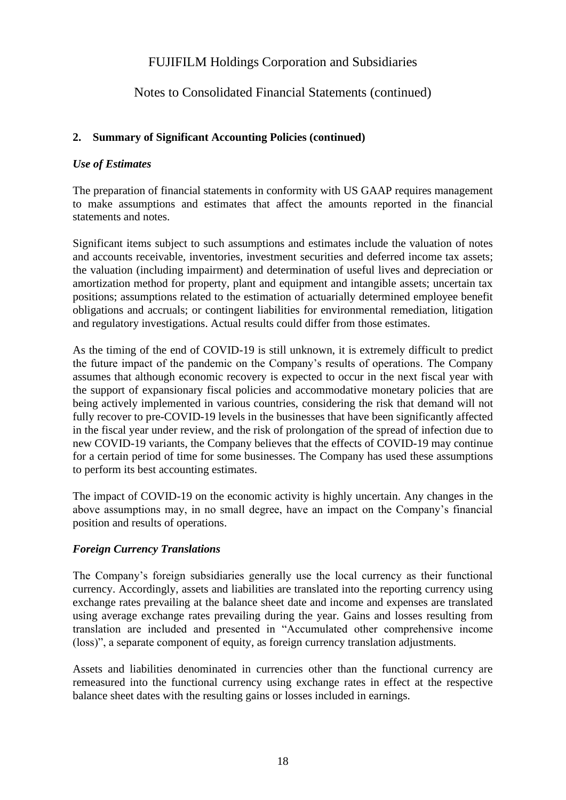## Notes to Consolidated Financial Statements (continued)

## **2. Summary of Significant Accounting Policies (continued)**

### *Use of Estimates*

The preparation of financial statements in conformity with US GAAP requires management to make assumptions and estimates that affect the amounts reported in the financial statements and notes.

Significant items subject to such assumptions and estimates include the valuation of notes and accounts receivable, inventories, investment securities and deferred income tax assets; the valuation (including impairment) and determination of useful lives and depreciation or amortization method for property, plant and equipment and intangible assets; uncertain tax positions; assumptions related to the estimation of actuarially determined employee benefit obligations and accruals; or contingent liabilities for environmental remediation, litigation and regulatory investigations. Actual results could differ from those estimates.

As the timing of the end of COVID-19 is still unknown, it is extremely difficult to predict the future impact of the pandemic on the Company's results of operations. The Company assumes that although economic recovery is expected to occur in the next fiscal year with the support of expansionary fiscal policies and accommodative monetary policies that are being actively implemented in various countries, considering the risk that demand will not fully recover to pre-COVID-19 levels in the businesses that have been significantly affected in the fiscal year under review, and the risk of prolongation of the spread of infection due to new COVID-19 variants, the Company believes that the effects of COVID-19 may continue for a certain period of time for some businesses. The Company has used these assumptions to perform its best accounting estimates.

The impact of COVID-19 on the economic activity is highly uncertain. Any changes in the above assumptions may, in no small degree, have an impact on the Company's financial position and results of operations.

### *Foreign Currency Translations*

The Company's foreign subsidiaries generally use the local currency as their functional currency. Accordingly, assets and liabilities are translated into the reporting currency using exchange rates prevailing at the balance sheet date and income and expenses are translated using average exchange rates prevailing during the year. Gains and losses resulting from translation are included and presented in "Accumulated other comprehensive income (loss)", a separate component of equity, as foreign currency translation adjustments.

Assets and liabilities denominated in currencies other than the functional currency are remeasured into the functional currency using exchange rates in effect at the respective balance sheet dates with the resulting gains or losses included in earnings.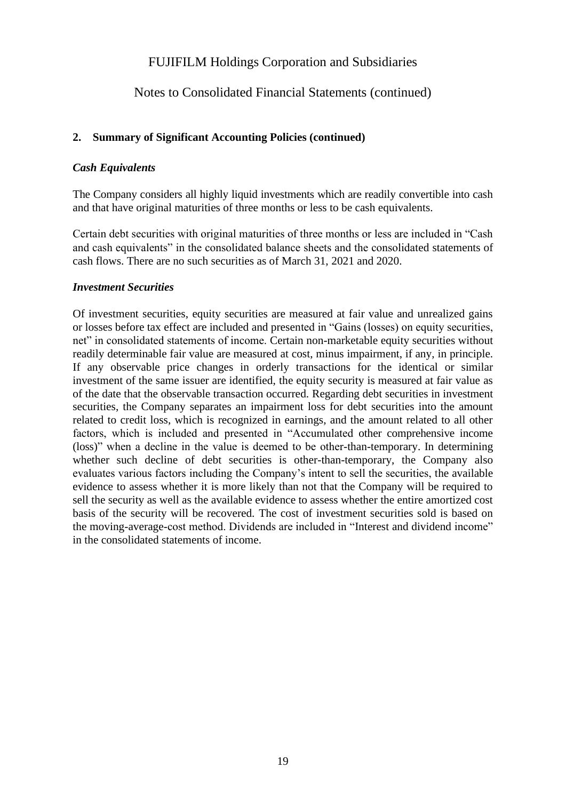## Notes to Consolidated Financial Statements (continued)

## **2. Summary of Significant Accounting Policies (continued)**

### *Cash Equivalents*

The Company considers all highly liquid investments which are readily convertible into cash and that have original maturities of three months or less to be cash equivalents.

Certain debt securities with original maturities of three months or less are included in "Cash and cash equivalents" in the consolidated balance sheets and the consolidated statements of cash flows. There are no such securities as of March 31, 2021 and 2020.

#### *Investment Securities*

Of investment securities, equity securities are measured at fair value and unrealized gains or losses before tax effect are included and presented in "Gains (losses) on equity securities, net" in consolidated statements of income. Certain non-marketable equity securities without readily determinable fair value are measured at cost, minus impairment, if any, in principle. If any observable price changes in orderly transactions for the identical or similar investment of the same issuer are identified, the equity security is measured at fair value as of the date that the observable transaction occurred. Regarding debt securities in investment securities, the Company separates an impairment loss for debt securities into the amount related to credit loss, which is recognized in earnings, and the amount related to all other factors, which is included and presented in "Accumulated other comprehensive income (loss)" when a decline in the value is deemed to be other-than-temporary. In determining whether such decline of debt securities is other-than-temporary, the Company also evaluates various factors including the Company's intent to sell the securities, the available evidence to assess whether it is more likely than not that the Company will be required to sell the security as well as the available evidence to assess whether the entire amortized cost basis of the security will be recovered. The cost of investment securities sold is based on the moving-average-cost method. Dividends are included in "Interest and dividend income" in the consolidated statements of income.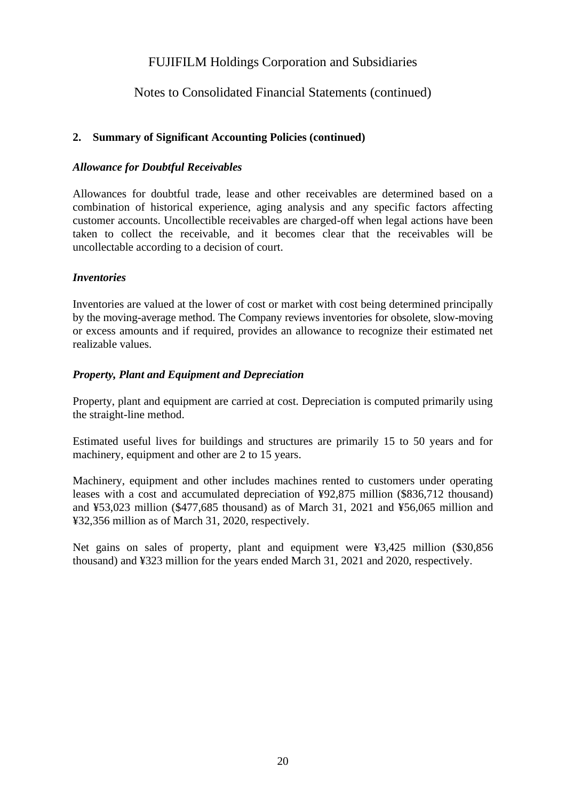## Notes to Consolidated Financial Statements (continued)

## **2. Summary of Significant Accounting Policies (continued)**

### *Allowance for Doubtful Receivables*

Allowances for doubtful trade, lease and other receivables are determined based on a combination of historical experience, aging analysis and any specific factors affecting customer accounts. Uncollectible receivables are charged-off when legal actions have been taken to collect the receivable, and it becomes clear that the receivables will be uncollectable according to a decision of court.

#### *Inventories*

Inventories are valued at the lower of cost or market with cost being determined principally by the moving-average method. The Company reviews inventories for obsolete, slow-moving or excess amounts and if required, provides an allowance to recognize their estimated net realizable values.

#### *Property, Plant and Equipment and Depreciation*

Property, plant and equipment are carried at cost. Depreciation is computed primarily using the straight-line method.

Estimated useful lives for buildings and structures are primarily 15 to 50 years and for machinery, equipment and other are 2 to 15 years.

Machinery, equipment and other includes machines rented to customers under operating leases with a cost and accumulated depreciation of ¥92,875 million (\$836,712 thousand) and ¥53,023 million (\$477,685 thousand) as of March 31, 2021 and ¥56,065 million and ¥32,356 million as of March 31, 2020, respectively.

Net gains on sales of property, plant and equipment were ¥3,425 million (\$30,856 thousand) and ¥323 million for the years ended March 31, 2021 and 2020, respectively.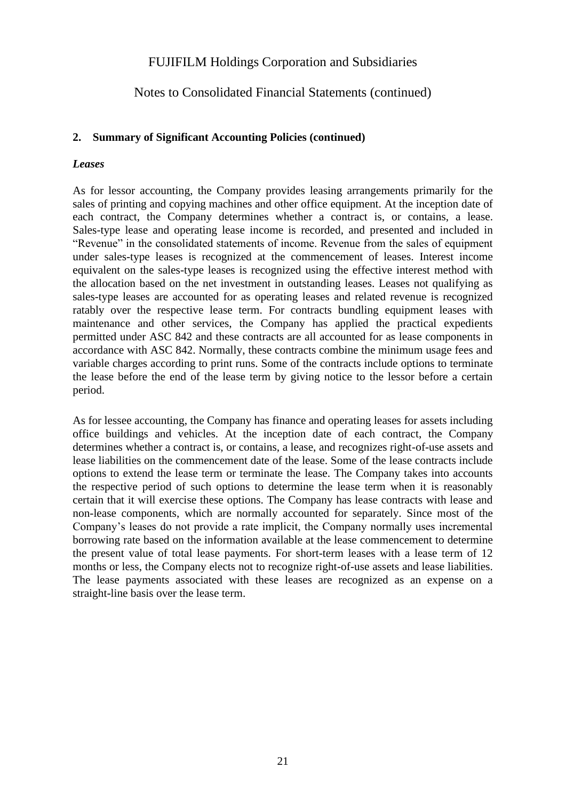Notes to Consolidated Financial Statements (continued)

## **2. Summary of Significant Accounting Policies (continued)**

### *Leases*

As for lessor accounting, the Company provides leasing arrangements primarily for the sales of printing and copying machines and other office equipment. At the inception date of each contract, the Company determines whether a contract is, or contains, a lease. Sales-type lease and operating lease income is recorded, and presented and included in "Revenue" in the consolidated statements of income. Revenue from the sales of equipment under sales-type leases is recognized at the commencement of leases. Interest income equivalent on the sales-type leases is recognized using the effective interest method with the allocation based on the net investment in outstanding leases. Leases not qualifying as sales-type leases are accounted for as operating leases and related revenue is recognized ratably over the respective lease term. For contracts bundling equipment leases with maintenance and other services, the Company has applied the practical expedients permitted under ASC 842 and these contracts are all accounted for as lease components in accordance with ASC 842. Normally, these contracts combine the minimum usage fees and variable charges according to print runs. Some of the contracts include options to terminate the lease before the end of the lease term by giving notice to the lessor before a certain period.

As for lessee accounting, the Company has finance and operating leases for assets including office buildings and vehicles. At the inception date of each contract, the Company determines whether a contract is, or contains, a lease, and recognizes right-of-use assets and lease liabilities on the commencement date of the lease. Some of the lease contracts include options to extend the lease term or terminate the lease. The Company takes into accounts the respective period of such options to determine the lease term when it is reasonably certain that it will exercise these options. The Company has lease contracts with lease and non-lease components, which are normally accounted for separately. Since most of the Company's leases do not provide a rate implicit, the Company normally uses incremental borrowing rate based on the information available at the lease commencement to determine the present value of total lease payments. For short-term leases with a lease term of 12 months or less, the Company elects not to recognize right-of-use assets and lease liabilities. The lease payments associated with these leases are recognized as an expense on a straight-line basis over the lease term.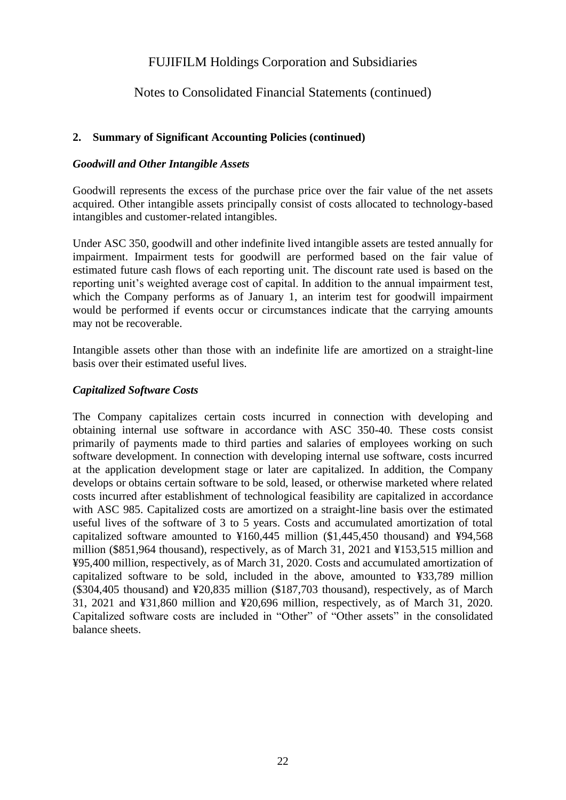## Notes to Consolidated Financial Statements (continued)

## **2. Summary of Significant Accounting Policies (continued)**

### *Goodwill and Other Intangible Assets*

Goodwill represents the excess of the purchase price over the fair value of the net assets acquired. Other intangible assets principally consist of costs allocated to technology-based intangibles and customer-related intangibles.

Under ASC 350, goodwill and other indefinite lived intangible assets are tested annually for impairment. Impairment tests for goodwill are performed based on the fair value of estimated future cash flows of each reporting unit. The discount rate used is based on the reporting unit's weighted average cost of capital. In addition to the annual impairment test, which the Company performs as of January 1, an interim test for goodwill impairment would be performed if events occur or circumstances indicate that the carrying amounts may not be recoverable.

Intangible assets other than those with an indefinite life are amortized on a straight-line basis over their estimated useful lives.

#### *Capitalized Software Costs*

The Company capitalizes certain costs incurred in connection with developing and obtaining internal use software in accordance with ASC 350-40. These costs consist primarily of payments made to third parties and salaries of employees working on such software development. In connection with developing internal use software, costs incurred at the application development stage or later are capitalized. In addition, the Company develops or obtains certain software to be sold, leased, or otherwise marketed where related costs incurred after establishment of technological feasibility are capitalized in accordance with ASC 985. Capitalized costs are amortized on a straight-line basis over the estimated useful lives of the software of 3 to 5 years. Costs and accumulated amortization of total capitalized software amounted to ¥160,445 million (\$1,445,450 thousand) and ¥94,568 million (\$851,964 thousand), respectively, as of March 31, 2021 and ¥153,515 million and ¥95,400 million, respectively, as of March 31, 2020. Costs and accumulated amortization of capitalized software to be sold, included in the above, amounted to ¥33,789 million (\$304,405 thousand) and ¥20,835 million (\$187,703 thousand), respectively, as of March 31, 2021 and ¥31,860 million and ¥20,696 million, respectively, as of March 31, 2020. Capitalized software costs are included in "Other" of "Other assets" in the consolidated balance sheets.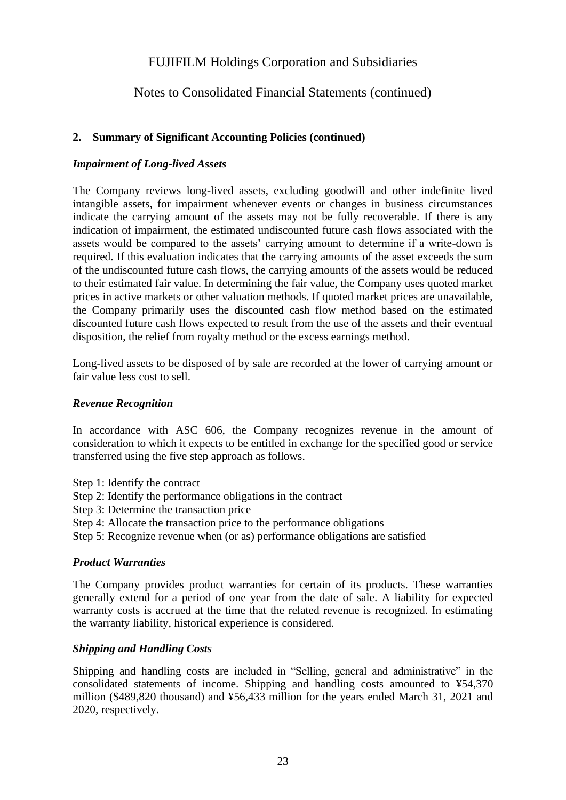## Notes to Consolidated Financial Statements (continued)

## **2. Summary of Significant Accounting Policies (continued)**

## *Impairment of Long-lived Assets*

The Company reviews long-lived assets, excluding goodwill and other indefinite lived intangible assets, for impairment whenever events or changes in business circumstances indicate the carrying amount of the assets may not be fully recoverable. If there is any indication of impairment, the estimated undiscounted future cash flows associated with the assets would be compared to the assets' carrying amount to determine if a write-down is required. If this evaluation indicates that the carrying amounts of the asset exceeds the sum of the undiscounted future cash flows, the carrying amounts of the assets would be reduced to their estimated fair value. In determining the fair value, the Company uses quoted market prices in active markets or other valuation methods. If quoted market prices are unavailable, the Company primarily uses the discounted cash flow method based on the estimated discounted future cash flows expected to result from the use of the assets and their eventual disposition, the relief from royalty method or the excess earnings method.

Long-lived assets to be disposed of by sale are recorded at the lower of carrying amount or fair value less cost to sell.

#### *Revenue Recognition*

In accordance with ASC 606, the Company recognizes revenue in the amount of consideration to which it expects to be entitled in exchange for the specified good or service transferred using the five step approach as follows.

- Step 1: Identify the contract
- Step 2: Identify the performance obligations in the contract
- Step 3: Determine the transaction price
- Step 4: Allocate the transaction price to the performance obligations
- Step 5: Recognize revenue when (or as) performance obligations are satisfied

#### *Product Warranties*

The Company provides product warranties for certain of its products. These warranties generally extend for a period of one year from the date of sale. A liability for expected warranty costs is accrued at the time that the related revenue is recognized. In estimating the warranty liability, historical experience is considered.

### *Shipping and Handling Costs*

Shipping and handling costs are included in "Selling, general and administrative" in the consolidated statements of income. Shipping and handling costs amounted to ¥54,370 million (\$489,820 thousand) and ¥56,433 million for the years ended March 31, 2021 and 2020, respectively.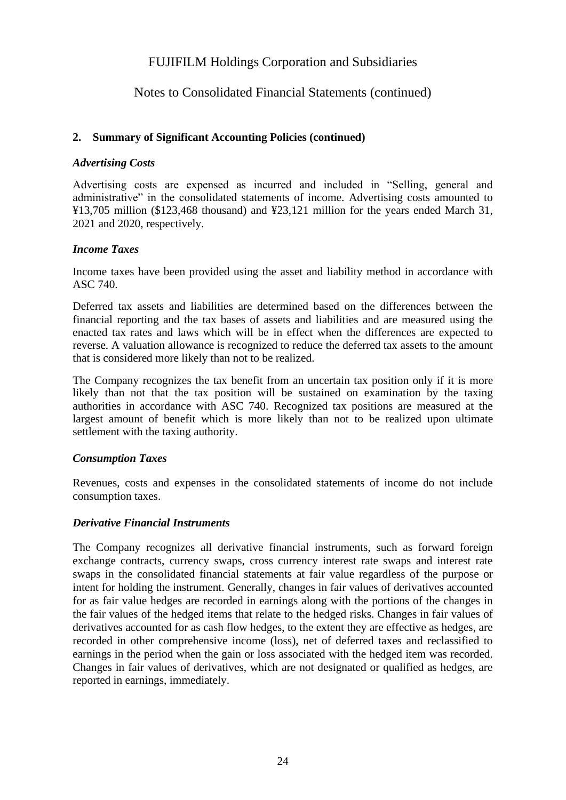## Notes to Consolidated Financial Statements (continued)

## **2. Summary of Significant Accounting Policies (continued)**

### *Advertising Costs*

Advertising costs are expensed as incurred and included in "Selling, general and administrative" in the consolidated statements of income. Advertising costs amounted to ¥13,705 million (\$123,468 thousand) and ¥23,121 million for the years ended March 31, 2021 and 2020, respectively.

#### *Income Taxes*

Income taxes have been provided using the asset and liability method in accordance with ASC 740.

Deferred tax assets and liabilities are determined based on the differences between the financial reporting and the tax bases of assets and liabilities and are measured using the enacted tax rates and laws which will be in effect when the differences are expected to reverse. A valuation allowance is recognized to reduce the deferred tax assets to the amount that is considered more likely than not to be realized.

The Company recognizes the tax benefit from an uncertain tax position only if it is more likely than not that the tax position will be sustained on examination by the taxing authorities in accordance with ASC 740. Recognized tax positions are measured at the largest amount of benefit which is more likely than not to be realized upon ultimate settlement with the taxing authority.

#### *Consumption Taxes*

Revenues, costs and expenses in the consolidated statements of income do not include consumption taxes.

#### *Derivative Financial Instruments*

The Company recognizes all derivative financial instruments, such as forward foreign exchange contracts, currency swaps, cross currency interest rate swaps and interest rate swaps in the consolidated financial statements at fair value regardless of the purpose or intent for holding the instrument. Generally, changes in fair values of derivatives accounted for as fair value hedges are recorded in earnings along with the portions of the changes in the fair values of the hedged items that relate to the hedged risks. Changes in fair values of derivatives accounted for as cash flow hedges, to the extent they are effective as hedges, are recorded in other comprehensive income (loss), net of deferred taxes and reclassified to earnings in the period when the gain or loss associated with the hedged item was recorded. Changes in fair values of derivatives, which are not designated or qualified as hedges, are reported in earnings, immediately.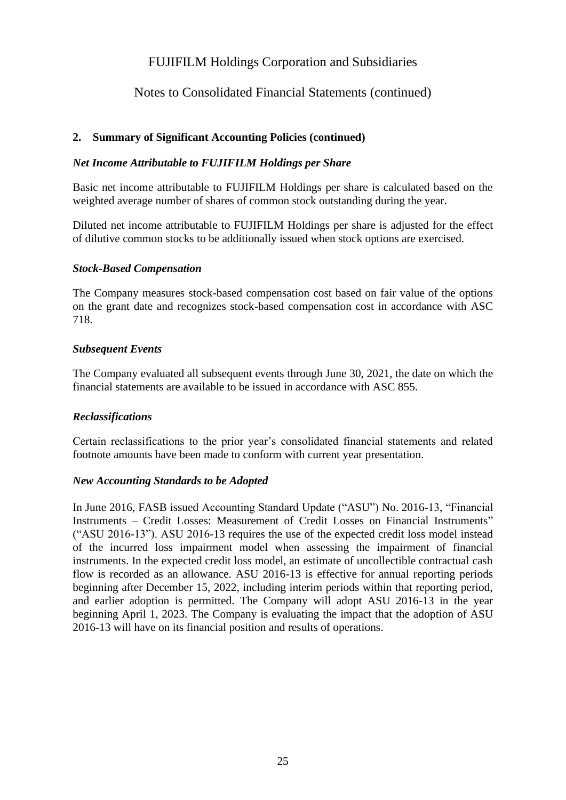## Notes to Consolidated Financial Statements (continued)

## **2. Summary of Significant Accounting Policies (continued)**

### *Net Income Attributable to FUJIFILM Holdings per Share*

Basic net income attributable to FUJIFILM Holdings per share is calculated based on the weighted average number of shares of common stock outstanding during the year.

Diluted net income attributable to FUJIFILM Holdings per share is adjusted for the effect of dilutive common stocks to be additionally issued when stock options are exercised.

#### *Stock-Based Compensation*

The Company measures stock-based compensation cost based on fair value of the options on the grant date and recognizes stock-based compensation cost in accordance with ASC 718.

#### *Subsequent Events*

The Company evaluated all subsequent events through June 30, 2021, the date on which the financial statements are available to be issued in accordance with ASC 855.

#### *Reclassifications*

Certain reclassifications to the prior year's consolidated financial statements and related footnote amounts have been made to conform with current year presentation.

#### *New Accounting Standards to be Adopted*

In June 2016, FASB issued Accounting Standard Update ("ASU") No. 2016-13, "Financial Instruments – Credit Losses: Measurement of Credit Losses on Financial Instruments" ("ASU 2016-13"). ASU 2016-13 requires the use of the expected credit loss model instead of the incurred loss impairment model when assessing the impairment of financial instruments. In the expected credit loss model, an estimate of uncollectible contractual cash flow is recorded as an allowance. ASU 2016-13 is effective for annual reporting periods beginning after December 15, 2022, including interim periods within that reporting period, and earlier adoption is permitted. The Company will adopt ASU 2016-13 in the year beginning April 1, 2023. The Company is evaluating the impact that the adoption of ASU 2016-13 will have on its financial position and results of operations.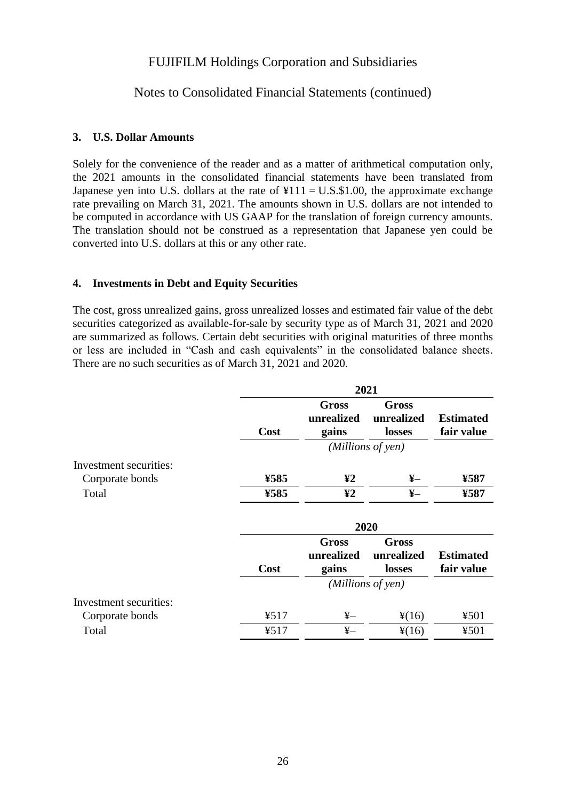## Notes to Consolidated Financial Statements (continued)

#### **3. U.S. Dollar Amounts**

Solely for the convenience of the reader and as a matter of arithmetical computation only, the 2021 amounts in the consolidated financial statements have been translated from Japanese yen into U.S. dollars at the rate of  $\text{\textsterling}111 = \text{U.S.}\text{\textsterling}1.00$ , the approximate exchange rate prevailing on March 31, 2021. The amounts shown in U.S. dollars are not intended to be computed in accordance with US GAAP for the translation of foreign currency amounts. The translation should not be construed as a representation that Japanese yen could be converted into U.S. dollars at this or any other rate.

#### **4. Investments in Debt and Equity Securities**

The cost, gross unrealized gains, gross unrealized losses and estimated fair value of the debt securities categorized as available-for-sale by security type as of March 31, 2021 and 2020 are summarized as follows. Certain debt securities with original maturities of three months or less are included in "Cash and cash equivalents" in the consolidated balance sheets. There are no such securities as of March 31, 2021 and 2020.

|                        | 2021 |                                     |                                      |                                |  |
|------------------------|------|-------------------------------------|--------------------------------------|--------------------------------|--|
|                        | Cost | Gross<br>unrealized<br>gains        | <b>Gross</b><br>unrealized<br>losses | <b>Estimated</b><br>fair value |  |
|                        |      |                                     | (Millions of yen)                    |                                |  |
| Investment securities: |      |                                     |                                      |                                |  |
| Corporate bonds        | ¥585 | ¥2                                  | ¥—                                   | ¥587                           |  |
| Total                  | ¥585 | ¥2                                  | $Y -$                                | ¥587                           |  |
|                        |      |                                     |                                      |                                |  |
|                        |      |                                     | 2020                                 |                                |  |
|                        | Cost | <b>Gross</b><br>unrealized<br>gains | <b>Gross</b><br>unrealized<br>losses | <b>Estimated</b><br>fair value |  |
|                        |      |                                     | (Millions of yen)                    |                                |  |
| Investment securities: |      |                                     |                                      |                                |  |
| Corporate bonds        | 4517 | $_{\rm X-}$                         | $\frac{4}{16}$                       | ¥501                           |  |
| Total                  | 4517 | $_{\rm X-}$                         | $\frac{4}{16}$                       | ¥501                           |  |
|                        |      |                                     |                                      |                                |  |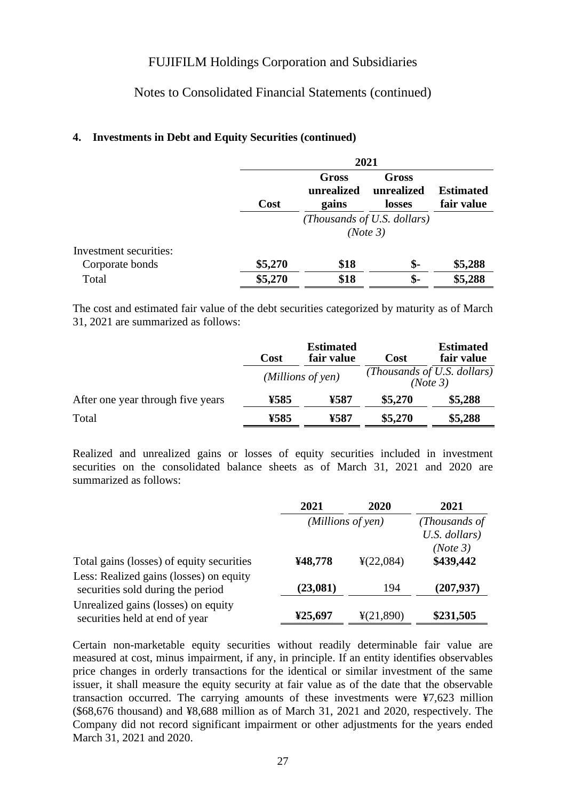## Notes to Consolidated Financial Statements (continued)

### **4. Investments in Debt and Equity Securities (continued)**

|                        |         | 2021                         |                                         |                                |
|------------------------|---------|------------------------------|-----------------------------------------|--------------------------------|
|                        | Cost    | Gross<br>unrealized<br>gains | Gross<br>unrealized<br>losses           | <b>Estimated</b><br>fair value |
|                        |         |                              | (Thousands of U.S. dollars)<br>(Note 3) |                                |
| Investment securities: |         |                              |                                         |                                |
| Corporate bonds        | \$5,270 | \$18                         | \$-                                     | \$5,288                        |
| Total                  | \$5,270 | \$18                         | \$-                                     | \$5,288                        |

The cost and estimated fair value of the debt securities categorized by maturity as of March 31, 2021 are summarized as follows:

|                                   | Cost | <b>Estimated</b><br>fair value | Cost    | <b>Estimated</b><br>fair value          |
|-----------------------------------|------|--------------------------------|---------|-----------------------------------------|
|                                   |      | (Millions of yen)              |         | (Thousands of U.S. dollars)<br>(Note 3) |
| After one year through five years | ¥585 | ¥587                           | \$5,270 | \$5,288                                 |
| Total                             | ¥585 | ¥587                           | \$5,270 | \$5,288                                 |

Realized and unrealized gains or losses of equity securities included in investment securities on the consolidated balance sheets as of March 31, 2021 and 2020 are summarized as follows:

|                                                                              | 2021              | 2020                  | 2021                                       |
|------------------------------------------------------------------------------|-------------------|-----------------------|--------------------------------------------|
|                                                                              | (Millions of yen) |                       | (Thousands of<br>U.S. dollars)<br>(Note 3) |
| Total gains (losses) of equity securities                                    | ¥48,778           | $\frac{1}{2}(22,084)$ | \$439,442                                  |
| Less: Realized gains (losses) on equity<br>securities sold during the period | (23, 081)         | 194                   | (207, 937)                                 |
| Unrealized gains (losses) on equity<br>securities held at end of year        | ¥25,697           | $\frac{1}{2}(21,890)$ | \$231,505                                  |

Certain non-marketable equity securities without readily determinable fair value are measured at cost, minus impairment, if any, in principle. If an entity identifies observables price changes in orderly transactions for the identical or similar investment of the same issuer, it shall measure the equity security at fair value as of the date that the observable transaction occurred. The carrying amounts of these investments were ¥7,623 million (\$68,676 thousand) and ¥8,688 million as of March 31, 2021 and 2020, respectively. The Company did not record significant impairment or other adjustments for the years ended March 31, 2021 and 2020.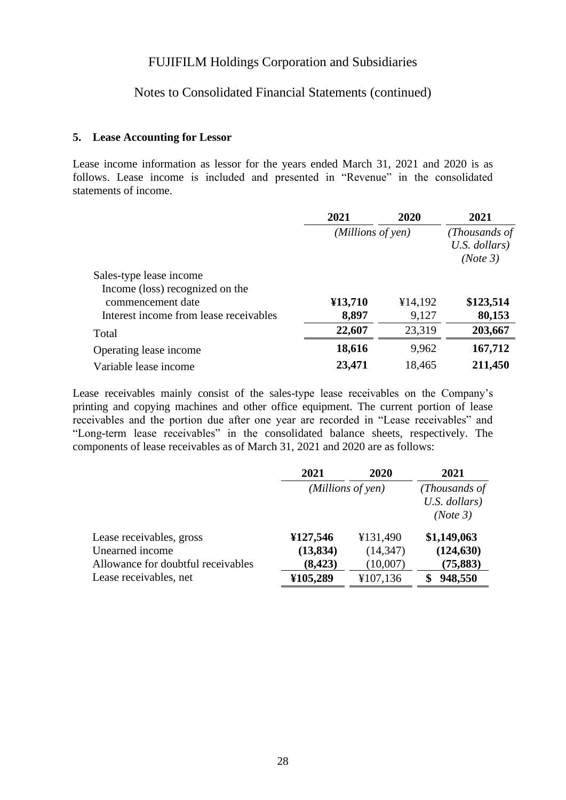## Notes to Consolidated Financial Statements (continued)

#### **5. Lease Accounting for Lessor**

Lease income information as lessor for the years ended March 31, 2021 and 2020 is as follows. Lease income is included and presented in "Revenue" in the consolidated statements of income.

|                                        | 2021              | 2020    | 2021                                       |
|----------------------------------------|-------------------|---------|--------------------------------------------|
|                                        | (Millions of yen) |         | (Thousands of<br>U.S. dollars)<br>(Note 3) |
| Sales-type lease income                |                   |         |                                            |
| Income (loss) recognized on the        |                   |         |                                            |
| commencement date                      | ¥13,710           | ¥14,192 | \$123,514                                  |
| Interest income from lease receivables | 8,897             | 9,127   | 80,153                                     |
| Total                                  | 22,607            | 23,319  | 203,667                                    |
| Operating lease income                 | 18,616            | 9,962   | 167,712                                    |
| Variable lease income                  | 23,471            | 18,465  | 211,450                                    |

Lease receivables mainly consist of the sales-type lease receivables on the Company's printing and copying machines and other office equipment. The current portion of lease receivables and the portion due after one year are recorded in "Lease receivables" and "Long-term lease receivables" in the consolidated balance sheets, respectively. The components of lease receivables as of March 31, 2021 and 2020 are as follows:

|                                    | 2021      | 2020              | 2021                                       |
|------------------------------------|-----------|-------------------|--------------------------------------------|
|                                    |           | (Millions of yen) | (Thousands of<br>U.S. dollars)<br>(Note 3) |
| Lease receivables, gross           | ¥127,546  | ¥131,490          | \$1,149,063                                |
| Unearned income                    | (13, 834) | (14, 347)         | (124, 630)                                 |
| Allowance for doubtful receivables | (8, 423)  | (10,007)          | (75, 883)                                  |
| Lease receivables, net             | ¥105,289  | ¥107,136          | 948,550                                    |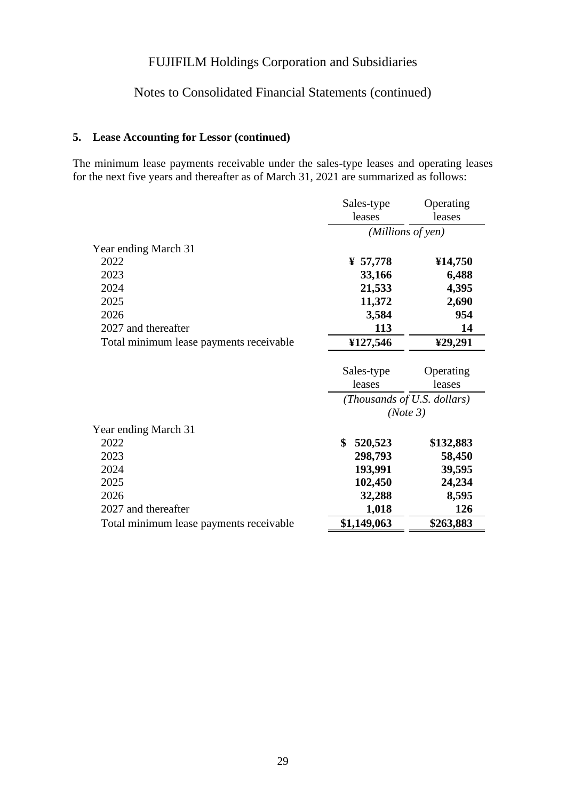# Notes to Consolidated Financial Statements (continued)

#### **5. Lease Accounting for Lessor (continued)**

The minimum lease payments receivable under the sales-type leases and operating leases for the next five years and thereafter as of March 31, 2021 are summarized as follows:

|                                         | Sales-type        | Operating                   |
|-----------------------------------------|-------------------|-----------------------------|
|                                         | leases            | leases                      |
|                                         | (Millions of yen) |                             |
| Year ending March 31                    |                   |                             |
| 2022                                    | ¥ 57,778          | ¥14,750                     |
| 2023                                    | 33,166            | 6,488                       |
| 2024                                    | 21,533            | 4,395                       |
| 2025                                    | 11,372            | 2,690                       |
| 2026                                    | 3,584             | 954                         |
| 2027 and thereafter                     | 113               | 14                          |
| Total minimum lease payments receivable | ¥127,546          | ¥29,291                     |
|                                         | Sales-type        | Operating                   |
|                                         | leases            | leases                      |
|                                         |                   | (Thousands of U.S. dollars) |
|                                         | (Note 3)          |                             |
| Year ending March 31                    |                   |                             |
| 2022                                    | \$<br>520,523     | \$132,883                   |
| 2023                                    | 298,793           | 58,450                      |
| 2024                                    | 193,991           | 39,595                      |
| 2025                                    | 102,450           | 24,234                      |
| 2026                                    | 32,288            | 8,595                       |
| 2027 and thereafter                     | 1,018             | 126                         |
| Total minimum lease payments receivable | \$1,149,063       | \$263,883                   |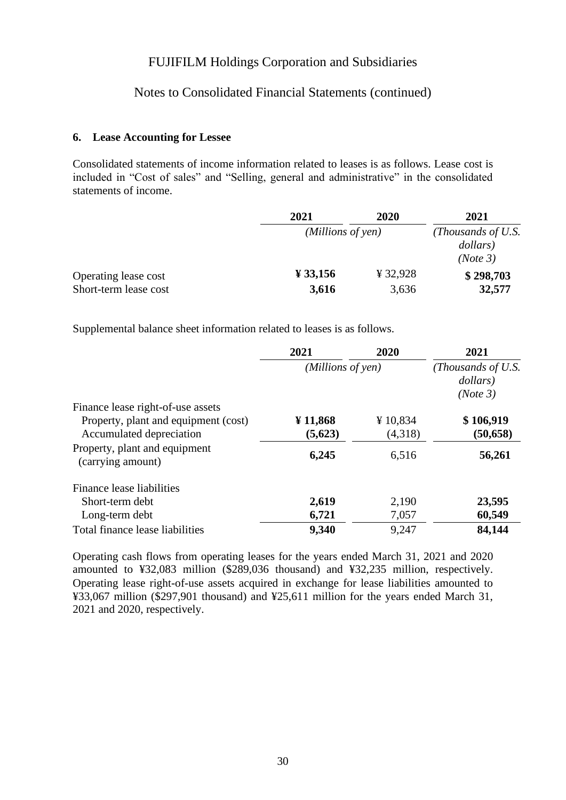## Notes to Consolidated Financial Statements (continued)

### **6. Lease Accounting for Lessee**

Consolidated statements of income information related to leases is as follows. Lease cost is included in "Cost of sales" and "Selling, general and administrative" in the consolidated statements of income.

|                                               | 2021              | 2020              | 2021                                           |
|-----------------------------------------------|-------------------|-------------------|------------------------------------------------|
|                                               | (Millions of yen) |                   | (Thousands of $U.S.$ )<br>dollars)<br>(Note 3) |
| Operating lease cost<br>Short-term lease cost | ¥ 33,156<br>3,616 | ¥ 32,928<br>3,636 | \$298,703<br>32,577                            |

Supplemental balance sheet information related to leases is as follows.

|                                                    | 2021              | 2020       | 2021                                       |
|----------------------------------------------------|-------------------|------------|--------------------------------------------|
|                                                    | (Millions of yen) |            | (Thousands of U.S.<br>dollars)<br>(Note 3) |
| Finance lease right-of-use assets                  |                   |            |                                            |
| Property, plant and equipment (cost)               | ¥11,868           | ¥ $10,834$ | \$106,919                                  |
| Accumulated depreciation                           | (5,623)           | (4,318)    | (50, 658)                                  |
| Property, plant and equipment<br>(carrying amount) | 6,245             | 6,516      | 56,261                                     |
| Finance lease liabilities                          |                   |            |                                            |
| Short-term debt                                    | 2,619             | 2,190      | 23,595                                     |
| Long-term debt                                     | 6,721             | 7,057      | 60,549                                     |
| Total finance lease liabilities                    | 9,340             | 9,247      | 84,144                                     |

Operating cash flows from operating leases for the years ended March 31, 2021 and 2020 amounted to ¥32,083 million (\$289,036 thousand) and ¥32,235 million, respectively. Operating lease right-of-use assets acquired in exchange for lease liabilities amounted to ¥33,067 million (\$297,901 thousand) and ¥25,611 million for the years ended March 31, 2021 and 2020, respectively.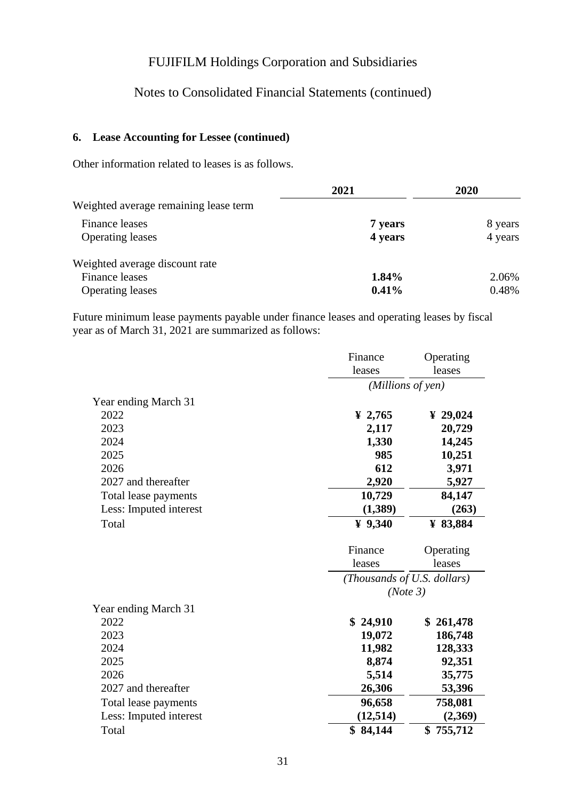# Notes to Consolidated Financial Statements (continued)

## **6. Lease Accounting for Lessee (continued)**

Other information related to leases is as follows.

| 2021    | 2020    |
|---------|---------|
|         |         |
| 7 years | 8 years |
| 4 years | 4 years |
|         |         |
| 1.84%   | 2.06%   |
| 0.41%   | 0.48%   |
|         |         |

Future minimum lease payments payable under finance leases and operating leases by fiscal year as of March 31, 2021 are summarized as follows:

|                        | Finance                     | Operating     |
|------------------------|-----------------------------|---------------|
|                        | leases                      | leases        |
|                        | (Millions of yen)           |               |
| Year ending March 31   |                             |               |
| 2022                   | ¥ 2,765                     | ¥ 29,024      |
| 2023                   | 2,117                       | 20,729        |
| 2024                   | 1,330                       | 14,245        |
| 2025                   | 985                         | 10,251        |
| 2026                   | 612                         | 3,971         |
| 2027 and thereafter    | 2,920                       | 5,927         |
| Total lease payments   | 10,729                      | 84,147        |
| Less: Imputed interest | (1,389)                     | (263)         |
| Total                  | ¥ $9,340$                   | ¥ 83,884      |
|                        |                             |               |
|                        | Finance                     | Operating     |
|                        | leases                      | leases        |
|                        | (Thousands of U.S. dollars) |               |
|                        | (Note 3)                    |               |
| Year ending March 31   |                             |               |
| 2022                   | \$24,910                    | \$261,478     |
| 2023                   | 19,072                      | 186,748       |
| 2024                   | 11,982                      | 128,333       |
| 2025                   | 8,874                       | 92,351        |
| 2026                   | 5,514                       | 35,775        |
| 2027 and thereafter    | 26,306                      | 53,396        |
| Total lease payments   | 96,658                      | 758,081       |
| Less: Imputed interest | (12, 514)                   | (2,369)       |
| Total                  | \$84,144                    | 755,712<br>\$ |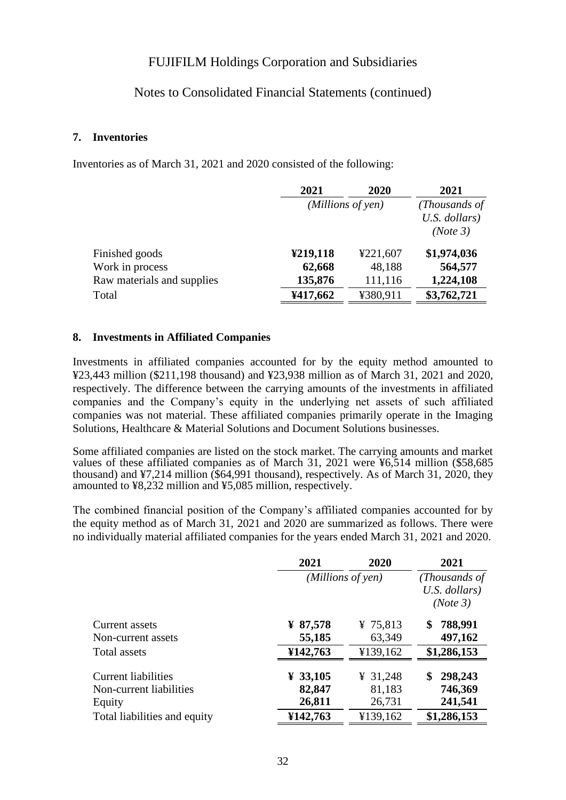## Notes to Consolidated Financial Statements (continued)

### **7. Inventories**

Inventories as of March 31, 2021 and 2020 consisted of the following:

|                            | 2021     | 2020              | 2021                                       |
|----------------------------|----------|-------------------|--------------------------------------------|
|                            |          | (Millions of yen) | (Thousands of<br>U.S. dollars)<br>(Note 3) |
| Finished goods             | ¥219,118 | ¥221,607          | \$1,974,036                                |
| Work in process            | 62,668   | 48,188            | 564,577                                    |
| Raw materials and supplies | 135,876  | 111,116           | 1,224,108                                  |
| Total                      | ¥417,662 | ¥380,911          | \$3,762,721                                |

#### **8. Investments in Affiliated Companies**

Investments in affiliated companies accounted for by the equity method amounted to ¥23,443 million (\$211,198 thousand) and ¥23,938 million as of March 31, 2021 and 2020, respectively. The difference between the carrying amounts of the investments in affiliated companies and the Company's equity in the underlying net assets of such affiliated companies was not material. These affiliated companies primarily operate in the Imaging Solutions, Healthcare & Material Solutions and Document Solutions businesses.

Some affiliated companies are listed on the stock market. The carrying amounts and market values of these affiliated companies as of March 31, 2021 were ¥6,514 million (\$58,685 thousand) and ¥7,214 million (\$64,991 thousand), respectively. As of March 31, 2020, they amounted to ¥8,232 million and ¥5,085 million, respectively.

The combined financial position of the Company's affiliated companies accounted for by the equity method as of March 31, 2021 and 2020 are summarized as follows. There were no individually material affiliated companies for the years ended March 31, 2021 and 2020.

|                              | 2021     | 2020              | 2021                      |
|------------------------------|----------|-------------------|---------------------------|
|                              |          | (Millions of yen) | (Thousands of             |
|                              |          |                   | U.S. dollars)<br>(Note 3) |
| Current assets               | ¥ 87,578 | ¥ $75,813$        | 788,991<br>\$             |
| Non-current assets           | 55,185   | 63,349            | 497,162                   |
| Total assets                 | ¥142,763 | ¥139,162          | \$1,286,153               |
| Current liabilities          | ¥ 33,105 | ¥ 31,248          | 298,243<br>\$             |
| Non-current liabilities      | 82,847   | 81,183            | 746,369                   |
| Equity                       | 26,811   | 26,731            | 241,541                   |
| Total liabilities and equity | ¥142,763 | ¥139,162          | \$1,286,153               |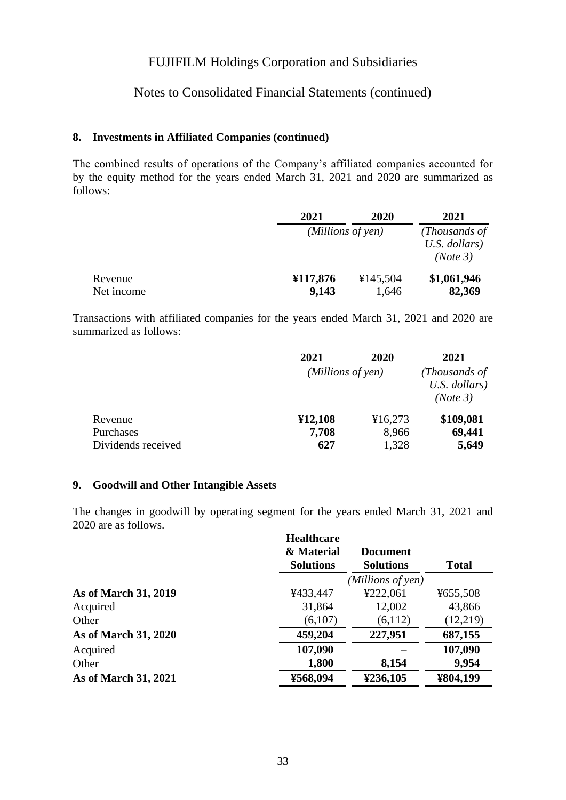## Notes to Consolidated Financial Statements (continued)

### **8. Investments in Affiliated Companies (continued)**

The combined results of operations of the Company's affiliated companies accounted for by the equity method for the years ended March 31, 2021 and 2020 are summarized as follows:

|                       | 2021              | 2020              | 2021                                       |
|-----------------------|-------------------|-------------------|--------------------------------------------|
|                       | (Millions of yen) |                   | (Thousands of<br>U.S. dollars)<br>(Note 3) |
| Revenue<br>Net income | ¥117,876<br>9,143 | ¥145,504<br>1,646 | \$1,061,946<br>82,369                      |

Transactions with affiliated companies for the years ended March 31, 2021 and 2020 are summarized as follows:

|                    | 2021              | 2020    | 2021                                       |
|--------------------|-------------------|---------|--------------------------------------------|
|                    | (Millions of yen) |         | (Thousands of<br>U.S. dollars)<br>(Note 3) |
| Revenue            | ¥12,108           | ¥16,273 | \$109,081                                  |
| Purchases          | 7,708             | 8,966   | 69,441                                     |
| Dividends received | 627               | 1,328   | 5,649                                      |

#### **9. Goodwill and Other Intangible Assets**

The changes in goodwill by operating segment for the years ended March 31, 2021 and 2020 are as follows.

|                      | <b>Healthcare</b><br>& Material<br><b>Solutions</b> | <b>Document</b><br><b>Solutions</b> | <b>Total</b> |
|----------------------|-----------------------------------------------------|-------------------------------------|--------------|
|                      |                                                     | (Millions of yen)                   |              |
| As of March 31, 2019 | ¥433,447                                            | ¥222,061                            | ¥655,508     |
| Acquired             | 31,864                                              | 12,002                              | 43,866       |
| Other                | (6,107)                                             | (6,112)                             | (12,219)     |
| As of March 31, 2020 | 459,204                                             | 227,951                             | 687,155      |
| Acquired             | 107,090                                             |                                     | 107,090      |
| Other                | 1,800                                               | 8,154                               | 9,954        |
| As of March 31, 2021 | ¥568,094                                            | ¥236,105                            | ¥804,199     |
|                      |                                                     |                                     |              |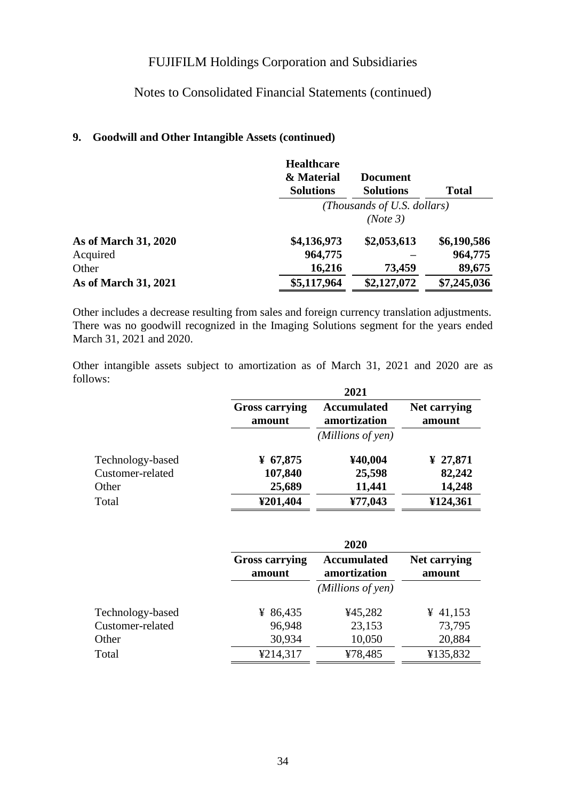## Notes to Consolidated Financial Statements (continued)

### **9. Goodwill and Other Intangible Assets (continued)**

|                                           | <b>Healthcare</b><br>& Material<br><b>Solutions</b> | <b>Document</b><br><b>Solutions</b> | <b>Total</b>                     |
|-------------------------------------------|-----------------------------------------------------|-------------------------------------|----------------------------------|
|                                           | (Thousands of U.S. dollars)<br>(Note 3)             |                                     |                                  |
| As of March 31, 2020<br>Acquired<br>Other | \$4,136,973<br>964,775<br>16,216                    | \$2,053,613<br>73,459               | \$6,190,586<br>964,775<br>89,675 |
| As of March 31, 2021                      | \$5,117,964                                         | \$2,127,072                         | \$7,245,036                      |

Other includes a decrease resulting from sales and foreign currency translation adjustments. There was no goodwill recognized in the Imaging Solutions segment for the years ended March 31, 2021 and 2020.

Other intangible assets subject to amortization as of March 31, 2021 and 2020 are as follows:

|                  | 2021                            |                                    |                        |
|------------------|---------------------------------|------------------------------------|------------------------|
|                  | <b>Gross carrying</b><br>amount | <b>Accumulated</b><br>amortization | Net carrying<br>amount |
|                  |                                 | (Millions of yen)                  |                        |
| Technology-based | ¥ $67,875$                      | ¥40,004                            | ¥ 27,871               |
| Customer-related | 107,840                         | 25,598                             | 82,242                 |
| Other            | 25,689                          | 11,441                             | 14,248                 |
| Total            | ¥201,404                        | ¥77,043                            | ¥124,361               |

|                  |                                 | 2020                               |                        |  |
|------------------|---------------------------------|------------------------------------|------------------------|--|
|                  | <b>Gross carrying</b><br>amount | <b>Accumulated</b><br>amortization | Net carrying<br>amount |  |
|                  |                                 | (Millions of yen)                  |                        |  |
| Technology-based | ¥ 86,435                        | ¥45,282                            | ¥ 41,153               |  |
| Customer-related | 96,948                          | 23,153                             | 73,795                 |  |
| Other            | 30,934                          | 10,050                             | 20,884                 |  |
| Total            | ¥214,317                        | ¥78,485                            | ¥135,832               |  |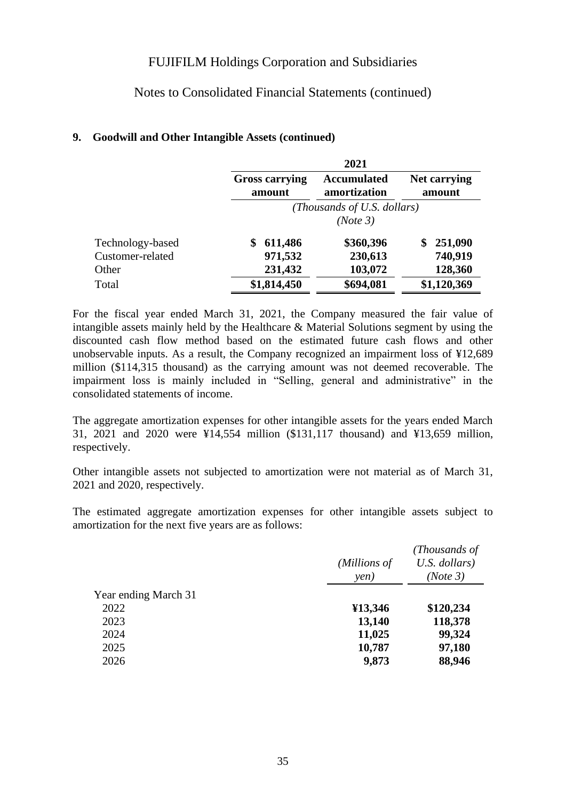### Notes to Consolidated Financial Statements (continued)

### **9. Goodwill and Other Intangible Assets (continued)**

|                  |                                 | 2021                               |                        |
|------------------|---------------------------------|------------------------------------|------------------------|
|                  | <b>Gross carrying</b><br>amount | <b>Accumulated</b><br>amortization | Net carrying<br>amount |
|                  |                                 | (Thousands of U.S. dollars)        |                        |
| Technology-based | 611,486                         | \$360,396                          | 251,090<br>\$          |
| Customer-related | 971,532                         | 230,613                            | 740,919                |
| Other            | 231,432                         | 103,072                            | 128,360                |
| Total            | \$1,814,450                     | \$694,081                          | \$1,120,369            |

For the fiscal year ended March 31, 2021, the Company measured the fair value of intangible assets mainly held by the Healthcare & Material Solutions segment by using the discounted cash flow method based on the estimated future cash flows and other unobservable inputs. As a result, the Company recognized an impairment loss of ¥12,689 million (\$114,315 thousand) as the carrying amount was not deemed recoverable. The impairment loss is mainly included in "Selling, general and administrative" in the consolidated statements of income.

The aggregate amortization expenses for other intangible assets for the years ended March 31, 2021 and 2020 were ¥14,554 million (\$131,117 thousand) and ¥13,659 million, respectively.

Other intangible assets not subjected to amortization were not material as of March 31, 2021 and 2020, respectively.

The estimated aggregate amortization expenses for other intangible assets subject to amortization for the next five years are as follows:

|                      | (Millions of<br>yen) | (Thousands of<br>U.S. dollars)<br>(Note 3) |
|----------------------|----------------------|--------------------------------------------|
| Year ending March 31 |                      |                                            |
| 2022                 | ¥13,346              | \$120,234                                  |
| 2023                 | 13,140               | 118,378                                    |
| 2024                 | 11,025               | 99,324                                     |
| 2025                 | 10,787               | 97,180                                     |
| 2026                 | 9,873                | 88,946                                     |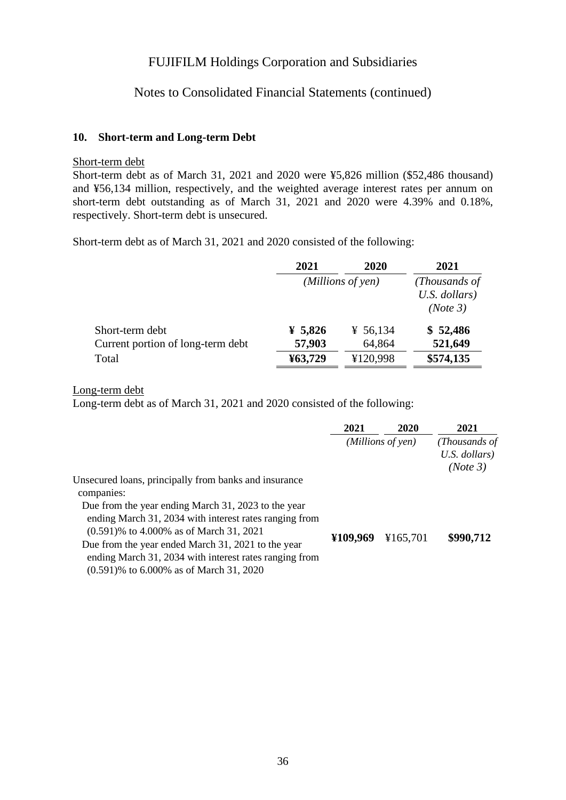# Notes to Consolidated Financial Statements (continued)

#### **10. Short-term and Long-term Debt**

#### Short-term debt

Short-term debt as of March 31, 2021 and 2020 were ¥5,826 million (\$52,486 thousand) and ¥56,134 million, respectively, and the weighted average interest rates per annum on short-term debt outstanding as of March 31, 2021 and 2020 were 4.39% and 0.18%, respectively. Short-term debt is unsecured.

Short-term debt as of March 31, 2021 and 2020 consisted of the following:

|                                   | 2021    | 2020              | 2021                                           |
|-----------------------------------|---------|-------------------|------------------------------------------------|
|                                   |         | (Millions of yen) | (Thomas and s of)<br>U.S. dollars)<br>(Note 3) |
| Short-term debt                   | ¥ 5,826 | ¥ 56,134          | \$52,486                                       |
| Current portion of long-term debt | 57,903  | 64,864            | 521,649                                        |
| Total                             | ¥63,729 | ¥120,998          | \$574,135                                      |

#### Long-term debt

Long-term debt as of March 31, 2021 and 2020 consisted of the following:

|                                                                                                                                                             | 2021     | 2020              | 2021                                       |
|-------------------------------------------------------------------------------------------------------------------------------------------------------------|----------|-------------------|--------------------------------------------|
|                                                                                                                                                             |          | (Millions of yen) | (Thousands of<br>U.S. dollars)<br>(Note 3) |
| Unsecured loans, principally from banks and insurance<br>companies:                                                                                         |          |                   |                                            |
| Due from the year ending March 31, 2023 to the year<br>ending March 31, 2034 with interest rates ranging from<br>$(0.591)$ % to 4.000% as of March 31, 2021 |          |                   |                                            |
| Due from the year ended March 31, 2021 to the year<br>ending March 31, 2034 with interest rates ranging from<br>$(0.591)$ % to 6.000% as of March 31, 2020  | ¥109,969 | ¥165,701          | \$990,712                                  |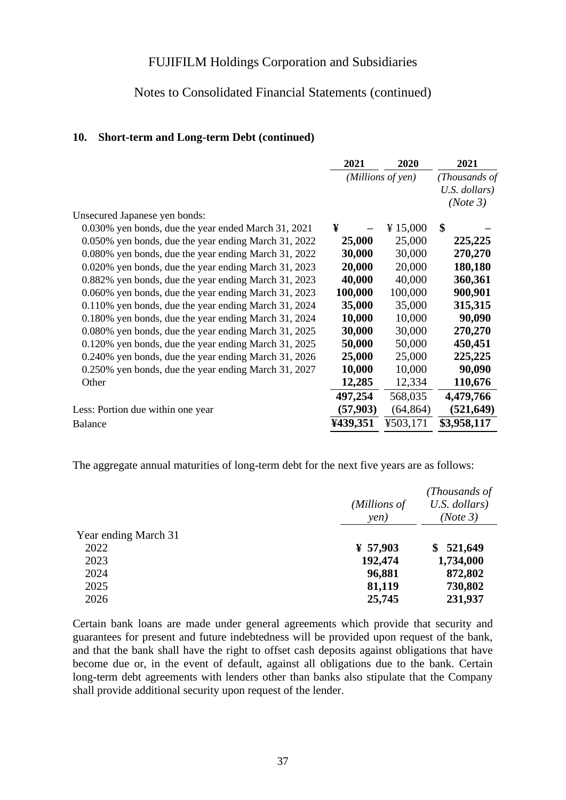# Notes to Consolidated Financial Statements (continued)

### **10. Short-term and Long-term Debt (continued)**

|                                                      | 2021      | 2020              | 2021                                      |
|------------------------------------------------------|-----------|-------------------|-------------------------------------------|
|                                                      |           | (Millions of yen) | Thousands of<br>U.S. dollars)<br>(Note 3) |
| Unsecured Japanese yen bonds:                        |           |                   |                                           |
| 0.030% yen bonds, due the year ended March 31, 2021  | ¥         | ¥ 15,000          | \$                                        |
| 0.050% yen bonds, due the year ending March 31, 2022 | 25,000    | 25,000            | 225,225                                   |
| 0.080% yen bonds, due the year ending March 31, 2022 | 30,000    | 30,000            | 270,270                                   |
| 0.020% yen bonds, due the year ending March 31, 2023 | 20,000    | 20,000            | 180,180                                   |
| 0.882% yen bonds, due the year ending March 31, 2023 | 40,000    | 40,000            | 360,361                                   |
| 0.060% yen bonds, due the year ending March 31, 2023 | 100,000   | 100,000           | 900,901                                   |
| 0.110% yen bonds, due the year ending March 31, 2024 | 35,000    | 35,000            | 315,315                                   |
| 0.180% yen bonds, due the year ending March 31, 2024 | 10,000    | 10,000            | 90,090                                    |
| 0.080% yen bonds, due the year ending March 31, 2025 | 30,000    | 30,000            | 270,270                                   |
| 0.120% yen bonds, due the year ending March 31, 2025 | 50,000    | 50,000            | 450,451                                   |
| 0.240% yen bonds, due the year ending March 31, 2026 | 25,000    | 25,000            | 225,225                                   |
| 0.250% yen bonds, due the year ending March 31, 2027 | 10,000    | 10,000            | 90,090                                    |
| Other                                                | 12,285    | 12,334            | 110,676                                   |
|                                                      | 497,254   | 568,035           | 4,479,766                                 |
| Less: Portion due within one year                    | (57, 903) | (64, 864)         | (521, 649)                                |
| <b>Balance</b>                                       | ¥439,351  | ¥503,171          | \$3,958,117                               |

The aggregate annual maturities of long-term debt for the next five years are as follows:

|                      | (Millions of<br>$\gamma en$ | (Thousands of<br>U.S. dollars)<br>(Note 3) |
|----------------------|-----------------------------|--------------------------------------------|
| Year ending March 31 |                             |                                            |
| 2022                 | ¥ 57,903                    | 521,649<br>S.                              |
| 2023                 | 192,474                     | 1,734,000                                  |
| 2024                 | 96,881                      | 872,802                                    |
| 2025                 | 81,119                      | 730,802                                    |
| 2026                 | 25,745                      | 231,937                                    |

Certain bank loans are made under general agreements which provide that security and guarantees for present and future indebtedness will be provided upon request of the bank, and that the bank shall have the right to offset cash deposits against obligations that have become due or, in the event of default, against all obligations due to the bank. Certain long-term debt agreements with lenders other than banks also stipulate that the Company shall provide additional security upon request of the lender.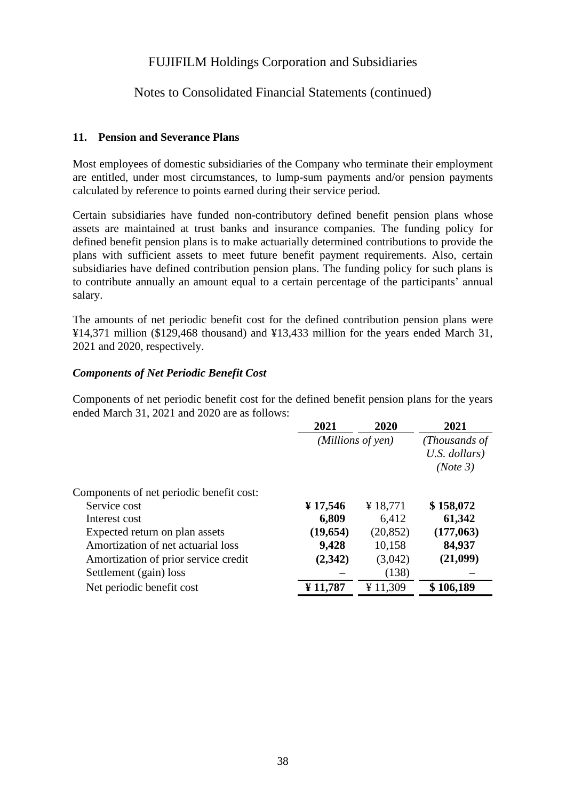### Notes to Consolidated Financial Statements (continued)

### **11. Pension and Severance Plans**

Most employees of domestic subsidiaries of the Company who terminate their employment are entitled, under most circumstances, to lump-sum payments and/or pension payments calculated by reference to points earned during their service period.

Certain subsidiaries have funded non-contributory defined benefit pension plans whose assets are maintained at trust banks and insurance companies. The funding policy for defined benefit pension plans is to make actuarially determined contributions to provide the plans with sufficient assets to meet future benefit payment requirements. Also, certain subsidiaries have defined contribution pension plans. The funding policy for such plans is to contribute annually an amount equal to a certain percentage of the participants' annual salary.

The amounts of net periodic benefit cost for the defined contribution pension plans were ¥14,371 million (\$129,468 thousand) and ¥13,433 million for the years ended March 31, 2021 and 2020, respectively.

### *Components of Net Periodic Benefit Cost*

Components of net periodic benefit cost for the defined benefit pension plans for the years ended March 31, 2021 and 2020 are as follows:

|                                          | 2021              | 2020       | 2021                                       |
|------------------------------------------|-------------------|------------|--------------------------------------------|
|                                          | (Millions of yen) |            | (Thousands of<br>U.S. dollars)<br>(Note 3) |
| Components of net periodic benefit cost: |                   |            |                                            |
| Service cost                             | ¥17,546           | ¥ $18,771$ | \$158,072                                  |
| Interest cost                            | 6,809             | 6,412      | 61,342                                     |
| Expected return on plan assets           | (19,654)          | (20, 852)  | (177, 063)                                 |
| Amortization of net actuarial loss       | 9,428             | 10,158     | 84,937                                     |
| Amortization of prior service credit     | (2,342)           | (3,042)    | (21,099)                                   |
| Settlement (gain) loss                   |                   | (138)      |                                            |
| Net periodic benefit cost                | ¥11,787           | ¥11,309    | \$106,189                                  |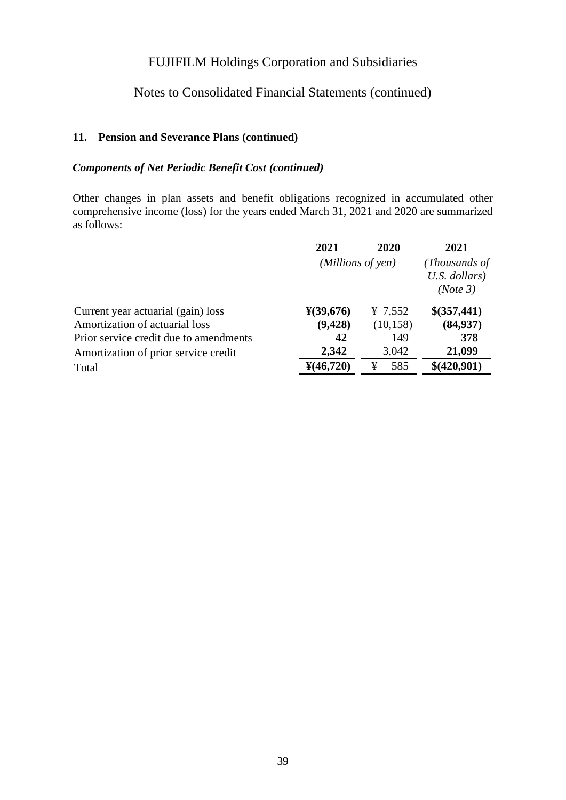# Notes to Consolidated Financial Statements (continued)

### **11. Pension and Severance Plans (continued)**

### *Components of Net Periodic Benefit Cost (continued)*

Other changes in plan assets and benefit obligations recognized in accumulated other comprehensive income (loss) for the years ended March 31, 2021 and 2020 are summarized as follows:

|                                        | 2021                          | 2020      | 2021                                       |
|----------------------------------------|-------------------------------|-----------|--------------------------------------------|
|                                        | (Millions of yen)             |           | (Thousands of<br>U.S. dollars)<br>(Note 3) |
| Current year actuarial (gain) loss     | $\frac{\mathsf{Y}(39,676)}{}$ | ¥ $7,552$ | \$(357,441)                                |
| Amortization of actuarial loss         | (9, 428)                      | (10, 158) | (84, 937)                                  |
| Prior service credit due to amendments | 42                            | 149       | 378                                        |
| Amortization of prior service credit   | 2,342                         | 3,042     | 21,099                                     |
| Total                                  | $\frac{1}{4}(46,720)$         | 585<br>¥  | \$(420,901)                                |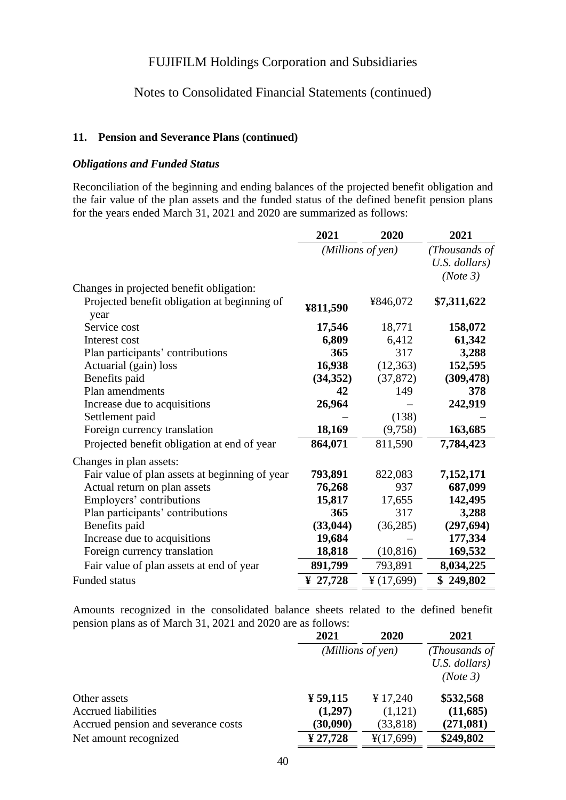## Notes to Consolidated Financial Statements (continued)

#### **11. Pension and Severance Plans (continued)**

#### *Obligations and Funded Status*

Reconciliation of the beginning and ending balances of the projected benefit obligation and the fair value of the plan assets and the funded status of the defined benefit pension plans for the years ended March 31, 2021 and 2020 are summarized as follows:

|                                                      | 2021      | 2020              | 2021                           |
|------------------------------------------------------|-----------|-------------------|--------------------------------|
|                                                      |           | (Millions of yen) | (Thousands of<br>U.S. dollars) |
|                                                      |           |                   | (Note 3)                       |
| Changes in projected benefit obligation:             |           |                   |                                |
| Projected benefit obligation at beginning of<br>year | ¥811,590  | ¥846,072          | \$7,311,622                    |
| Service cost                                         | 17,546    | 18,771            | 158,072                        |
| Interest cost                                        | 6,809     | 6,412             | 61,342                         |
| Plan participants' contributions                     | 365       | 317               | 3,288                          |
| Actuarial (gain) loss                                | 16,938    | (12, 363)         | 152,595                        |
| Benefits paid                                        | (34, 352) | (37, 872)         | (309, 478)                     |
| Plan amendments                                      | 42        | 149               | 378                            |
| Increase due to acquisitions                         | 26,964    |                   | 242,919                        |
| Settlement paid                                      |           | (138)             |                                |
| Foreign currency translation                         | 18,169    | (9,758)           | 163,685                        |
| Projected benefit obligation at end of year          | 864,071   | 811,590           | 7,784,423                      |
| Changes in plan assets:                              |           |                   |                                |
| Fair value of plan assets at beginning of year       | 793,891   | 822,083           | 7,152,171                      |
| Actual return on plan assets                         | 76,268    | 937               | 687,099                        |
| Employers' contributions                             | 15,817    | 17,655            | 142,495                        |
| Plan participants' contributions                     | 365       | 317               | 3,288                          |
| Benefits paid                                        | (33, 044) | (36, 285)         | (297, 694)                     |
| Increase due to acquisitions                         | 19,684    |                   | 177,334                        |
| Foreign currency translation                         | 18,818    | (10, 816)         | 169,532                        |
| Fair value of plan assets at end of year             | 891,799   | 793,891           | 8,034,225                      |
| <b>Funded status</b>                                 | ¥ 27,728  | ¥ $(17,699)$      | \$249,802                      |

Amounts recognized in the consolidated balance sheets related to the defined benefit pension plans as of March 31, 2021 and 2020 are as follows:

|                                     | 2021                 | 2020                  | 2021                                       |
|-------------------------------------|----------------------|-----------------------|--------------------------------------------|
|                                     |                      | (Millions of yen)     | (Thousands of<br>U.S. dollars)<br>(Note 3) |
| Other assets                        | ¥ 59,115             | ¥ 17,240              | \$532,568                                  |
| <b>Accrued liabilities</b>          | (1,297)              | (1,121)               | (11,685)                                   |
| Accrued pension and severance costs | (30,090)             | (33, 818)             | (271, 081)                                 |
| Net amount recognized               | $\frac{1}{2}$ 27,728 | $\frac{1}{2}(17,699)$ | \$249,802                                  |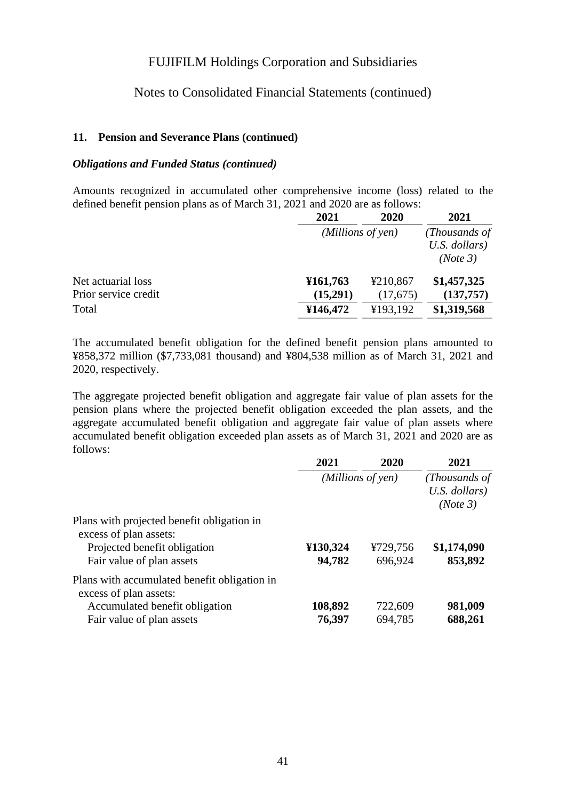### Notes to Consolidated Financial Statements (continued)

#### **11. Pension and Severance Plans (continued)**

### *Obligations and Funded Status (continued)*

Amounts recognized in accumulated other comprehensive income (loss) related to the defined benefit pension plans as of March 31, 2021 and 2020 are as follows:

|                      | 2021     | 2020              | 2021                                       |
|----------------------|----------|-------------------|--------------------------------------------|
|                      |          | (Millions of yen) | (Thousands of<br>U.S. dollars)<br>(Note 3) |
| Net actuarial loss   | ¥161,763 | ¥210,867          | \$1,457,325                                |
| Prior service credit | (15,291) | (17,675)          | (137, 757)                                 |
| Total                | ¥146,472 | ¥193,192          | \$1,319,568                                |

The accumulated benefit obligation for the defined benefit pension plans amounted to ¥858,372 million (\$7,733,081 thousand) and ¥804,538 million as of March 31, 2021 and 2020, respectively.

The aggregate projected benefit obligation and aggregate fair value of plan assets for the pension plans where the projected benefit obligation exceeded the plan assets, and the aggregate accumulated benefit obligation and aggregate fair value of plan assets where accumulated benefit obligation exceeded plan assets as of March 31, 2021 and 2020 are as follows:

|                                                                                                      | 2021              | 2020               | 2021                                       |
|------------------------------------------------------------------------------------------------------|-------------------|--------------------|--------------------------------------------|
|                                                                                                      |                   | (Millions of yen)  | (Thousands of<br>U.S. dollars)<br>(Note 3) |
| Plans with projected benefit obligation in<br>excess of plan assets:<br>Projected benefit obligation | ¥130,324          | ¥729,756           | \$1,174,090                                |
| Fair value of plan assets<br>Plans with accumulated benefit obligation in<br>excess of plan assets:  | 94,782            | 696,924            | 853,892                                    |
| Accumulated benefit obligation<br>Fair value of plan assets                                          | 108,892<br>76,397 | 722,609<br>694,785 | 981,009<br>688,261                         |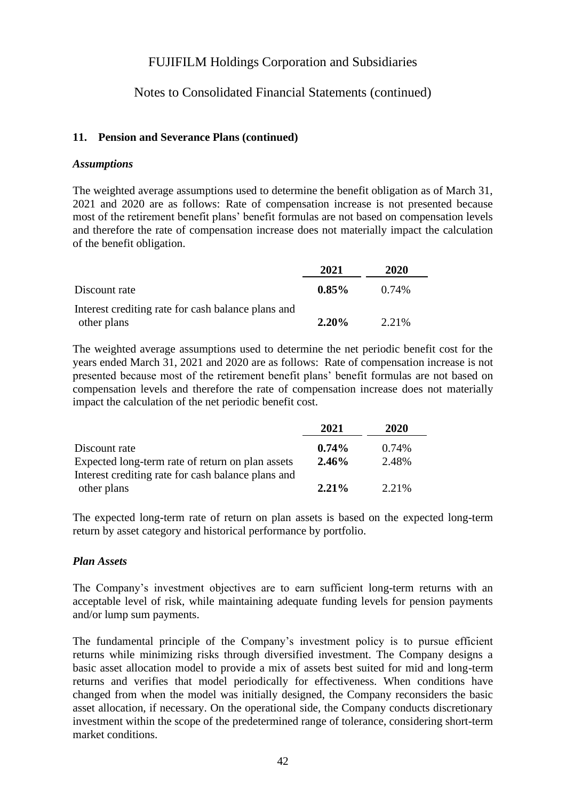### Notes to Consolidated Financial Statements (continued)

### **11. Pension and Severance Plans (continued)**

#### *Assumptions*

The weighted average assumptions used to determine the benefit obligation as of March 31, 2021 and 2020 are as follows: Rate of compensation increase is not presented because most of the retirement benefit plans' benefit formulas are not based on compensation levels and therefore the rate of compensation increase does not materially impact the calculation of the benefit obligation.

|                                                    | 2021     | 2020     |
|----------------------------------------------------|----------|----------|
| Discount rate                                      | $0.85\%$ | $0.74\%$ |
| Interest crediting rate for cash balance plans and |          |          |
| other plans                                        | $2.20\%$ | 2.21%    |

The weighted average assumptions used to determine the net periodic benefit cost for the years ended March 31, 2021 and 2020 are as follows: Rate of compensation increase is not presented because most of the retirement benefit plans' benefit formulas are not based on compensation levels and therefore the rate of compensation increase does not materially impact the calculation of the net periodic benefit cost.

|                                                    | 2021     | 2020  |
|----------------------------------------------------|----------|-------|
| Discount rate                                      | $0.74\%$ | 0.74% |
| Expected long-term rate of return on plan assets   | 2.46%    | 2.48% |
| Interest crediting rate for cash balance plans and |          |       |
| other plans                                        | $2.21\%$ | 2.21% |

The expected long-term rate of return on plan assets is based on the expected long-term return by asset category and historical performance by portfolio.

#### *Plan Assets*

The Company's investment objectives are to earn sufficient long-term returns with an acceptable level of risk, while maintaining adequate funding levels for pension payments and/or lump sum payments.

The fundamental principle of the Company's investment policy is to pursue efficient returns while minimizing risks through diversified investment. The Company designs a basic asset allocation model to provide a mix of assets best suited for mid and long-term returns and verifies that model periodically for effectiveness. When conditions have changed from when the model was initially designed, the Company reconsiders the basic asset allocation, if necessary. On the operational side, the Company conducts discretionary investment within the scope of the predetermined range of tolerance, considering short-term market conditions.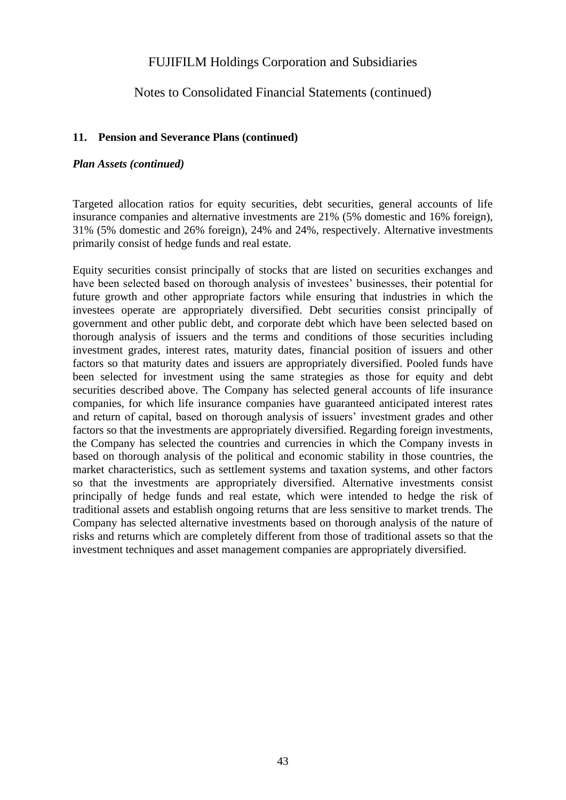### Notes to Consolidated Financial Statements (continued)

### **11. Pension and Severance Plans (continued)**

### *Plan Assets (continued)*

Targeted allocation ratios for equity securities, debt securities, general accounts of life insurance companies and alternative investments are 21% (5% domestic and 16% foreign), 31% (5% domestic and 26% foreign), 24% and 24%, respectively. Alternative investments primarily consist of hedge funds and real estate.

Equity securities consist principally of stocks that are listed on securities exchanges and have been selected based on thorough analysis of investees' businesses, their potential for future growth and other appropriate factors while ensuring that industries in which the investees operate are appropriately diversified. Debt securities consist principally of government and other public debt, and corporate debt which have been selected based on thorough analysis of issuers and the terms and conditions of those securities including investment grades, interest rates, maturity dates, financial position of issuers and other factors so that maturity dates and issuers are appropriately diversified. Pooled funds have been selected for investment using the same strategies as those for equity and debt securities described above. The Company has selected general accounts of life insurance companies, for which life insurance companies have guaranteed anticipated interest rates and return of capital, based on thorough analysis of issuers' investment grades and other factors so that the investments are appropriately diversified. Regarding foreign investments, the Company has selected the countries and currencies in which the Company invests in based on thorough analysis of the political and economic stability in those countries, the market characteristics, such as settlement systems and taxation systems, and other factors so that the investments are appropriately diversified. Alternative investments consist principally of hedge funds and real estate, which were intended to hedge the risk of traditional assets and establish ongoing returns that are less sensitive to market trends. The Company has selected alternative investments based on thorough analysis of the nature of risks and returns which are completely different from those of traditional assets so that the investment techniques and asset management companies are appropriately diversified.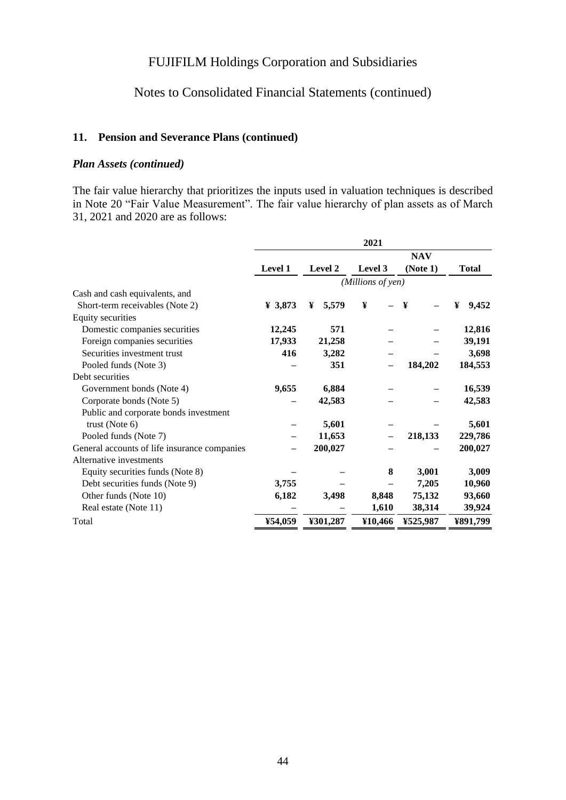# Notes to Consolidated Financial Statements (continued)

#### **11. Pension and Severance Plans (continued)**

#### *Plan Assets (continued)*

The fair value hierarchy that prioritizes the inputs used in valuation techniques is described in Note 20 "Fair Value Measurement". The fair value hierarchy of plan assets as of March 31, 2021 and 2020 are as follows:

|                                              | 2021           |                           |                   |          |              |  |
|----------------------------------------------|----------------|---------------------------|-------------------|----------|--------------|--|
|                                              | <b>NAV</b>     |                           |                   |          |              |  |
|                                              | <b>Level 1</b> | Level 3<br><b>Level 2</b> |                   | (Note 1) | <b>Total</b> |  |
|                                              |                |                           | (Millions of yen) |          |              |  |
| Cash and cash equivalents, and               |                |                           |                   |          |              |  |
| Short-term receivables (Note 2)              | ¥ 3,873        | 5,579<br>¥                | ¥                 | ¥        | ¥<br>9,452   |  |
| <b>Equity securities</b>                     |                |                           |                   |          |              |  |
| Domestic companies securities                | 12,245         | 571                       |                   |          | 12,816       |  |
| Foreign companies securities                 | 17,933         | 21,258                    |                   |          | 39,191       |  |
| Securities investment trust                  | 416            | 3,282                     |                   |          | 3,698        |  |
| Pooled funds (Note 3)                        |                | 351                       |                   | 184,202  | 184,553      |  |
| Debt securities                              |                |                           |                   |          |              |  |
| Government bonds (Note 4)                    | 9,655          | 6,884                     |                   |          | 16,539       |  |
| Corporate bonds (Note 5)                     |                | 42,583                    |                   |          | 42,583       |  |
| Public and corporate bonds investment        |                |                           |                   |          |              |  |
| trust (Note $6$ )                            |                | 5,601                     |                   |          | 5,601        |  |
| Pooled funds (Note 7)                        |                | 11,653                    |                   | 218,133  | 229,786      |  |
| General accounts of life insurance companies |                | 200,027                   |                   |          | 200,027      |  |
| Alternative investments                      |                |                           |                   |          |              |  |
| Equity securities funds (Note 8)             |                |                           | 8                 | 3,001    | 3,009        |  |
| Debt securities funds (Note 9)               | 3,755          |                           |                   | 7,205    | 10,960       |  |
| Other funds (Note 10)                        | 6,182          | 3,498                     | 8,848             | 75,132   | 93,660       |  |
| Real estate (Note 11)                        |                |                           | 1,610             | 38,314   | 39,924       |  |
| Total                                        | ¥54,059        | ¥301,287                  | ¥10,466           | ¥525,987 | ¥891,799     |  |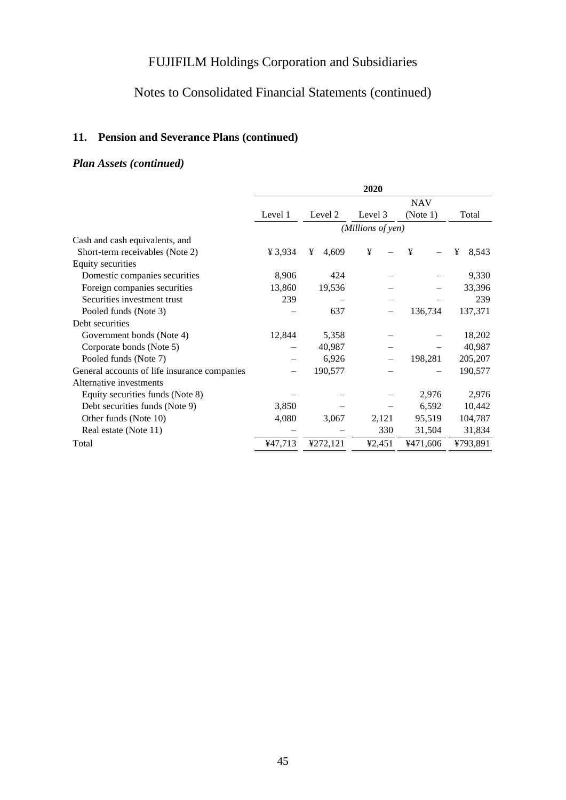# Notes to Consolidated Financial Statements (continued)

### **11. Pension and Severance Plans (continued)**

### *Plan Assets (continued)*

|                                              | 2020       |            |                   |          |            |  |
|----------------------------------------------|------------|------------|-------------------|----------|------------|--|
|                                              | <b>NAV</b> |            |                   |          |            |  |
|                                              | Level 1    | Level 2    | Level 3           | (Note 1) | Total      |  |
|                                              |            |            | (Millions of yen) |          |            |  |
| Cash and cash equivalents, and               |            |            |                   |          |            |  |
| Short-term receivables (Note 2)              | ¥ 3,934    | ¥<br>4,609 | ¥                 | ¥        | ¥<br>8,543 |  |
| Equity securities                            |            |            |                   |          |            |  |
| Domestic companies securities                | 8,906      | 424        |                   |          | 9,330      |  |
| Foreign companies securities                 | 13,860     | 19,536     |                   |          | 33,396     |  |
| Securities investment trust                  | 239        |            |                   |          | 239        |  |
| Pooled funds (Note 3)                        |            | 637        |                   | 136,734  | 137,371    |  |
| Debt securities                              |            |            |                   |          |            |  |
| Government bonds (Note 4)                    | 12,844     | 5,358      |                   |          | 18,202     |  |
| Corporate bonds (Note 5)                     |            | 40,987     |                   |          | 40,987     |  |
| Pooled funds (Note 7)                        |            | 6,926      |                   | 198,281  | 205,207    |  |
| General accounts of life insurance companies |            | 190,577    |                   |          | 190,577    |  |
| Alternative investments                      |            |            |                   |          |            |  |
| Equity securities funds (Note 8)             |            |            |                   | 2,976    | 2,976      |  |
| Debt securities funds (Note 9)               | 3,850      |            |                   | 6,592    | 10,442     |  |
| Other funds (Note 10)                        | 4,080      | 3,067      | 2,121             | 95,519   | 104,787    |  |
| Real estate (Note 11)                        |            |            | 330               | 31,504   | 31,834     |  |
| Total                                        | ¥47,713    | ¥272,121   | 42,451            | ¥471,606 | ¥793,891   |  |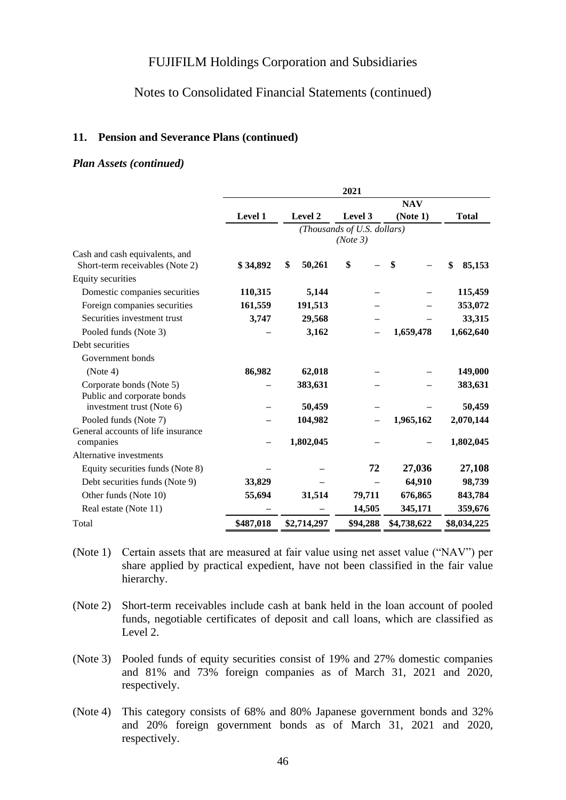### Notes to Consolidated Financial Statements (continued)

#### **11. Pension and Severance Plans (continued)**

#### *Plan Assets (continued)*

|                                                 | 2021                                    |              |          |             |              |  |
|-------------------------------------------------|-----------------------------------------|--------------|----------|-------------|--------------|--|
|                                                 | <b>NAV</b>                              |              |          |             |              |  |
|                                                 | Level 1                                 | Level 2      | Level 3  | (Note 1)    | <b>Total</b> |  |
|                                                 | (Thousands of U.S. dollars)<br>(Note 3) |              |          |             |              |  |
| Cash and cash equivalents, and                  |                                         |              |          |             |              |  |
| Short-term receivables (Note 2)                 | \$34,892                                | \$<br>50,261 | \$       | \$          | \$<br>85,153 |  |
| <b>Equity securities</b>                        |                                         |              |          |             |              |  |
| Domestic companies securities                   | 110,315                                 | 5,144        |          |             | 115,459      |  |
| Foreign companies securities                    | 161,559                                 | 191,513      |          |             | 353,072      |  |
| Securities investment trust                     | 3,747                                   | 29,568       |          |             | 33,315       |  |
| Pooled funds (Note 3)                           |                                         | 3,162        |          | 1,659,478   | 1,662,640    |  |
| Debt securities                                 |                                         |              |          |             |              |  |
| Government bonds                                |                                         |              |          |             |              |  |
| (Note 4)                                        | 86,982                                  | 62,018       |          |             | 149,000      |  |
| Corporate bonds (Note 5)                        |                                         | 383,631      |          |             | 383,631      |  |
| Public and corporate bonds                      |                                         |              |          |             |              |  |
| investment trust (Note 6)                       |                                         | 50,459       |          |             | 50,459       |  |
| Pooled funds (Note 7)                           |                                         | 104,982      |          | 1,965,162   | 2,070,144    |  |
| General accounts of life insurance<br>companies |                                         | 1,802,045    |          |             | 1,802,045    |  |
| Alternative investments                         |                                         |              |          |             |              |  |
| Equity securities funds (Note 8)                |                                         |              | 72       | 27,036      | 27,108       |  |
| Debt securities funds (Note 9)                  |                                         |              |          | 64,910      |              |  |
|                                                 | 33,829                                  |              |          |             | 98,739       |  |
| Other funds (Note 10)                           | 55,694                                  | 31,514       | 79,711   | 676,865     | 843,784      |  |
| Real estate (Note 11)                           |                                         |              | 14,505   | 345,171     | 359,676      |  |
| Total                                           | \$487,018                               | \$2,714,297  | \$94,288 | \$4,738,622 | \$8,034,225  |  |

- (Note 1) Certain assets that are measured at fair value using net asset value ("NAV") per share applied by practical expedient, have not been classified in the fair value hierarchy.
- (Note 2) Short-term receivables include cash at bank held in the loan account of pooled funds, negotiable certificates of deposit and call loans, which are classified as Level 2.
- (Note 3) Pooled funds of equity securities consist of 19% and 27% domestic companies and 81% and 73% foreign companies as of March 31, 2021 and 2020, respectively.
- (Note 4) This category consists of 68% and 80% Japanese government bonds and 32% and 20% foreign government bonds as of March 31, 2021 and 2020, respectively.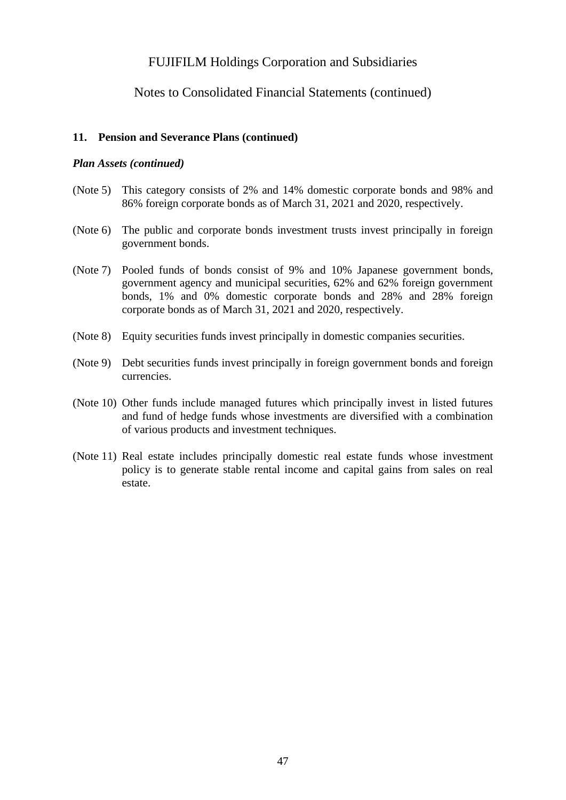### Notes to Consolidated Financial Statements (continued)

### **11. Pension and Severance Plans (continued)**

#### *Plan Assets (continued)*

- (Note 5) This category consists of 2% and 14% domestic corporate bonds and 98% and 86% foreign corporate bonds as of March 31, 2021 and 2020, respectively.
- (Note 6) The public and corporate bonds investment trusts invest principally in foreign government bonds.
- (Note 7) Pooled funds of bonds consist of 9% and 10% Japanese government bonds, government agency and municipal securities, 62% and 62% foreign government bonds, 1% and 0% domestic corporate bonds and 28% and 28% foreign corporate bonds as of March 31, 2021 and 2020, respectively.
- (Note 8) Equity securities funds invest principally in domestic companies securities.
- (Note 9) Debt securities funds invest principally in foreign government bonds and foreign currencies.
- (Note 10) Other funds include managed futures which principally invest in listed futures and fund of hedge funds whose investments are diversified with a combination of various products and investment techniques.
- (Note 11) Real estate includes principally domestic real estate funds whose investment policy is to generate stable rental income and capital gains from sales on real estate.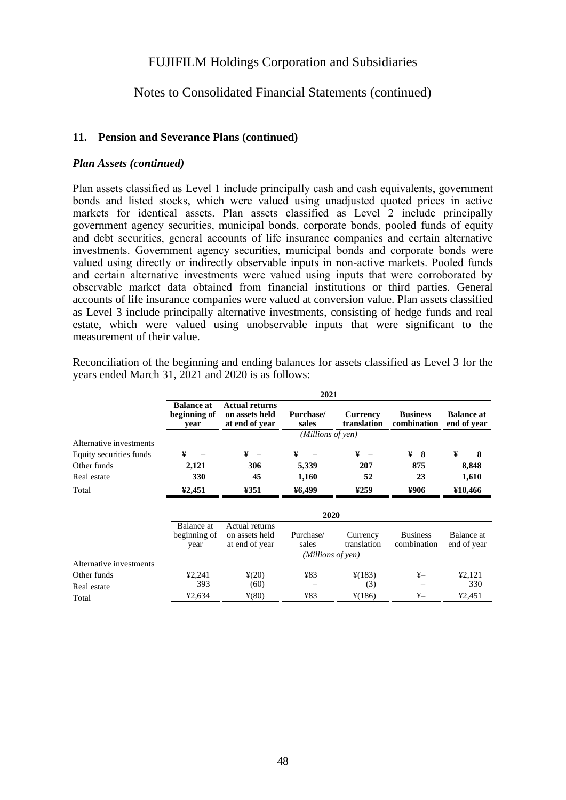### Notes to Consolidated Financial Statements (continued)

### **11. Pension and Severance Plans (continued)**

#### *Plan Assets (continued)*

Plan assets classified as Level 1 include principally cash and cash equivalents, government bonds and listed stocks, which were valued using unadjusted quoted prices in active markets for identical assets. Plan assets classified as Level 2 include principally government agency securities, municipal bonds, corporate bonds, pooled funds of equity and debt securities, general accounts of life insurance companies and certain alternative investments. Government agency securities, municipal bonds and corporate bonds were valued using directly or indirectly observable inputs in non-active markets. Pooled funds and certain alternative investments were valued using inputs that were corroborated by observable market data obtained from financial institutions or third parties. General accounts of life insurance companies were valued at conversion value. Plan assets classified as Level 3 include principally alternative investments, consisting of hedge funds and real estate, which were valued using unobservable inputs that were significant to the measurement of their value.

|                         |                                           |                                                           | 2021               |                                |                                |                                  |  |
|-------------------------|-------------------------------------------|-----------------------------------------------------------|--------------------|--------------------------------|--------------------------------|----------------------------------|--|
|                         | <b>Balance at</b><br>beginning of<br>year | <b>Actual returns</b><br>on assets held<br>at end of year | Purchase/<br>sales | <b>Currency</b><br>translation | <b>Business</b><br>combination | <b>Balance at</b><br>end of year |  |
|                         |                                           |                                                           | (Millions of yen)  |                                |                                |                                  |  |
| Alternative investments |                                           |                                                           |                    |                                |                                |                                  |  |
| Equity securities funds | ¥                                         | $\mathbf{Y}$ –                                            | ¥                  | $\ddot{Y}$ –                   | $\angle$ 8                     | ¥<br>8                           |  |
| Other funds             | 2,121                                     | 306                                                       | 5,339              | 207                            | 875                            | 8,848                            |  |
| Real estate             | 330                                       | 45                                                        | 1,160              | 52                             | 23                             | 1,610                            |  |
| Total                   | ¥2,451                                    | ¥351                                                      | ¥6,499             | ¥259                           | ¥906                           | ¥10,466                          |  |
|                         |                                           | 2020                                                      |                    |                                |                                |                                  |  |
|                         | Balance at                                | Actual returns                                            |                    |                                |                                |                                  |  |
|                         | beginning of                              | on assets held                                            | Purchase/          | Currency                       | <b>Business</b>                | Balance at                       |  |
|                         | year                                      | at end of year                                            | sales              | translation                    | combination                    | end of year                      |  |
|                         |                                           |                                                           | (Millions of yen)  |                                |                                |                                  |  |
| Alternative investments |                                           |                                                           |                    |                                |                                |                                  |  |
| Other funds             | 42,241                                    | $\frac{1}{2}(20)$                                         | ¥83                | $\frac{1}{2}(183)$             | ¥–                             | ¥2,121                           |  |
| Real estate             | 393                                       | (60)                                                      |                    | (3)                            |                                | 330                              |  |
| Total                   | ¥2,634                                    | $*(80)$                                                   | ¥83                | ¥(186)                         | ¥–                             | ¥2,451                           |  |

Reconciliation of the beginning and ending balances for assets classified as Level 3 for the years ended March 31, 2021 and 2020 is as follows: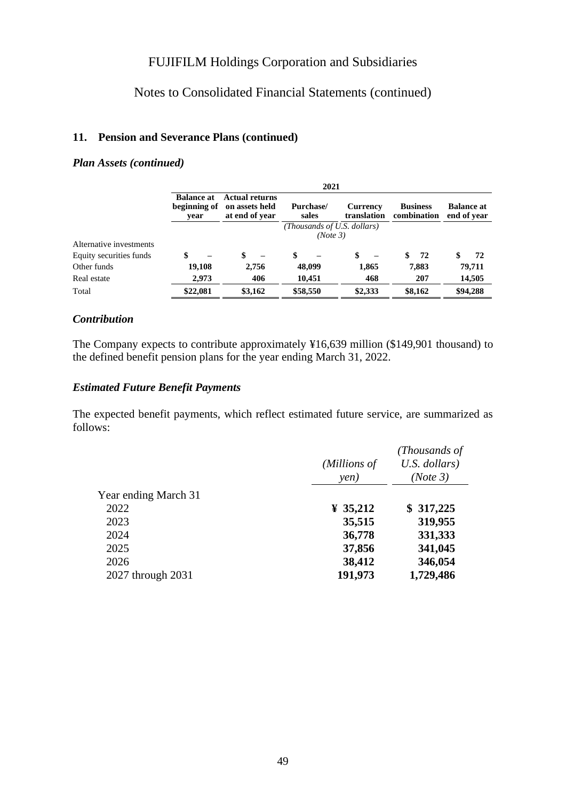# Notes to Consolidated Financial Statements (continued)

### **11. Pension and Severance Plans (continued)**

### *Plan Assets (continued)*

|                         | 2021                                      |                                                           |                                         |                         |                                |                                  |  |
|-------------------------|-------------------------------------------|-----------------------------------------------------------|-----------------------------------------|-------------------------|--------------------------------|----------------------------------|--|
|                         | <b>Balance at</b><br>beginning of<br>vear | <b>Actual returns</b><br>on assets held<br>at end of year | Purchase/<br>sales                      | Currency<br>translation | <b>Business</b><br>combination | <b>Balance at</b><br>end of year |  |
|                         |                                           |                                                           | (Thousands of U.S. dollars)<br>(Note 3) |                         |                                |                                  |  |
| Alternative investments |                                           |                                                           |                                         |                         |                                |                                  |  |
| Equity securities funds | \$                                        | \$                                                        | \$                                      | \$                      | -72<br>\$                      | \$<br>72                         |  |
| Other funds             | 19,108                                    | 2,756                                                     | 48,099                                  | 1,865                   | 7,883                          | 79,711                           |  |
| Real estate             | 2.973                                     | 406                                                       | 10.451                                  | 468                     | 207                            | 14,505                           |  |
| Total                   | \$22,081                                  | \$3,162                                                   | \$58,550                                | \$2,333                 | \$8,162                        | \$94,288                         |  |

### *Contribution*

The Company expects to contribute approximately ¥16,639 million (\$149,901 thousand) to the defined benefit pension plans for the year ending March 31, 2022.

### *Estimated Future Benefit Payments*

The expected benefit payments, which reflect estimated future service, are summarized as follows:

|                      | (Millions of<br>yen) | (Thousands of<br>U.S. dollars)<br>(Note 3) |
|----------------------|----------------------|--------------------------------------------|
| Year ending March 31 |                      |                                            |
| 2022                 | ¥ 35,212             | \$317,225                                  |
| 2023                 | 35,515               | 319,955                                    |
| 2024                 | 36,778               | 331,333                                    |
| 2025                 | 37,856               | 341,045                                    |
| 2026                 | 38,412               | 346,054                                    |
| 2027 through 2031    | 191,973              | 1,729,486                                  |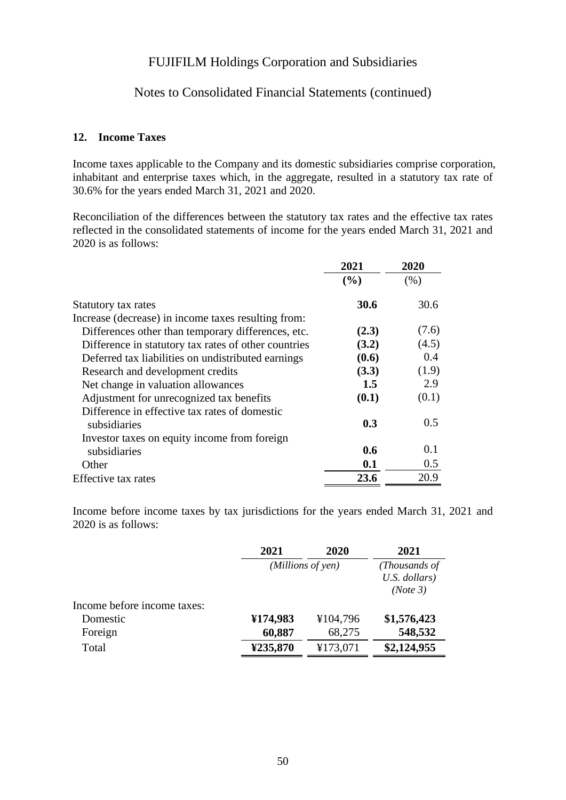## Notes to Consolidated Financial Statements (continued)

#### **12. Income Taxes**

Income taxes applicable to the Company and its domestic subsidiaries comprise corporation, inhabitant and enterprise taxes which, in the aggregate, resulted in a statutory tax rate of 30.6% for the years ended March 31, 2021 and 2020.

Reconciliation of the differences between the statutory tax rates and the effective tax rates reflected in the consolidated statements of income for the years ended March 31, 2021 and 2020 is as follows:

|                                                      | 2021    | 2020  |
|------------------------------------------------------|---------|-------|
|                                                      | (%)     | (% )  |
| Statutory tax rates                                  | 30.6    | 30.6  |
| Increase (decrease) in income taxes resulting from:  |         |       |
| Differences other than temporary differences, etc.   | (2.3)   | (7.6) |
| Difference in statutory tax rates of other countries | (3.2)   | (4.5) |
| Deferred tax liabilities on undistributed earnings   | (0.6)   | 0.4   |
| Research and development credits                     | (3.3)   | (1.9) |
| Net change in valuation allowances                   | $1.5\,$ | 2.9   |
| Adjustment for unrecognized tax benefits             | (0.1)   | (0.1) |
| Difference in effective tax rates of domestic        |         |       |
| subsidiaries                                         | 0.3     | 0.5   |
| Investor taxes on equity income from foreign         |         |       |
| subsidiaries                                         | 0.6     | 0.1   |
| Other                                                | 0.1     | 0.5   |
| Effective tax rates                                  | 23.6    | 20.9  |
|                                                      |         |       |

Income before income taxes by tax jurisdictions for the years ended March 31, 2021 and 2020 is as follows:

| 2021     | 2020     | 2021                      |
|----------|----------|---------------------------|
|          |          | (Thousands of             |
|          |          | U.S. dollars)<br>(Note 3) |
|          |          |                           |
| ¥174,983 | ¥104,796 | \$1,576,423               |
| 60,887   | 68,275   | 548,532                   |
| ¥235,870 | ¥173,071 | \$2,124,955               |
|          |          | (Millions of yen)         |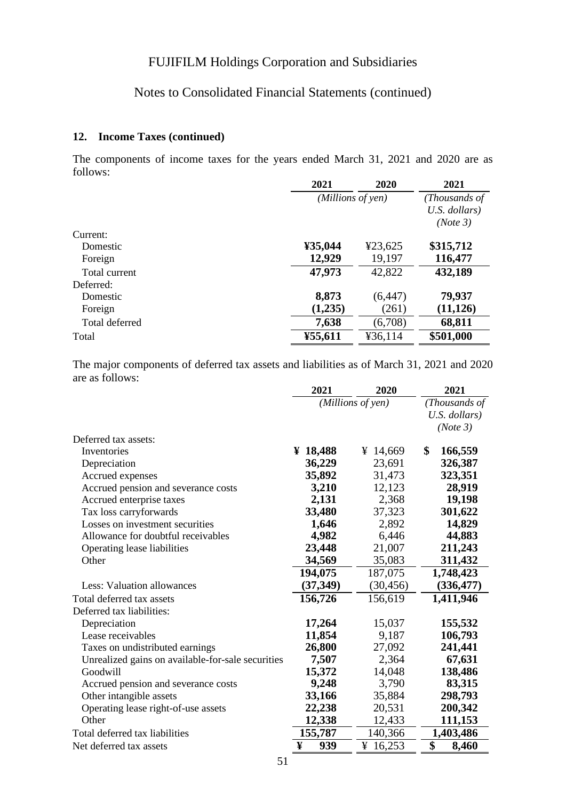## Notes to Consolidated Financial Statements (continued)

#### **12. Income Taxes (continued)**

The components of income taxes for the years ended March 31, 2021 and 2020 are as follows:

|                | 2021              | 2020     | 2021                                       |  |
|----------------|-------------------|----------|--------------------------------------------|--|
|                | (Millions of yen) |          | (Thousands of<br>U.S. dollars)<br>(Note 3) |  |
| Current:       |                   |          |                                            |  |
| Domestic       | ¥35,044           | ¥23,625  | \$315,712                                  |  |
| Foreign        | 12,929            | 19,197   | 116,477                                    |  |
| Total current  | 47,973            | 42,822   | 432,189                                    |  |
| Deferred:      |                   |          |                                            |  |
| Domestic       | 8,873             | (6, 447) | 79,937                                     |  |
| Foreign        | (1,235)           | (261)    | (11, 126)                                  |  |
| Total deferred | 7,638             | (6,708)  | 68,811                                     |  |
| Total          | ¥55,611           | ¥36,114  | \$501,000                                  |  |

The major components of deferred tax assets and liabilities as of March 31, 2021 and 2020 are as follows:

| 2021      | 2020                                                                                           | 2021                                                                                                                 |
|-----------|------------------------------------------------------------------------------------------------|----------------------------------------------------------------------------------------------------------------------|
|           |                                                                                                | (Thousands of                                                                                                        |
|           |                                                                                                | U.S. dollars)                                                                                                        |
|           |                                                                                                | (Note 3)                                                                                                             |
|           |                                                                                                |                                                                                                                      |
|           |                                                                                                | \$<br>166,559                                                                                                        |
|           |                                                                                                | 326,387                                                                                                              |
|           |                                                                                                | 323,351                                                                                                              |
|           |                                                                                                | 28,919                                                                                                               |
|           |                                                                                                | 19,198                                                                                                               |
|           |                                                                                                | 301,622                                                                                                              |
|           |                                                                                                | 14,829                                                                                                               |
|           |                                                                                                | 44,883                                                                                                               |
|           |                                                                                                | 211,243                                                                                                              |
|           |                                                                                                | 311,432                                                                                                              |
| 194,075   | 187,075                                                                                        | 1,748,423                                                                                                            |
| (37, 349) | (30, 456)                                                                                      | (336, 477)                                                                                                           |
| 156,726   | 156,619                                                                                        | 1,411,946                                                                                                            |
|           |                                                                                                |                                                                                                                      |
| 17,264    | 15,037                                                                                         | 155,532                                                                                                              |
| 11,854    | 9,187                                                                                          | 106,793                                                                                                              |
| 26,800    | 27,092                                                                                         | 241,441                                                                                                              |
| 7,507     | 2,364                                                                                          | 67,631                                                                                                               |
| 15,372    | 14,048                                                                                         | 138,486                                                                                                              |
| 9,248     | 3,790                                                                                          | 83,315                                                                                                               |
| 33,166    | 35,884                                                                                         | 298,793                                                                                                              |
| 22,238    | 20,531                                                                                         | 200,342                                                                                                              |
| 12,338    | 12,433                                                                                         | 111,153                                                                                                              |
| 155,787   | 140,366                                                                                        | 1,403,486                                                                                                            |
| ¥<br>939  | 16,253<br>¥                                                                                    | \$<br>8,460                                                                                                          |
|           | ¥ 18,488<br>36,229<br>35,892<br>3,210<br>2,131<br>33,480<br>1,646<br>4,982<br>23,448<br>34,569 | (Millions of yen)<br>¥ 14,669<br>23,691<br>31,473<br>12,123<br>2,368<br>37,323<br>2,892<br>6,446<br>21,007<br>35,083 |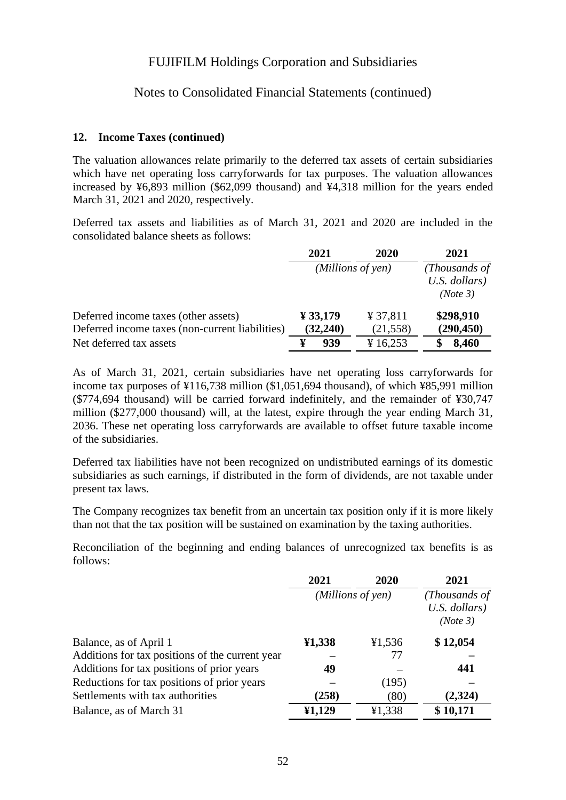### Notes to Consolidated Financial Statements (continued)

#### **12. Income Taxes (continued)**

The valuation allowances relate primarily to the deferred tax assets of certain subsidiaries which have net operating loss carryforwards for tax purposes. The valuation allowances increased by ¥6,893 million (\$62,099 thousand) and ¥4,318 million for the years ended March 31, 2021 and 2020, respectively.

Deferred tax assets and liabilities as of March 31, 2021 and 2020 are included in the consolidated balance sheets as follows:

|                                                                                         | 2021                 |          | 2020                  | 2021                                       |
|-----------------------------------------------------------------------------------------|----------------------|----------|-----------------------|--------------------------------------------|
|                                                                                         | (Millions of yen)    |          |                       | (Thousands of<br>U.S. dollars)<br>(Note 3) |
| Deferred income taxes (other assets)<br>Deferred income taxes (non-current liabilities) | $\frac{1}{2}$ 33,179 | (32,240) | ¥ 37,811<br>(21, 558) | \$298,910<br>(290, 450)                    |
| Net deferred tax assets                                                                 |                      | 939      | ¥16,253               | 8,460                                      |

As of March 31, 2021, certain subsidiaries have net operating loss carryforwards for income tax purposes of ¥116,738 million (\$1,051,694 thousand), of which ¥85,991 million (\$774,694 thousand) will be carried forward indefinitely, and the remainder of ¥30,747 million (\$277,000 thousand) will, at the latest, expire through the year ending March 31, 2036. These net operating loss carryforwards are available to offset future taxable income of the subsidiaries.

Deferred tax liabilities have not been recognized on undistributed earnings of its domestic subsidiaries as such earnings, if distributed in the form of dividends, are not taxable under present tax laws.

The Company recognizes tax benefit from an uncertain tax position only if it is more likely than not that the tax position will be sustained on examination by the taxing authorities.

Reconciliation of the beginning and ending balances of unrecognized tax benefits is as follows:

|                                                 | 2021   | 2020              | 2021                                       |
|-------------------------------------------------|--------|-------------------|--------------------------------------------|
|                                                 |        | (Millions of yen) | (Thousands of<br>U.S. dollars)<br>(Note 3) |
| Balance, as of April 1                          | 41,338 | 41,536            | \$12,054                                   |
| Additions for tax positions of the current year |        | 77                |                                            |
| Additions for tax positions of prior years      | 49     |                   | 441                                        |
| Reductions for tax positions of prior years     |        | (195)             |                                            |
| Settlements with tax authorities                | (258)  | (80)              | (2,324)                                    |
| Balance, as of March 31                         | ¥1,129 | ¥1,338            | \$10,171                                   |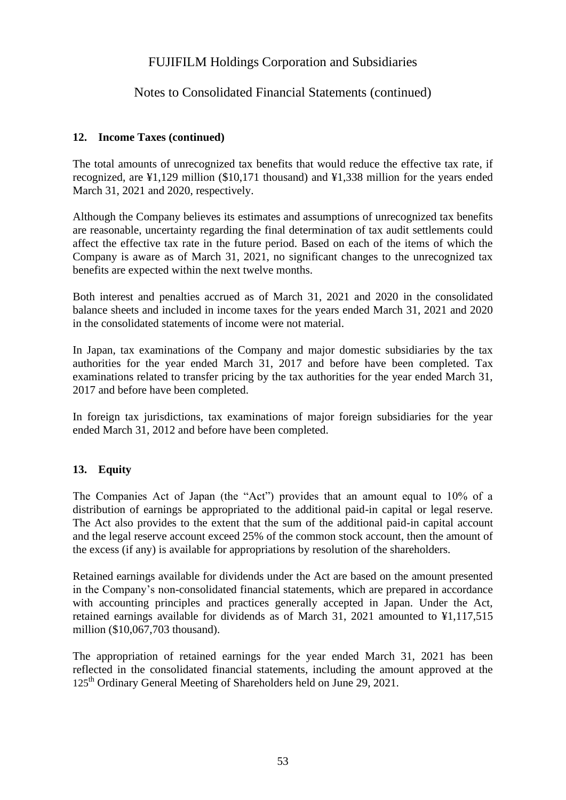### Notes to Consolidated Financial Statements (continued)

### **12. Income Taxes (continued)**

The total amounts of unrecognized tax benefits that would reduce the effective tax rate, if recognized, are ¥1,129 million (\$10,171 thousand) and ¥1,338 million for the years ended March 31, 2021 and 2020, respectively.

Although the Company believes its estimates and assumptions of unrecognized tax benefits are reasonable, uncertainty regarding the final determination of tax audit settlements could affect the effective tax rate in the future period. Based on each of the items of which the Company is aware as of March 31, 2021, no significant changes to the unrecognized tax benefits are expected within the next twelve months.

Both interest and penalties accrued as of March 31, 2021 and 2020 in the consolidated balance sheets and included in income taxes for the years ended March 31, 2021 and 2020 in the consolidated statements of income were not material.

In Japan, tax examinations of the Company and major domestic subsidiaries by the tax authorities for the year ended March 31, 2017 and before have been completed. Tax examinations related to transfer pricing by the tax authorities for the year ended March 31, 2017 and before have been completed.

In foreign tax jurisdictions, tax examinations of major foreign subsidiaries for the year ended March 31, 2012 and before have been completed.

### **13. Equity**

The Companies Act of Japan (the "Act") provides that an amount equal to 10% of a distribution of earnings be appropriated to the additional paid-in capital or legal reserve. The Act also provides to the extent that the sum of the additional paid-in capital account and the legal reserve account exceed 25% of the common stock account, then the amount of the excess (if any) is available for appropriations by resolution of the shareholders.

Retained earnings available for dividends under the Act are based on the amount presented in the Company's non-consolidated financial statements, which are prepared in accordance with accounting principles and practices generally accepted in Japan. Under the Act, retained earnings available for dividends as of March 31, 2021 amounted to ¥1,117,515 million (\$10,067,703 thousand).

The appropriation of retained earnings for the year ended March 31, 2021 has been reflected in the consolidated financial statements, including the amount approved at the 125<sup>th</sup> Ordinary General Meeting of Shareholders held on June 29, 2021.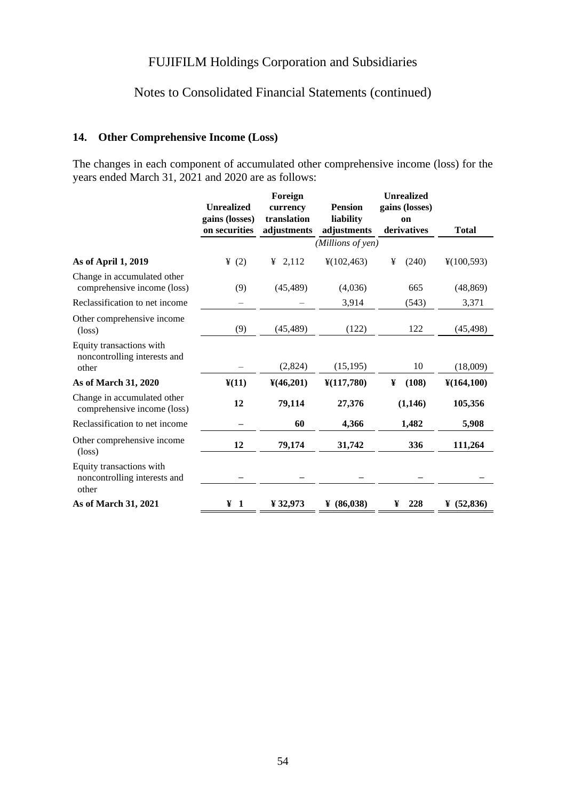# Notes to Consolidated Financial Statements (continued)

#### **14. Other Comprehensive Income (Loss)**

The changes in each component of accumulated other comprehensive income (loss) for the years ended March 31, 2021 and 2020 are as follows:

| (Millions of yen)<br>¥(102,463)<br>¥(100,593)<br>As of April 1, 2019<br>$\frac{1}{2}$ (2)<br>2,112<br>¥<br>(240)<br>¥<br>Change in accumulated other<br>comprehensive income (loss)<br>(9)<br>(45, 489)<br>(4,036)<br>665<br>(48, 869)<br>Reclassification to net income<br>(543)<br>3,914<br>3,371<br>Other comprehensive income<br>122<br>(45, 489)<br>(122)<br>(9)<br>(45, 498)<br>$(\text{loss})$<br>Equity transactions with<br>noncontrolling interests and<br>(2,824)<br>10<br>(15, 195)<br>(18,009)<br>other<br>$\frac{\gamma}{11}$<br>$\frac{\mathsf{Y}(46,201)}{}$<br>¥<br>(108)<br>$\frac{\text{V}}{\text{164,100}}$<br>As of March 31, 2020<br>$\frac{\text{V}}{\text{117,780}}$<br>Change in accumulated other<br>12<br>79,114<br>27,376<br>(1,146)<br>105,356<br>comprehensive income (loss)<br>60<br>4,366<br>Reclassification to net income<br>1,482<br>5,908<br>Other comprehensive income<br>12<br>336<br>79,174<br>31,742<br>111,264<br>$(\text{loss})$<br>Equity transactions with<br>noncontrolling interests and<br>other<br>As of March 31, 2021<br>$\angle \ 1$<br>¥ 32,973<br>¥ $(86,038)$<br>228<br>(52, 836)<br>¥<br>¥ | <b>Unrealized</b><br>gains (losses)<br>on securities | Foreign<br>currency<br>translation<br>adjustments | <b>Pension</b><br>liability<br>adjustments | <b>Unrealized</b><br>gains (losses)<br>on<br>derivatives | <b>Total</b> |
|---------------------------------------------------------------------------------------------------------------------------------------------------------------------------------------------------------------------------------------------------------------------------------------------------------------------------------------------------------------------------------------------------------------------------------------------------------------------------------------------------------------------------------------------------------------------------------------------------------------------------------------------------------------------------------------------------------------------------------------------------------------------------------------------------------------------------------------------------------------------------------------------------------------------------------------------------------------------------------------------------------------------------------------------------------------------------------------------------------------------------------------------------|------------------------------------------------------|---------------------------------------------------|--------------------------------------------|----------------------------------------------------------|--------------|
|                                                                                                                                                                                                                                                                                                                                                                                                                                                                                                                                                                                                                                                                                                                                                                                                                                                                                                                                                                                                                                                                                                                                                   |                                                      |                                                   |                                            |                                                          |              |
|                                                                                                                                                                                                                                                                                                                                                                                                                                                                                                                                                                                                                                                                                                                                                                                                                                                                                                                                                                                                                                                                                                                                                   |                                                      |                                                   |                                            |                                                          |              |
|                                                                                                                                                                                                                                                                                                                                                                                                                                                                                                                                                                                                                                                                                                                                                                                                                                                                                                                                                                                                                                                                                                                                                   |                                                      |                                                   |                                            |                                                          |              |
|                                                                                                                                                                                                                                                                                                                                                                                                                                                                                                                                                                                                                                                                                                                                                                                                                                                                                                                                                                                                                                                                                                                                                   |                                                      |                                                   |                                            |                                                          |              |
|                                                                                                                                                                                                                                                                                                                                                                                                                                                                                                                                                                                                                                                                                                                                                                                                                                                                                                                                                                                                                                                                                                                                                   |                                                      |                                                   |                                            |                                                          |              |
|                                                                                                                                                                                                                                                                                                                                                                                                                                                                                                                                                                                                                                                                                                                                                                                                                                                                                                                                                                                                                                                                                                                                                   |                                                      |                                                   |                                            |                                                          |              |
|                                                                                                                                                                                                                                                                                                                                                                                                                                                                                                                                                                                                                                                                                                                                                                                                                                                                                                                                                                                                                                                                                                                                                   |                                                      |                                                   |                                            |                                                          |              |
|                                                                                                                                                                                                                                                                                                                                                                                                                                                                                                                                                                                                                                                                                                                                                                                                                                                                                                                                                                                                                                                                                                                                                   |                                                      |                                                   |                                            |                                                          |              |
|                                                                                                                                                                                                                                                                                                                                                                                                                                                                                                                                                                                                                                                                                                                                                                                                                                                                                                                                                                                                                                                                                                                                                   |                                                      |                                                   |                                            |                                                          |              |
|                                                                                                                                                                                                                                                                                                                                                                                                                                                                                                                                                                                                                                                                                                                                                                                                                                                                                                                                                                                                                                                                                                                                                   |                                                      |                                                   |                                            |                                                          |              |
|                                                                                                                                                                                                                                                                                                                                                                                                                                                                                                                                                                                                                                                                                                                                                                                                                                                                                                                                                                                                                                                                                                                                                   |                                                      |                                                   |                                            |                                                          |              |
|                                                                                                                                                                                                                                                                                                                                                                                                                                                                                                                                                                                                                                                                                                                                                                                                                                                                                                                                                                                                                                                                                                                                                   |                                                      |                                                   |                                            |                                                          |              |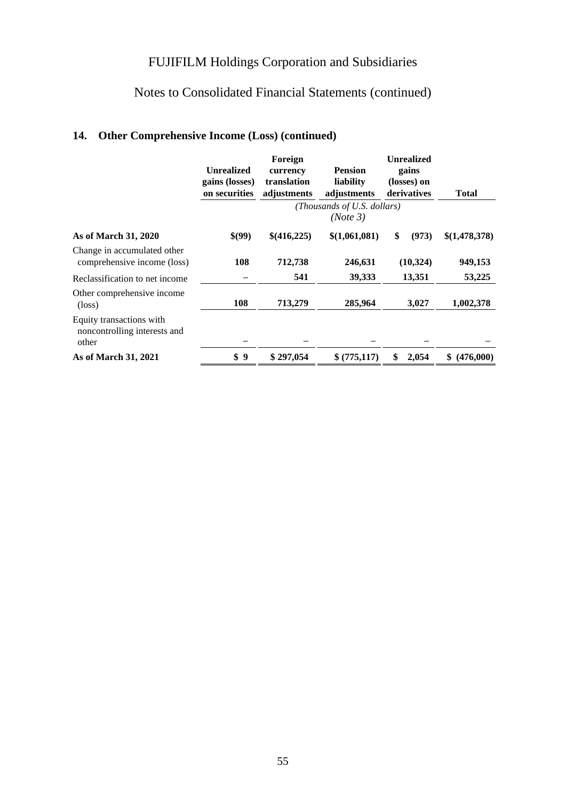# Notes to Consolidated Financial Statements (continued)

# **14. Other Comprehensive Income (Loss) (continued)**

|                                                                   | <b>Unrealized</b><br>gains (losses)<br>on securities | Foreign<br>currency<br>translation<br>adjustments | <b>Pension</b><br>liability<br>adjustments | <b>Unrealized</b><br>gains<br>(losses) on<br>derivatives | <b>Total</b>    |
|-------------------------------------------------------------------|------------------------------------------------------|---------------------------------------------------|--------------------------------------------|----------------------------------------------------------|-----------------|
|                                                                   |                                                      |                                                   | (Thousands of U.S. dollars)<br>(Note 3)    |                                                          |                 |
| As of March 31, 2020                                              | \$(99)                                               | \$(416,225)                                       | \$(1,061,081)                              | \$<br>(973)                                              | \$(1,478,378)   |
| Change in accumulated other<br>comprehensive income (loss)        | 108                                                  | 712,738                                           | 246,631                                    | (10, 324)                                                | 949,153         |
| Reclassification to net income                                    |                                                      | 541                                               | 39,333                                     | 13,351                                                   | 53,225          |
| Other comprehensive income<br>$(\text{loss})$                     | 108                                                  | 713,279                                           | 285,964                                    | 3,027                                                    | 1,002,378       |
| Equity transactions with<br>noncontrolling interests and<br>other |                                                      |                                                   |                                            |                                                          |                 |
| As of March 31, 2021                                              | \$9                                                  | \$297,054                                         | \$(775,117)                                | 2,054<br>\$                                              | \$<br>(476,000) |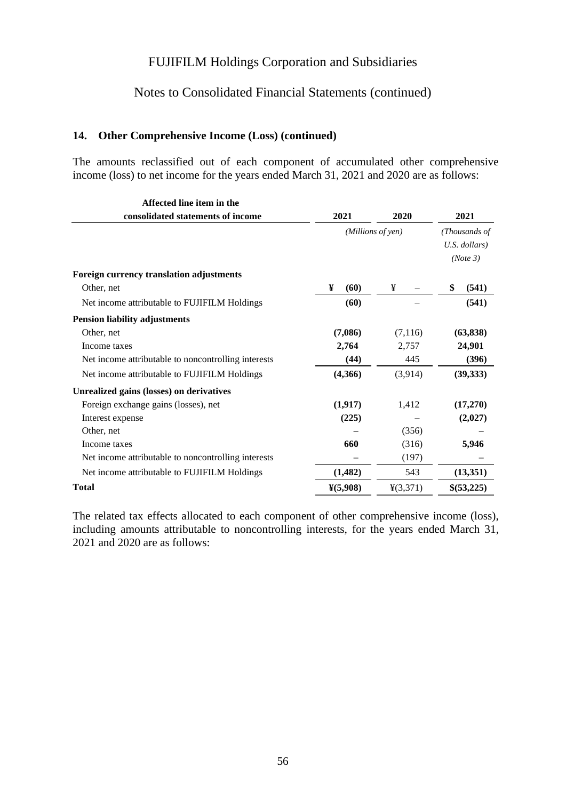## Notes to Consolidated Financial Statements (continued)

### **14. Other Comprehensive Income (Loss) (continued)**

The amounts reclassified out of each component of accumulated other comprehensive income (loss) to net income for the years ended March 31, 2021 and 2020 are as follows:

| Affected line item in the                           |                      |                      |               |  |
|-----------------------------------------------------|----------------------|----------------------|---------------|--|
| consolidated statements of income                   | 2021                 | 2020                 | 2021          |  |
|                                                     | (Millions of yen)    |                      | (Thousands of |  |
|                                                     |                      |                      | U.S. dollars) |  |
|                                                     |                      |                      | (Note 3)      |  |
| Foreign currency translation adjustments            |                      |                      |               |  |
| Other, net                                          | ¥<br>(60)            | ¥                    | \$<br>(541)   |  |
| Net income attributable to FUJIFILM Holdings        | (60)                 |                      | (541)         |  |
| <b>Pension liability adjustments</b>                |                      |                      |               |  |
| Other, net                                          | (7,086)              | (7,116)              | (63, 838)     |  |
| Income taxes                                        | 2,764                | 2,757                | 24,901        |  |
| Net income attributable to noncontrolling interests | (44)                 | 445                  | (396)         |  |
| Net income attributable to FUJIFILM Holdings        | (4,366)              | (3,914)              | (39, 333)     |  |
| Unrealized gains (losses) on derivatives            |                      |                      |               |  |
| Foreign exchange gains (losses), net                | (1, 917)             | 1,412                | (17,270)      |  |
| Interest expense                                    | (225)                |                      | (2,027)       |  |
| Other, net                                          |                      | (356)                |               |  |
| Income taxes                                        | 660                  | (316)                | 5,946         |  |
| Net income attributable to noncontrolling interests |                      | (197)                |               |  |
| Net income attributable to FUJIFILM Holdings        | (1, 482)             | 543                  | (13,351)      |  |
| <b>Total</b>                                        | $\frac{1}{2}(5,908)$ | $\frac{1}{2}(3,371)$ | \$(53,225)    |  |

The related tax effects allocated to each component of other comprehensive income (loss), including amounts attributable to noncontrolling interests, for the years ended March 31, 2021 and 2020 are as follows: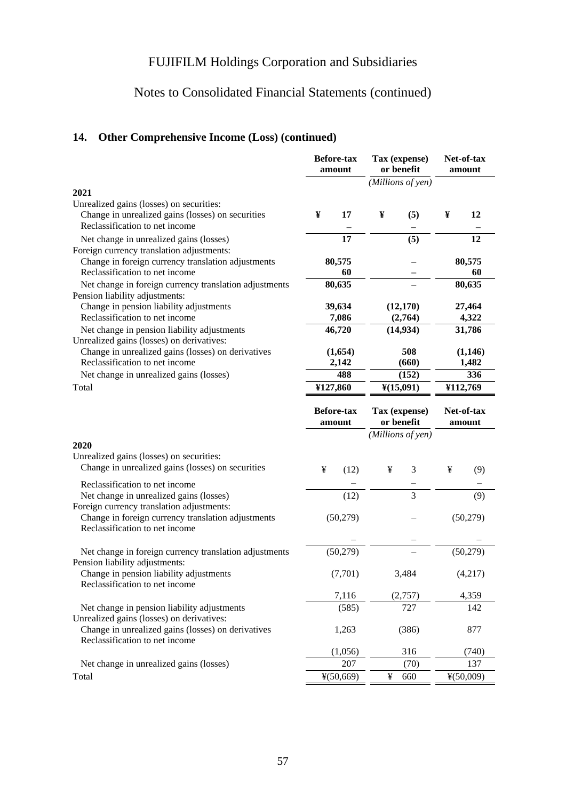# Notes to Consolidated Financial Statements (continued)

# **14. Other Comprehensive Income (Loss) (continued)**

|                                                                                                                                                                                                                             | <b>Before-tax</b><br>amount |                                   | Tax (expense)<br>or benefit<br>(Millions of yen) |                                    | Net-of-tax<br>amount      |                                   |
|-----------------------------------------------------------------------------------------------------------------------------------------------------------------------------------------------------------------------------|-----------------------------|-----------------------------------|--------------------------------------------------|------------------------------------|---------------------------|-----------------------------------|
| 2021                                                                                                                                                                                                                        |                             |                                   |                                                  |                                    |                           |                                   |
| Unrealized gains (losses) on securities:<br>Change in unrealized gains (losses) on securities<br>Reclassification to net income                                                                                             | ¥                           | 17                                | ¥                                                | (5)                                | ¥                         | 12                                |
| Net change in unrealized gains (losses)<br>Foreign currency translation adjustments:<br>Change in foreign currency translation adjustments<br>Reclassification to net income                                                |                             | 17<br>80,575<br>60                |                                                  | (5)                                |                           | 12<br>80,575<br>60                |
| Net change in foreign currency translation adjustments<br>Pension liability adjustments:<br>Change in pension liability adjustments<br>Reclassification to net income                                                       |                             | 80,635<br>39,634<br>7,086         | (12,170)<br>(2,764)                              |                                    | 80,635<br>27,464<br>4,322 |                                   |
| Net change in pension liability adjustments<br>Unrealized gains (losses) on derivatives:<br>Change in unrealized gains (losses) on derivatives<br>Reclassification to net income<br>Net change in unrealized gains (losses) |                             | 46,720<br>(1,654)<br>2,142<br>488 |                                                  | (14, 934)<br>508<br>(660)<br>(152) |                           | 31,786<br>(1,146)<br>1,482<br>336 |
| Total                                                                                                                                                                                                                       |                             | ¥127,860                          | $\frac{\text{V}}{\text{15,091}}$                 |                                    | ¥112,769                  |                                   |
|                                                                                                                                                                                                                             |                             | <b>Before-tax</b><br>amount       |                                                  | Tax (expense)<br>or benefit        |                           | Net-of-tax<br>amount              |
| 2020<br>Unrealized gains (losses) on securities:<br>Change in unrealized gains (losses) on securities                                                                                                                       | ¥                           | (12)                              | ¥                                                | (Millions of yen)<br>3             | ¥                         | (9)                               |
| Reclassification to net income<br>Net change in unrealized gains (losses)                                                                                                                                                   |                             | (12)                              |                                                  | 3                                  |                           | (9)                               |
| Foreign currency translation adjustments:<br>Change in foreign currency translation adjustments<br>Reclassification to net income                                                                                           |                             | (50,279)                          |                                                  |                                    |                           | (50,279)                          |
| Net change in foreign currency translation adjustments                                                                                                                                                                      |                             | (50, 279)                         |                                                  |                                    |                           | (50, 279)                         |
| Pension liability adjustments:<br>Change in pension liability adjustments<br>Reclassification to net income                                                                                                                 |                             | (7,701)                           |                                                  | 3,484                              |                           | (4,217)                           |
|                                                                                                                                                                                                                             |                             | 7,116                             |                                                  | (2,757)                            |                           | 4,359                             |
| Net change in pension liability adjustments<br>Unrealized gains (losses) on derivatives:                                                                                                                                    |                             | (585)                             |                                                  | 727                                |                           | 142                               |
| Change in unrealized gains (losses) on derivatives<br>Reclassification to net income                                                                                                                                        |                             | 1,263                             |                                                  | (386)                              |                           | 877                               |
|                                                                                                                                                                                                                             |                             | (1,056)                           |                                                  | 316                                |                           | (740)                             |
| Net change in unrealized gains (losses)                                                                                                                                                                                     |                             | 207                               |                                                  | (70)                               |                           | 137                               |
| Total                                                                                                                                                                                                                       |                             | $*(50,669)$                       | ¥                                                | 660                                |                           | $*(50,009)$                       |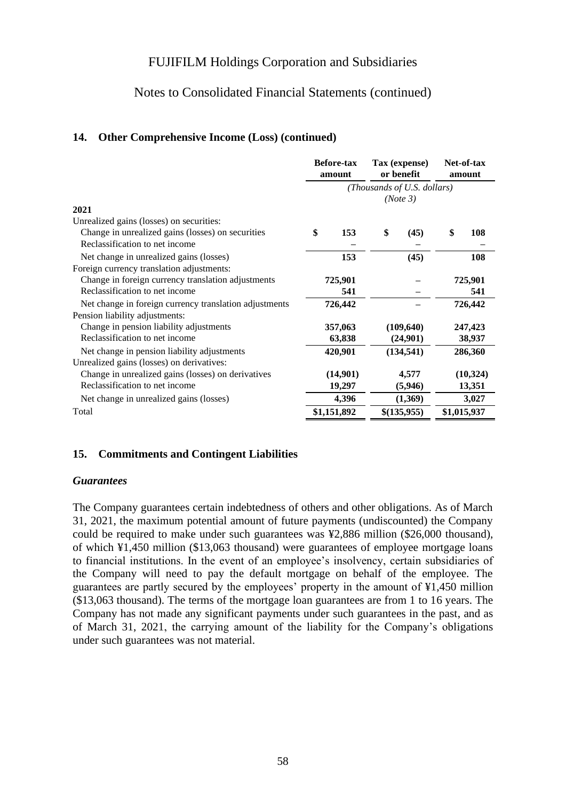### Notes to Consolidated Financial Statements (continued)

#### **14. Other Comprehensive Income (Loss) (continued)**

|                                                                                     | <b>Before-tax</b><br>amount             |             | Tax (expense)<br>or benefit |             | Net-of-tax<br>amount |             |
|-------------------------------------------------------------------------------------|-----------------------------------------|-------------|-----------------------------|-------------|----------------------|-------------|
|                                                                                     | (Thousands of U.S. dollars)<br>(Note 3) |             |                             |             |                      |             |
| 2021<br>Unrealized gains (losses) on securities:                                    |                                         |             |                             |             |                      |             |
| Change in unrealized gains (losses) on securities<br>Reclassification to net income | \$                                      | 153         | \$                          | (45)        | \$                   | 108         |
| Net change in unrealized gains (losses)                                             |                                         | 153         |                             | (45)        |                      | 108         |
| Foreign currency translation adjustments:                                           |                                         |             |                             |             |                      |             |
| Change in foreign currency translation adjustments                                  |                                         | 725,901     |                             |             |                      | 725,901     |
| Reclassification to net income                                                      |                                         | 541         |                             |             |                      | 541         |
| Net change in foreign currency translation adjustments                              |                                         | 726,442     |                             |             |                      | 726,442     |
| Pension liability adjustments:                                                      |                                         |             |                             |             |                      |             |
| Change in pension liability adjustments                                             |                                         | 357,063     |                             | (109, 640)  |                      | 247,423     |
| Reclassification to net income                                                      |                                         | 63,838      |                             | (24,901)    |                      | 38,937      |
| Net change in pension liability adjustments                                         |                                         | 420,901     |                             | (134, 541)  |                      | 286,360     |
| Unrealized gains (losses) on derivatives:                                           |                                         |             |                             |             |                      |             |
| Change in unrealized gains (losses) on derivatives                                  |                                         | (14,901)    |                             | 4,577       |                      | (10, 324)   |
| Reclassification to net income                                                      |                                         | 19,297      |                             | (5,946)     |                      | 13,351      |
| Net change in unrealized gains (losses)                                             |                                         | 4,396       |                             | (1,369)     |                      | 3,027       |
| Total                                                                               |                                         | \$1,151,892 |                             | \$(135,955) |                      | \$1,015,937 |

#### **15. Commitments and Contingent Liabilities**

#### *Guarantees*

The Company guarantees certain indebtedness of others and other obligations. As of March 31, 2021, the maximum potential amount of future payments (undiscounted) the Company could be required to make under such guarantees was ¥2,886 million (\$26,000 thousand), of which ¥1,450 million (\$13,063 thousand) were guarantees of employee mortgage loans to financial institutions. In the event of an employee's insolvency, certain subsidiaries of the Company will need to pay the default mortgage on behalf of the employee. The guarantees are partly secured by the employees' property in the amount of ¥1,450 million (\$13,063 thousand). The terms of the mortgage loan guarantees are from 1 to 16 years. The Company has not made any significant payments under such guarantees in the past, and as of March 31, 2021, the carrying amount of the liability for the Company's obligations under such guarantees was not material.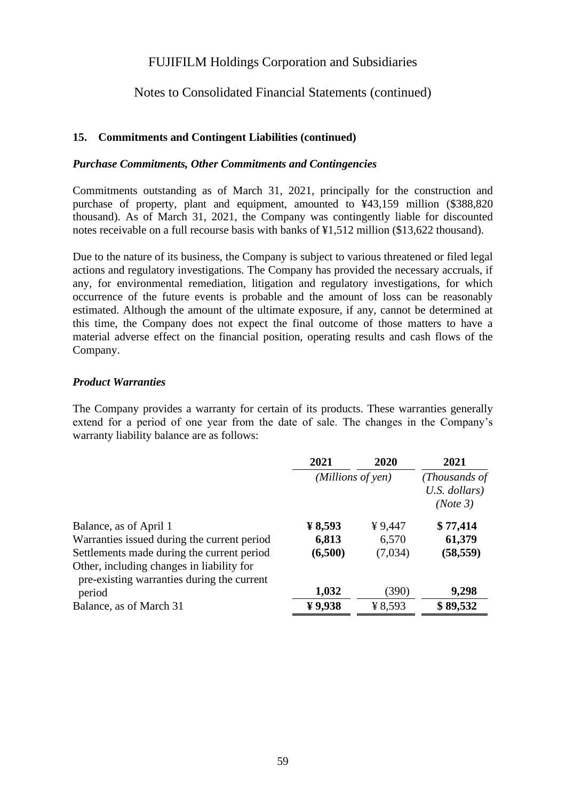### Notes to Consolidated Financial Statements (continued)

### **15. Commitments and Contingent Liabilities (continued)**

### *Purchase Commitments, Other Commitments and Contingencies*

Commitments outstanding as of March 31, 2021, principally for the construction and purchase of property, plant and equipment, amounted to ¥43,159 million (\$388,820 thousand). As of March 31, 2021, the Company was contingently liable for discounted notes receivable on a full recourse basis with banks of ¥1,512 million (\$13,622 thousand).

Due to the nature of its business, the Company is subject to various threatened or filed legal actions and regulatory investigations. The Company has provided the necessary accruals, if any, for environmental remediation, litigation and regulatory investigations, for which occurrence of the future events is probable and the amount of loss can be reasonably estimated. Although the amount of the ultimate exposure, if any, cannot be determined at this time, the Company does not expect the final outcome of those matters to have a material adverse effect on the financial position, operating results and cash flows of the Company.

### *Product Warranties*

The Company provides a warranty for certain of its products. These warranties generally extend for a period of one year from the date of sale. The changes in the Company's warranty liability balance are as follows:

|                                                                                         | 2021                | 2020      | 2021                                       |  |
|-----------------------------------------------------------------------------------------|---------------------|-----------|--------------------------------------------|--|
|                                                                                         | (Millions of yen)   |           | (Thousands of<br>U.S. dollars)<br>(Note 3) |  |
| Balance, as of April 1                                                                  | $\frac{1}{2}$ 8,593 | ¥ $9,447$ | \$77,414                                   |  |
| Warranties issued during the current period                                             | 6,813               | 6,570     | 61,379                                     |  |
| Settlements made during the current period                                              | (6,500)             | (7,034)   | (58, 559)                                  |  |
| Other, including changes in liability for<br>pre-existing warranties during the current |                     |           |                                            |  |
| period                                                                                  | 1,032               | (390)     | 9,298                                      |  |
| Balance, as of March 31                                                                 | 49,938              | 48,593    | \$89,532                                   |  |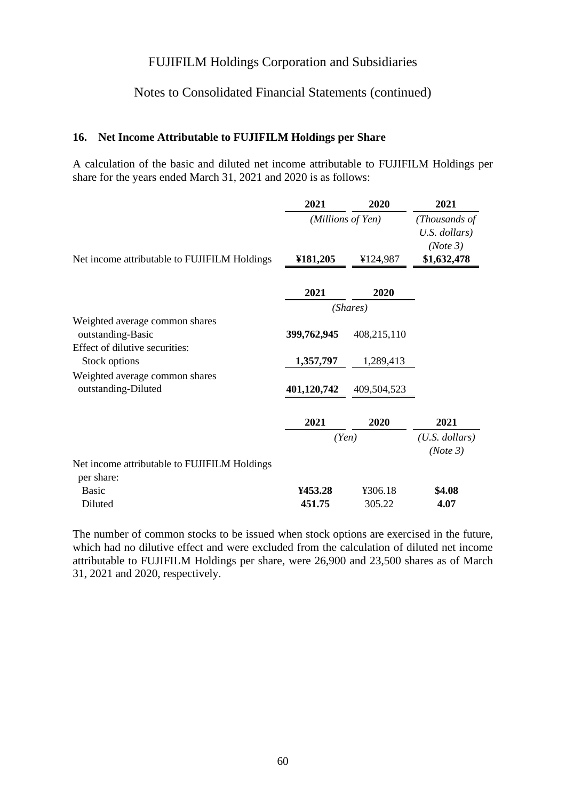## Notes to Consolidated Financial Statements (continued)

### **16. Net Income Attributable to FUJIFILM Holdings per Share**

A calculation of the basic and diluted net income attributable to FUJIFILM Holdings per share for the years ended March 31, 2021 and 2020 is as follows:

|                                                            | 2021              | 2020          | 2021             |
|------------------------------------------------------------|-------------------|---------------|------------------|
|                                                            | (Millions of Yen) | (Thousands of |                  |
|                                                            |                   |               | U.S. dollars)    |
|                                                            |                   |               | (Note 3)         |
| Net income attributable to FUJIFILM Holdings               | ¥181,205          | ¥124,987      | \$1,632,478      |
|                                                            |                   |               |                  |
|                                                            | 2021              | 2020          |                  |
|                                                            |                   | (Shares)      |                  |
| Weighted average common shares                             |                   |               |                  |
| outstanding-Basic                                          | 399,762,945       | 408,215,110   |                  |
| Effect of dilutive securities:                             |                   |               |                  |
| Stock options                                              | 1,357,797         | 1,289,413     |                  |
| Weighted average common shares                             |                   |               |                  |
| outstanding-Diluted                                        | 401,120,742       | 409,504,523   |                  |
|                                                            |                   |               |                  |
|                                                            | 2021              | 2020          | 2021             |
|                                                            |                   | (Yen)         | $(U.S.$ dollars) |
|                                                            |                   |               | (Note 3)         |
| Net income attributable to FUJIFILM Holdings<br>per share: |                   |               |                  |
| <b>Basic</b>                                               | ¥453.28           | ¥306.18       | \$4.08           |
| Diluted                                                    | 451.75            | 305.22        | 4.07             |

The number of common stocks to be issued when stock options are exercised in the future, which had no dilutive effect and were excluded from the calculation of diluted net income attributable to FUJIFILM Holdings per share, were 26,900 and 23,500 shares as of March 31, 2021 and 2020, respectively.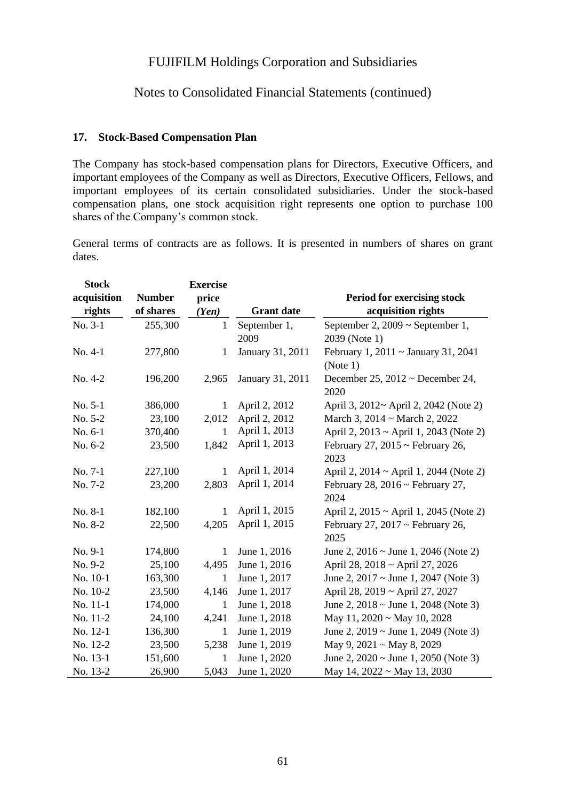# Notes to Consolidated Financial Statements (continued)

### **17. Stock-Based Compensation Plan**

The Company has stock-based compensation plans for Directors, Executive Officers, and important employees of the Company as well as Directors, Executive Officers, Fellows, and important employees of its certain consolidated subsidiaries. Under the stock-based compensation plans, one stock acquisition right represents one option to purchase 100 shares of the Company's common stock.

General terms of contracts are as follows. It is presented in numbers of shares on grant dates.

| <b>Stock</b> |               | <b>Exercise</b> |                   |                                                 |
|--------------|---------------|-----------------|-------------------|-------------------------------------------------|
| acquisition  | <b>Number</b> | price           |                   | Period for exercising stock                     |
| rights       | of shares     | (Yen)           | <b>Grant date</b> | acquisition rights                              |
| No. 3-1      | 255,300       | 1               | September 1,      | September 2, 2009 $\sim$ September 1,           |
|              |               |                 | 2009              | 2039 (Note 1)                                   |
| No. 4-1      | 277,800       | 1               | January 31, 2011  | February 1, 2011 ~ January 31, 2041<br>(Note 1) |
| No. 4-2      | 196,200       | 2,965           | January 31, 2011  | December 25, $2012 \sim$ December 24,<br>2020   |
| $No. 5-1$    | 386,000       | 1               | April 2, 2012     | April 3, 2012~ April 2, 2042 (Note 2)           |
| No. 5-2      | 23,100        | 2,012           | April 2, 2012     | March 3, 2014 ~ March 2, 2022                   |
| No. 6-1      | 370,400       | 1               | April 1, 2013     | April 2, 2013 ~ April 1, 2043 (Note 2)          |
| No. 6-2      | 23,500        | 1,842           | April 1, 2013     | February 27, 2015 $\sim$ February 26,<br>2023   |
| No. 7-1      | 227,100       | $\mathbf{1}$    | April 1, 2014     | April 2, 2014 ~ April 1, 2044 (Note 2)          |
| No. 7-2      | 23,200        | 2,803           | April 1, 2014     | February 28, 2016 $\sim$ February 27,<br>2024   |
| No. 8-1      | 182,100       | $\mathbf{1}$    | April 1, 2015     | April 2, 2015 ~ April 1, 2045 (Note 2)          |
| No. 8-2      | 22,500        | 4,205           | April 1, 2015     | February 27, 2017 ~ February 26,<br>2025        |
| $No. 9-1$    | 174,800       | 1               | June 1, 2016      | June 2, $2016 \sim$ June 1, 2046 (Note 2)       |
| No. 9-2      | 25,100        | 4,495           | June 1, 2016      | April 28, 2018 ~ April 27, 2026                 |
| No. 10-1     | 163,300       | $\mathbf{1}$    | June 1, 2017      | June 2, $2017 \sim$ June 1, 2047 (Note 3)       |
| No. 10-2     | 23,500        | 4,146           | June 1, 2017      | April 28, 2019 ~ April 27, 2027                 |
| No. 11-1     | 174,000       | $\mathbf{1}$    | June 1, 2018      | June 2, $2018 \sim$ June 1, $2048$ (Note 3)     |
| No. 11-2     | 24,100        | 4,241           | June 1, 2018      | May 11, 2020 ~ May 10, 2028                     |
| No. 12-1     | 136,300       | 1               | June 1, 2019      | June 2, $2019 \sim$ June 1, 2049 (Note 3)       |
| No. 12-2     | 23,500        | 5,238           | June 1, 2019      | May 9, 2021 ~ May 8, 2029                       |
| No. 13-1     | 151,600       | 1               | June 1, 2020      | June 2, $2020 \sim$ June 1, 2050 (Note 3)       |
| No. 13-2     | 26,900        | 5,043           | June 1, 2020      | May 14, 2022 ~ May 13, 2030                     |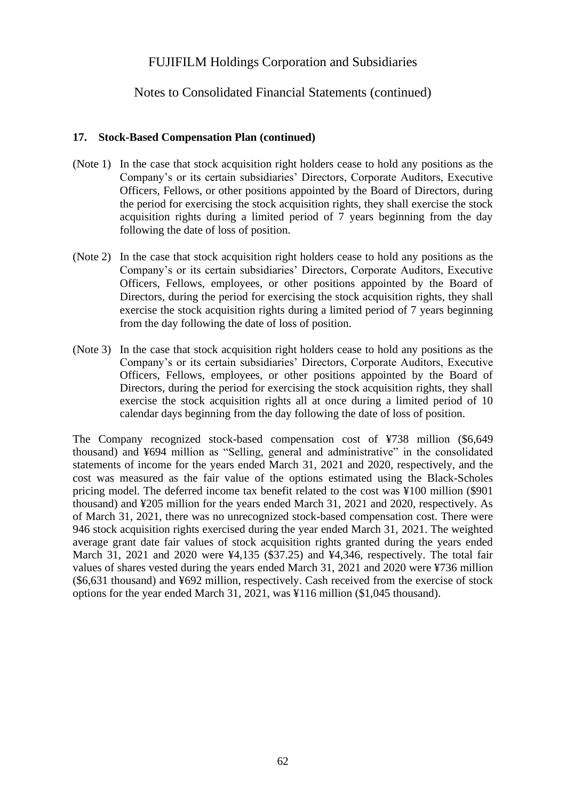Notes to Consolidated Financial Statements (continued)

### **17. Stock-Based Compensation Plan (continued)**

- (Note 1) In the case that stock acquisition right holders cease to hold any positions as the Company's or its certain subsidiaries' Directors, Corporate Auditors, Executive Officers, Fellows, or other positions appointed by the Board of Directors, during the period for exercising the stock acquisition rights, they shall exercise the stock acquisition rights during a limited period of 7 years beginning from the day following the date of loss of position.
- (Note 2) In the case that stock acquisition right holders cease to hold any positions as the Company's or its certain subsidiaries' Directors, Corporate Auditors, Executive Officers, Fellows, employees, or other positions appointed by the Board of Directors, during the period for exercising the stock acquisition rights, they shall exercise the stock acquisition rights during a limited period of 7 years beginning from the day following the date of loss of position.
- (Note 3) In the case that stock acquisition right holders cease to hold any positions as the Company's or its certain subsidiaries' Directors, Corporate Auditors, Executive Officers, Fellows, employees, or other positions appointed by the Board of Directors, during the period for exercising the stock acquisition rights, they shall exercise the stock acquisition rights all at once during a limited period of 10 calendar days beginning from the day following the date of loss of position.

The Company recognized stock-based compensation cost of ¥738 million (\$6,649 thousand) and ¥694 million as "Selling, general and administrative" in the consolidated statements of income for the years ended March 31, 2021 and 2020, respectively, and the cost was measured as the fair value of the options estimated using the Black-Scholes pricing model. The deferred income tax benefit related to the cost was ¥100 million (\$901 thousand) and ¥205 million for the years ended March 31, 2021 and 2020, respectively. As of March 31, 2021, there was no unrecognized stock-based compensation cost. There were 946 stock acquisition rights exercised during the year ended March 31, 2021. The weighted average grant date fair values of stock acquisition rights granted during the years ended March 31, 2021 and 2020 were ¥4,135 (\$37.25) and ¥4,346, respectively. The total fair values of shares vested during the years ended March 31, 2021 and 2020 were ¥736 million (\$6,631 thousand) and ¥692 million, respectively. Cash received from the exercise of stock options for the year ended March 31, 2021, was ¥116 million (\$1,045 thousand).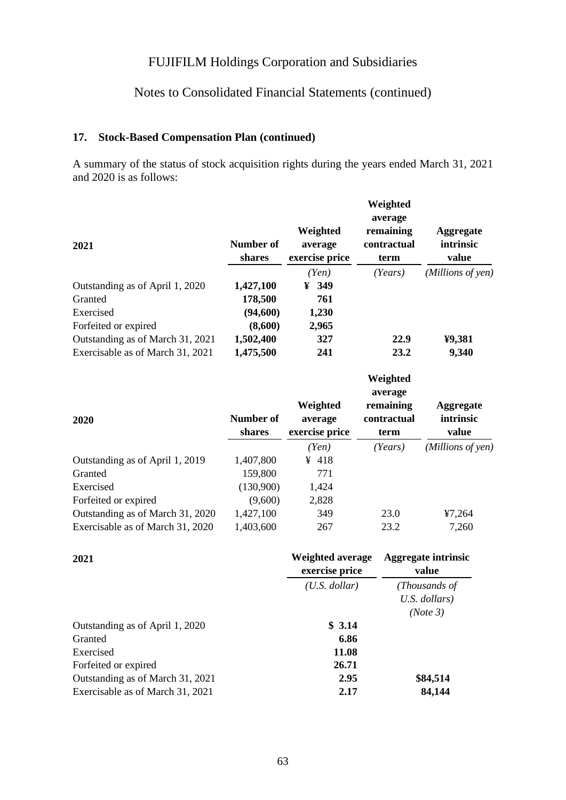# Notes to Consolidated Financial Statements (continued)

# **17. Stock-Based Compensation Plan (continued)**

A summary of the status of stock acquisition rights during the years ended March 31, 2021 and 2020 is as follows:

| 2021                             | Number of<br>shares | Weighted<br>average<br>exercise price | Weighted<br>average<br>remaining<br>contractual<br>term | <b>Aggregate</b><br>intrinsic<br>value |
|----------------------------------|---------------------|---------------------------------------|---------------------------------------------------------|----------------------------------------|
|                                  |                     | (Yen)                                 | (Years)                                                 | (Millions of yen)                      |
| Outstanding as of April 1, 2020  | 1,427,100           | $\frac{1}{2}$ 349                     |                                                         |                                        |
| Granted                          | 178,500             | 761                                   |                                                         |                                        |
| Exercised                        | (94,600)            | 1,230                                 |                                                         |                                        |
| Forfeited or expired             | (8,600)             | 2,965                                 |                                                         |                                        |
| Outstanding as of March 31, 2021 | 1,502,400           | 327                                   | 22.9                                                    | ¥9,381                                 |
| Exercisable as of March 31, 2021 | 1,475,500           | 241                                   | 23.2                                                    | 9,340                                  |

| 2020                             | Number of<br>shares | Weighted<br>average<br>exercise price | Weighted<br>average<br>remaining<br>contractual<br>term | <b>Aggregate</b><br>intrinsic<br>value |
|----------------------------------|---------------------|---------------------------------------|---------------------------------------------------------|----------------------------------------|
|                                  |                     | (Yen)                                 | (Years)                                                 | (Millions of yen)                      |
| Outstanding as of April 1, 2019  | 1,407,800           | $\frac{1}{2}$ 418                     |                                                         |                                        |
| Granted                          | 159,800             | 771                                   |                                                         |                                        |
| Exercised                        | (130,900)           | 1,424                                 |                                                         |                                        |
| Forfeited or expired             | (9,600)             | 2,828                                 |                                                         |                                        |
| Outstanding as of March 31, 2020 | 1,427,100           | 349                                   | 23.0                                                    | 47,264                                 |
| Exercisable as of March 31, 2020 | 1,403,600           | 267                                   | 23.2                                                    | 7,260                                  |

| 2021                             | Weighted average<br>exercise price | Aggregate intrinsic<br>value |
|----------------------------------|------------------------------------|------------------------------|
|                                  | $(U.S.$ dollar)                    | (Thousands of                |
|                                  |                                    | U.S. dollars)                |
|                                  |                                    | (Note 3)                     |
| Outstanding as of April 1, 2020  | \$3.14                             |                              |
| Granted                          | 6.86                               |                              |
| Exercised                        | 11.08                              |                              |
| Forfeited or expired             | 26.71                              |                              |
| Outstanding as of March 31, 2021 | 2.95                               | \$84,514                     |
| Exercisable as of March 31, 2021 | 2.17                               | 84,144                       |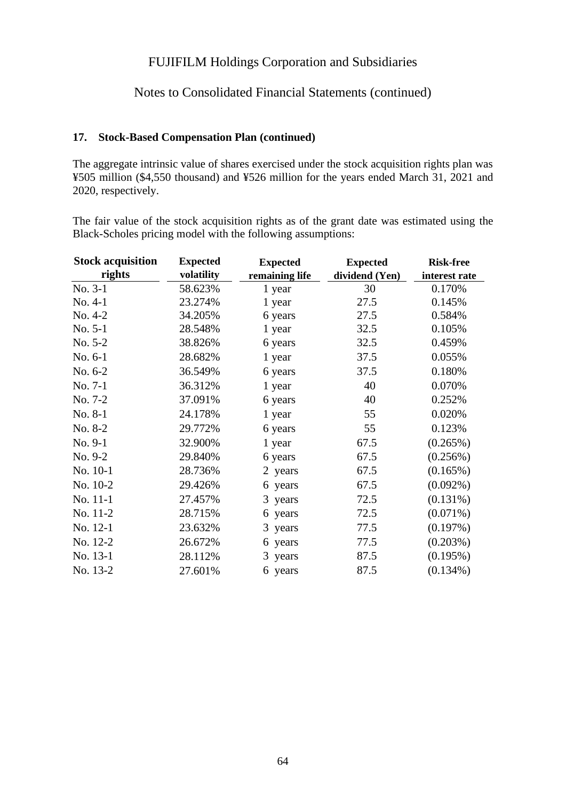## Notes to Consolidated Financial Statements (continued)

#### **17. Stock-Based Compensation Plan (continued)**

The aggregate intrinsic value of shares exercised under the stock acquisition rights plan was ¥505 million (\$4,550 thousand) and ¥526 million for the years ended March 31, 2021 and 2020, respectively.

The fair value of the stock acquisition rights as of the grant date was estimated using the Black-Scholes pricing model with the following assumptions:

| <b>Stock acquisition</b> | <b>Expected</b> | <b>Expected</b> | <b>Expected</b> | <b>Risk-free</b> |
|--------------------------|-----------------|-----------------|-----------------|------------------|
| rights                   | volatility      | remaining life  | dividend (Yen)  | interest rate    |
| No. 3-1                  | 58.623%         | 1 year          | 30              | 0.170%           |
| No. 4-1                  | 23.274%         | 1 year          | 27.5            | 0.145%           |
| No. 4-2                  | 34.205%         | 6 years         | 27.5            | 0.584%           |
| $No. 5-1$                | 28.548%         | 1 year          | 32.5            | 0.105%           |
| No. 5-2                  | 38.826%         | 6 years         | 32.5            | 0.459%           |
| No. 6-1                  | 28.682%         | 1 year          | 37.5            | 0.055%           |
| No. 6-2                  | 36.549%         | 6 years         | 37.5            | 0.180%           |
| No. 7-1                  | 36.312%         | 1 year          | 40              | 0.070%           |
| No. 7-2                  | 37.091%         | 6 years         | 40              | 0.252%           |
| No. 8-1                  | 24.178%         | 1 year          | 55              | 0.020%           |
| No. 8-2                  | 29.772%         | 6 years         | 55              | 0.123%           |
| No. 9-1                  | 32.900%         | 1 year          | 67.5            | (0.265%)         |
| No. 9-2                  | 29.840%         | 6 years         | 67.5            | (0.256%)         |
| No. 10-1                 | 28.736%         | 2 years         | 67.5            | (0.165%)         |
| No. 10-2                 | 29.426%         | 6 years         | 67.5            | $(0.092\%)$      |
| No. 11-1                 | 27.457%         | 3 years         | 72.5            | $(0.131\%)$      |
| No. 11-2                 | 28.715%         | 6 years         | 72.5            | $(0.071\%)$      |
| No. 12-1                 | 23.632%         | 3 years         | 77.5            | (0.197%)         |
| No. 12-2                 | 26.672%         | 6 years         | 77.5            | (0.203%)         |
| No. 13-1                 | 28.112%         | 3 years         | 87.5            | $(0.195\%)$      |
| No. 13-2                 | 27.601%         | 6 years         | 87.5            | $(0.134\%)$      |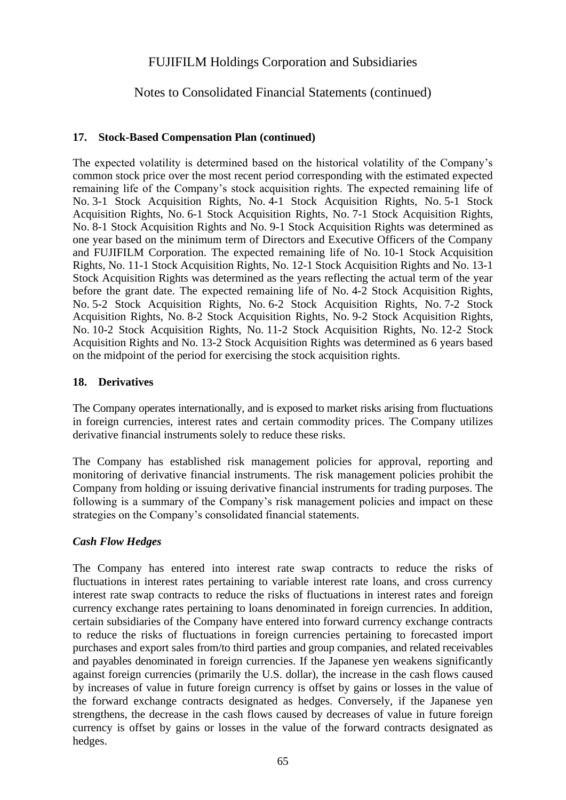### Notes to Consolidated Financial Statements (continued)

### **17. Stock-Based Compensation Plan (continued)**

The expected volatility is determined based on the historical volatility of the Company's common stock price over the most recent period corresponding with the estimated expected remaining life of the Company's stock acquisition rights. The expected remaining life of No. 3-1 Stock Acquisition Rights, No. 4-1 Stock Acquisition Rights, No. 5-1 Stock Acquisition Rights, No. 6-1 Stock Acquisition Rights, No. 7-1 Stock Acquisition Rights, No. 8-1 Stock Acquisition Rights and No. 9-1 Stock Acquisition Rights was determined as one year based on the minimum term of Directors and Executive Officers of the Company and FUJIFILM Corporation. The expected remaining life of No. 10-1 Stock Acquisition Rights, No. 11-1 Stock Acquisition Rights, No. 12-1 Stock Acquisition Rights and No. 13-1 Stock Acquisition Rights was determined as the years reflecting the actual term of the year before the grant date. The expected remaining life of No. 4-2 Stock Acquisition Rights, No. 5-2 Stock Acquisition Rights, No. 6-2 Stock Acquisition Rights, No. 7-2 Stock Acquisition Rights, No. 8-2 Stock Acquisition Rights, No. 9-2 Stock Acquisition Rights, No. 10-2 Stock Acquisition Rights, No. 11-2 Stock Acquisition Rights, No. 12-2 Stock Acquisition Rights and No. 13-2 Stock Acquisition Rights was determined as 6 years based on the midpoint of the period for exercising the stock acquisition rights.

### **18. Derivatives**

The Company operates internationally, and is exposed to market risks arising from fluctuations in foreign currencies, interest rates and certain commodity prices. The Company utilizes derivative financial instruments solely to reduce these risks.

The Company has established risk management policies for approval, reporting and monitoring of derivative financial instruments. The risk management policies prohibit the Company from holding or issuing derivative financial instruments for trading purposes. The following is a summary of the Company's risk management policies and impact on these strategies on the Company's consolidated financial statements.

### *Cash Flow Hedges*

The Company has entered into interest rate swap contracts to reduce the risks of fluctuations in interest rates pertaining to variable interest rate loans, and cross currency interest rate swap contracts to reduce the risks of fluctuations in interest rates and foreign currency exchange rates pertaining to loans denominated in foreign currencies. In addition, certain subsidiaries of the Company have entered into forward currency exchange contracts to reduce the risks of fluctuations in foreign currencies pertaining to forecasted import purchases and export sales from/to third parties and group companies, and related receivables and payables denominated in foreign currencies. If the Japanese yen weakens significantly against foreign currencies (primarily the U.S. dollar), the increase in the cash flows caused by increases of value in future foreign currency is offset by gains or losses in the value of the forward exchange contracts designated as hedges. Conversely, if the Japanese yen strengthens, the decrease in the cash flows caused by decreases of value in future foreign currency is offset by gains or losses in the value of the forward contracts designated as hedges.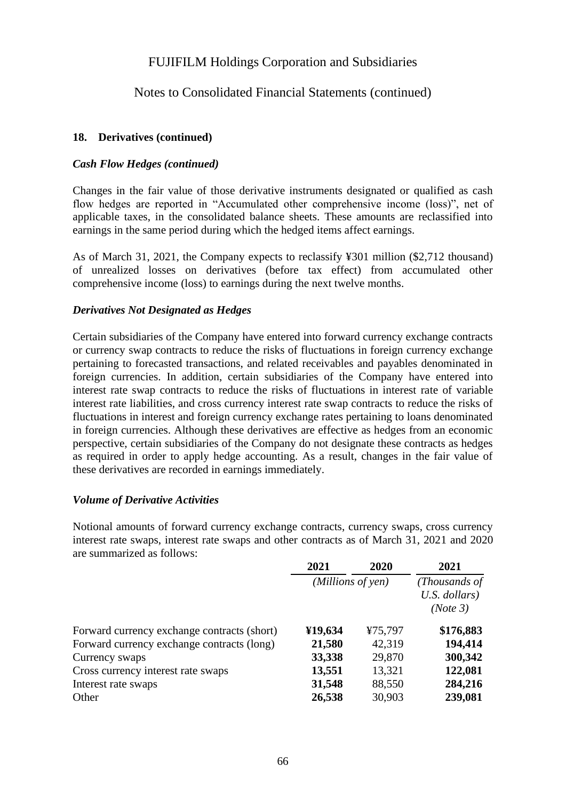### Notes to Consolidated Financial Statements (continued)

### **18. Derivatives (continued)**

### *Cash Flow Hedges (continued)*

Changes in the fair value of those derivative instruments designated or qualified as cash flow hedges are reported in "Accumulated other comprehensive income (loss)", net of applicable taxes, in the consolidated balance sheets. These amounts are reclassified into earnings in the same period during which the hedged items affect earnings.

As of March 31, 2021, the Company expects to reclassify ¥301 million (\$2,712 thousand) of unrealized losses on derivatives (before tax effect) from accumulated other comprehensive income (loss) to earnings during the next twelve months.

### *Derivatives Not Designated as Hedges*

Certain subsidiaries of the Company have entered into forward currency exchange contracts or currency swap contracts to reduce the risks of fluctuations in foreign currency exchange pertaining to forecasted transactions, and related receivables and payables denominated in foreign currencies. In addition, certain subsidiaries of the Company have entered into interest rate swap contracts to reduce the risks of fluctuations in interest rate of variable interest rate liabilities, and cross currency interest rate swap contracts to reduce the risks of fluctuations in interest and foreign currency exchange rates pertaining to loans denominated in foreign currencies. Although these derivatives are effective as hedges from an economic perspective, certain subsidiaries of the Company do not designate these contracts as hedges as required in order to apply hedge accounting. As a result, changes in the fair value of these derivatives are recorded in earnings immediately.

### *Volume of Derivative Activities*

Notional amounts of forward currency exchange contracts, currency swaps, cross currency interest rate swaps, interest rate swaps and other contracts as of March 31, 2021 and 2020 are summarized as follows:

|                                             | 2021              | 2020    | 2021                                       |
|---------------------------------------------|-------------------|---------|--------------------------------------------|
|                                             | (Millions of yen) |         | (Thousands of<br>U.S. dollars)<br>(Note 3) |
| Forward currency exchange contracts (short) | ¥19,634           | ¥75,797 | \$176,883                                  |
| Forward currency exchange contracts (long)  | 21,580            | 42,319  | 194,414                                    |
| Currency swaps                              | 33,338            | 29,870  | 300,342                                    |
| Cross currency interest rate swaps          | 13,551            | 13,321  | 122,081                                    |
| Interest rate swaps                         | 31,548            | 88,550  | 284,216                                    |
| Other                                       | 26,538            | 30,903  | 239,081                                    |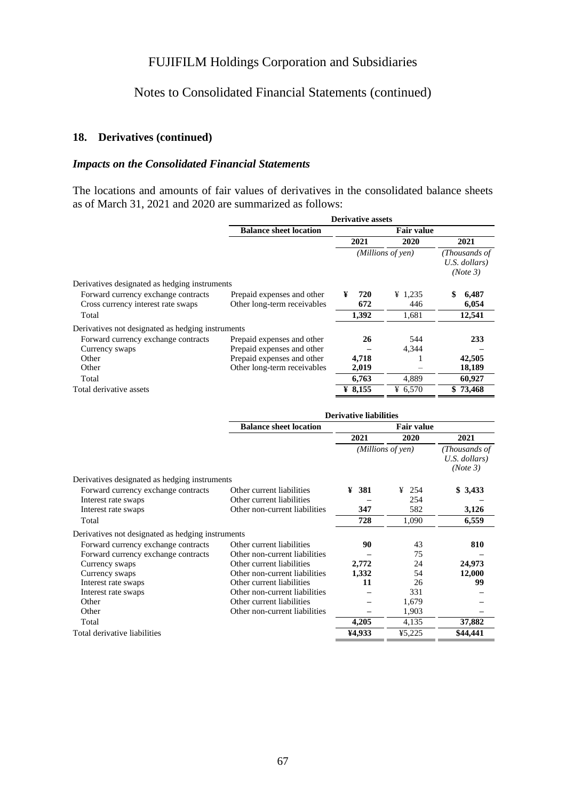# Notes to Consolidated Financial Statements (continued)

#### **18. Derivatives (continued)**

#### *Impacts on the Consolidated Financial Statements*

The locations and amounts of fair values of derivatives in the consolidated balance sheets as of March 31, 2021 and 2020 are summarized as follows:

|                                                                            |                                                            | <b>Derivative assets</b>      |                             |                                            |
|----------------------------------------------------------------------------|------------------------------------------------------------|-------------------------------|-----------------------------|--------------------------------------------|
|                                                                            | <b>Balance sheet location</b>                              |                               | <b>Fair value</b>           |                                            |
|                                                                            |                                                            | 2021                          | 2020                        | 2021                                       |
|                                                                            |                                                            |                               | (Millions of yen)           | (Thousands of<br>U.S. dollars)<br>(Note 3) |
| Derivatives designated as hedging instruments                              |                                                            |                               |                             |                                            |
| Forward currency exchange contracts<br>Cross currency interest rate swaps  | Prepaid expenses and other<br>Other long-term receivables  | ¥<br>720<br>672               | ¥ 1,235<br>446              | \$<br>6,487<br>6,054                       |
| Total                                                                      |                                                            | 1,392                         | 1.681                       | 12,541                                     |
| Derivatives not designated as hedging instruments                          |                                                            |                               |                             |                                            |
| Forward currency exchange contracts                                        | Prepaid expenses and other<br>Prepaid expenses and other   | 26                            | 544<br>4,344                | 233                                        |
| Currency swaps<br>Other                                                    | Prepaid expenses and other                                 | 4,718                         | 1                           | 42,505                                     |
| Other                                                                      | Other long-term receivables                                | 2,019                         |                             | 18,189                                     |
| Total                                                                      |                                                            | 6,763                         | 4,889                       | 60,927                                     |
| Total derivative assets                                                    |                                                            | ¥ $8,155$                     | $\overline{\text{f}}$ 6,570 | $\overline{$}73,468$                       |
|                                                                            | <b>Balance sheet location</b>                              | <b>Derivative liabilities</b> | <b>Fair value</b>           |                                            |
|                                                                            |                                                            | 2021                          | 2020                        | 2021                                       |
|                                                                            |                                                            |                               | (Millions of yen)           | (Thousands of<br>U.S. dollars)<br>(Note 3) |
| Derivatives designated as hedging instruments                              |                                                            |                               |                             |                                            |
| Forward currency exchange contracts                                        | Other current liabilities                                  | $\frac{1}{2}$ 381             | ¥ 254                       | \$3,433                                    |
| Interest rate swaps<br>Interest rate swaps                                 | Other current liabilities<br>Other non-current liabilities | 347                           | 254<br>582                  | 3,126                                      |
| Total                                                                      |                                                            | 728                           | 1,090                       | 6,559                                      |
|                                                                            |                                                            |                               |                             |                                            |
| Derivatives not designated as hedging instruments                          | Other current liabilities                                  | 90                            | 43                          | 810                                        |
| Forward currency exchange contracts<br>Forward currency exchange contracts | Other non-current liabilities                              |                               | 75                          |                                            |
| Currency swaps                                                             | Other current liabilities                                  | 2,772                         | 24                          | 24,973                                     |
| Currency swaps                                                             | Other non-current liabilities                              | 1,332                         | 54                          | 12,000                                     |
| Interest rate swaps                                                        | Other current liabilities                                  | 11                            | 26                          | 99                                         |
| Interest rate swaps                                                        | Other non-current liabilities                              |                               | 331                         |                                            |
| Other                                                                      | Other current liabilities<br>Other non-current liabilities |                               | 1,679                       |                                            |
| Other                                                                      |                                                            |                               | 1,903                       |                                            |
| Total                                                                      |                                                            | 4,205                         | 4,135                       | 37,882                                     |

Total derivative liabilities  $\overline{\textbf{y}_4,933}$   $\overline{\textbf{y}_5,225}$   $\overline{\textbf{y}_5,44,441}$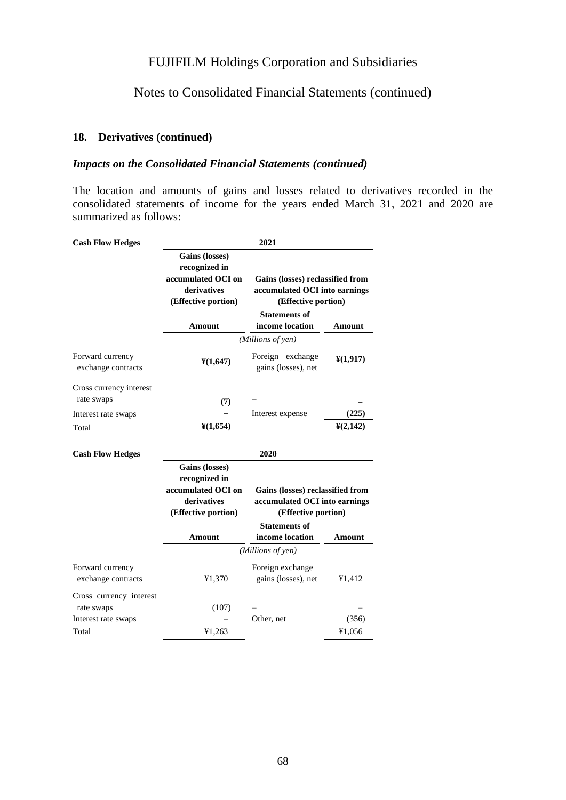## Notes to Consolidated Financial Statements (continued)

#### **18. Derivatives (continued)**

#### *Impacts on the Consolidated Financial Statements (continued)*

The location and amounts of gains and losses related to derivatives recorded in the consolidated statements of income for the years ended March 31, 2021 and 2020 are summarized as follows:

| <b>Cash Flow Hedges</b>                | 2021                                                                                        |                                                                                          |               |  |  |  |
|----------------------------------------|---------------------------------------------------------------------------------------------|------------------------------------------------------------------------------------------|---------------|--|--|--|
|                                        | Gains (losses)<br>recognized in<br>accumulated OCI on<br>derivatives<br>(Effective portion) | Gains (losses) reclassified from<br>accumulated OCI into earnings<br>(Effective portion) |               |  |  |  |
|                                        | <b>Amount</b>                                                                               | <b>Statements of</b><br>income location                                                  | <b>Amount</b> |  |  |  |
|                                        |                                                                                             | (Millions of yen)                                                                        |               |  |  |  |
| Forward currency<br>exchange contracts | Y(1,647)                                                                                    | Foreign exchange<br>gains (losses), net                                                  | Y(1,917)      |  |  |  |
| Cross currency interest<br>rate swaps  | (7)                                                                                         |                                                                                          |               |  |  |  |
| Interest rate swaps                    |                                                                                             | Interest expense                                                                         | (225)         |  |  |  |
| Total                                  | Y(1,654)                                                                                    |                                                                                          | Y(2,142)      |  |  |  |
| <b>Cash Flow Hedges</b>                | 2020                                                                                        |                                                                                          |               |  |  |  |
|                                        | Gains (losses)<br>recognized in<br>accumulated OCI on<br>derivatives<br>(Effective portion) | Gains (losses) reclassified from<br>accumulated OCI into earnings<br>(Effective portion) |               |  |  |  |
|                                        |                                                                                             | <b>Statements of</b>                                                                     |               |  |  |  |
|                                        | <b>Amount</b>                                                                               | income location                                                                          | Amount        |  |  |  |
|                                        |                                                                                             | (Millions of yen)                                                                        |               |  |  |  |
| Forward currency<br>exchange contracts | ¥1,370                                                                                      | Foreign exchange<br>gains (losses), net                                                  | ¥1,412        |  |  |  |
| Cross currency interest<br>rate swaps  | (107)                                                                                       |                                                                                          |               |  |  |  |
| Interest rate swaps                    |                                                                                             | Other, net                                                                               | (356)         |  |  |  |
| Total                                  | ¥1,263                                                                                      |                                                                                          | ¥1,056        |  |  |  |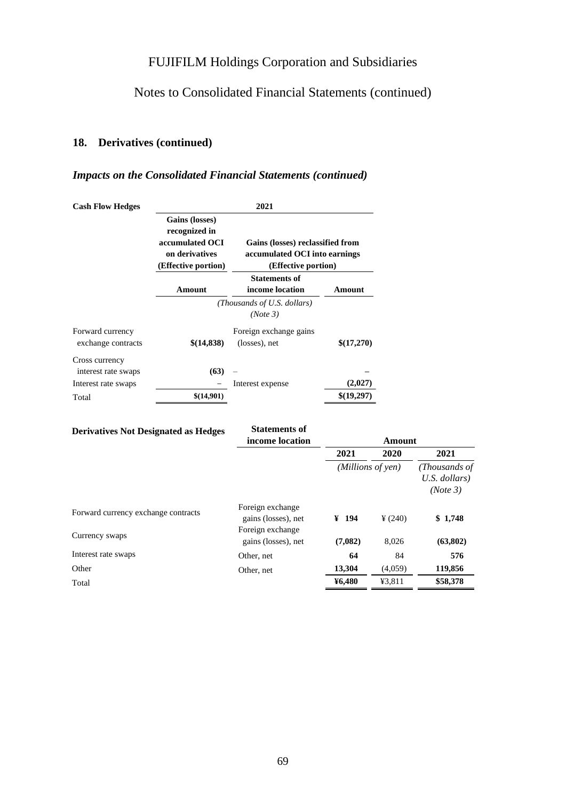# Notes to Consolidated Financial Statements (continued)

# **18. Derivatives (continued)**

### *Impacts on the Consolidated Financial Statements (continued)*

| <b>Cash Flow Hedges</b>                | 2021                                                                                        |                                                                                          |            |  |
|----------------------------------------|---------------------------------------------------------------------------------------------|------------------------------------------------------------------------------------------|------------|--|
|                                        | Gains (losses)<br>recognized in<br>accumulated OCI<br>on derivatives<br>(Effective portion) | Gains (losses) reclassified from<br>accumulated OCI into earnings<br>(Effective portion) |            |  |
|                                        | Amount                                                                                      | <b>Statements of</b><br>income location                                                  | Amount     |  |
|                                        | (Thousands of U.S. dollars)                                                                 |                                                                                          |            |  |
| Forward currency<br>exchange contracts | \$(14,838)                                                                                  | Foreign exchange gains<br>(losses), net                                                  | \$(17,270) |  |
| Cross currency<br>interest rate swaps  | (63)                                                                                        |                                                                                          |            |  |
| Interest rate swaps                    |                                                                                             | Interest expense                                                                         | (2,027)    |  |
| Total                                  | \$(14.901)                                                                                  |                                                                                          | \$(19.297) |  |

| <b>Derivatives Not Designated as Hedges</b> | <b>Statements of</b><br>income location | Amount            |           |                                            |
|---------------------------------------------|-----------------------------------------|-------------------|-----------|--------------------------------------------|
|                                             |                                         | 2021              | 2020      | 2021                                       |
|                                             |                                         | (Millions of yen) |           | (Thousands of<br>U.S. dollars)<br>(Note 3) |
| Forward currency exchange contracts         | Foreign exchange<br>gains (losses), net | $\frac{1}{2}$ 194 | ¥ $(240)$ | \$1,748                                    |
| Currency swaps                              | Foreign exchange<br>gains (losses), net | (7,082)           | 8,026     | (63,802)                                   |
| Interest rate swaps                         | Other, net                              | 64                | 84        | 576                                        |
| Other                                       | Other, net                              | 13,304            | (4,059)   | 119,856                                    |
| Total                                       |                                         | ¥6,480            | ¥3.811    | \$58,378                                   |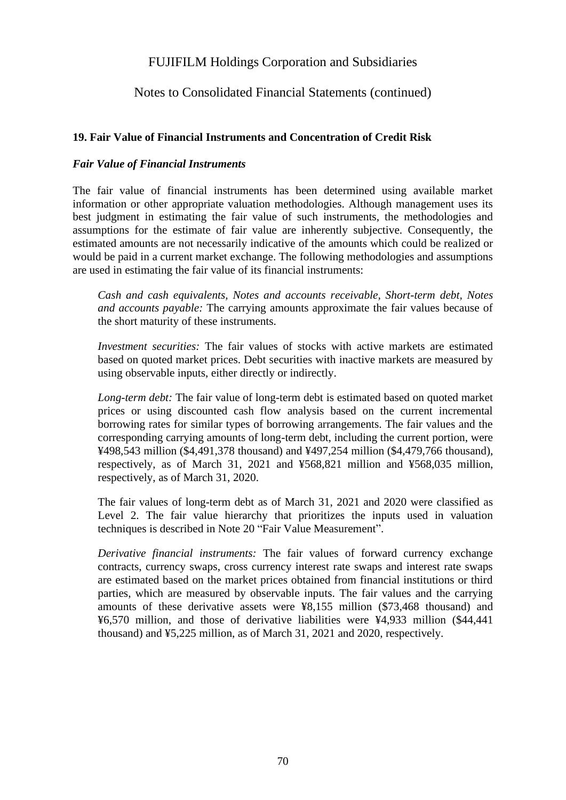### Notes to Consolidated Financial Statements (continued)

### **19. Fair Value of Financial Instruments and Concentration of Credit Risk**

### *Fair Value of Financial Instruments*

The fair value of financial instruments has been determined using available market information or other appropriate valuation methodologies. Although management uses its best judgment in estimating the fair value of such instruments, the methodologies and assumptions for the estimate of fair value are inherently subjective. Consequently, the estimated amounts are not necessarily indicative of the amounts which could be realized or would be paid in a current market exchange. The following methodologies and assumptions are used in estimating the fair value of its financial instruments:

*Cash and cash equivalents, Notes and accounts receivable, Short-term debt, Notes and accounts payable:* The carrying amounts approximate the fair values because of the short maturity of these instruments.

*Investment securities:* The fair values of stocks with active markets are estimated based on quoted market prices. Debt securities with inactive markets are measured by using observable inputs, either directly or indirectly.

*Long-term debt:* The fair value of long-term debt is estimated based on quoted market prices or using discounted cash flow analysis based on the current incremental borrowing rates for similar types of borrowing arrangements. The fair values and the corresponding carrying amounts of long-term debt, including the current portion, were ¥498,543 million (\$4,491,378 thousand) and ¥497,254 million (\$4,479,766 thousand), respectively, as of March 31, 2021 and ¥568,821 million and ¥568,035 million, respectively, as of March 31, 2020.

The fair values of long-term debt as of March 31, 2021 and 2020 were classified as Level 2. The fair value hierarchy that prioritizes the inputs used in valuation techniques is described in Note 20 "Fair Value Measurement".

*Derivative financial instruments:* The fair values of forward currency exchange contracts, currency swaps, cross currency interest rate swaps and interest rate swaps are estimated based on the market prices obtained from financial institutions or third parties, which are measured by observable inputs. The fair values and the carrying amounts of these derivative assets were ¥8,155 million (\$73,468 thousand) and ¥6,570 million, and those of derivative liabilities were ¥4,933 million (\$44,441 thousand) and ¥5,225 million, as of March 31, 2021 and 2020, respectively.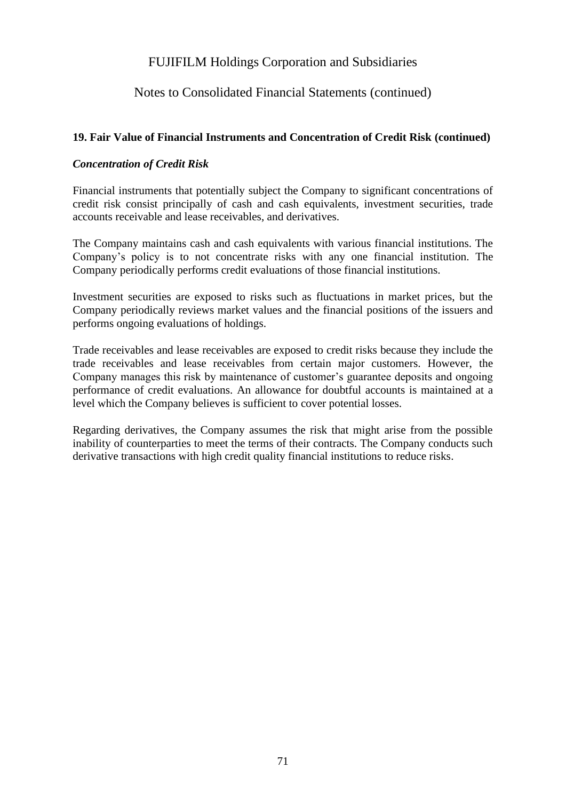## Notes to Consolidated Financial Statements (continued)

## **19. Fair Value of Financial Instruments and Concentration of Credit Risk (continued)**

#### *Concentration of Credit Risk*

Financial instruments that potentially subject the Company to significant concentrations of credit risk consist principally of cash and cash equivalents, investment securities, trade accounts receivable and lease receivables, and derivatives.

The Company maintains cash and cash equivalents with various financial institutions. The Company's policy is to not concentrate risks with any one financial institution. The Company periodically performs credit evaluations of those financial institutions.

Investment securities are exposed to risks such as fluctuations in market prices, but the Company periodically reviews market values and the financial positions of the issuers and performs ongoing evaluations of holdings.

Trade receivables and lease receivables are exposed to credit risks because they include the trade receivables and lease receivables from certain major customers. However, the Company manages this risk by maintenance of customer's guarantee deposits and ongoing performance of credit evaluations. An allowance for doubtful accounts is maintained at a level which the Company believes is sufficient to cover potential losses.

Regarding derivatives, the Company assumes the risk that might arise from the possible inability of counterparties to meet the terms of their contracts. The Company conducts such derivative transactions with high credit quality financial institutions to reduce risks.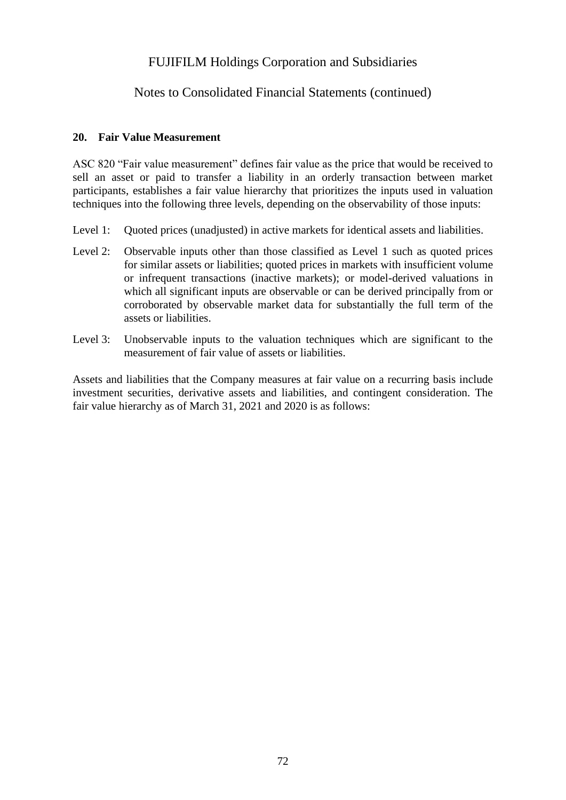## Notes to Consolidated Financial Statements (continued)

#### **20. Fair Value Measurement**

ASC 820 "Fair value measurement" defines fair value as the price that would be received to sell an asset or paid to transfer a liability in an orderly transaction between market participants, establishes a fair value hierarchy that prioritizes the inputs used in valuation techniques into the following three levels, depending on the observability of those inputs:

- Level 1: Quoted prices (unadjusted) in active markets for identical assets and liabilities.
- Level 2: Observable inputs other than those classified as Level 1 such as quoted prices for similar assets or liabilities; quoted prices in markets with insufficient volume or infrequent transactions (inactive markets); or model-derived valuations in which all significant inputs are observable or can be derived principally from or corroborated by observable market data for substantially the full term of the assets or liabilities.
- Level 3: Unobservable inputs to the valuation techniques which are significant to the measurement of fair value of assets or liabilities.

Assets and liabilities that the Company measures at fair value on a recurring basis include investment securities, derivative assets and liabilities, and contingent consideration. The fair value hierarchy as of March 31, 2021 and 2020 is as follows: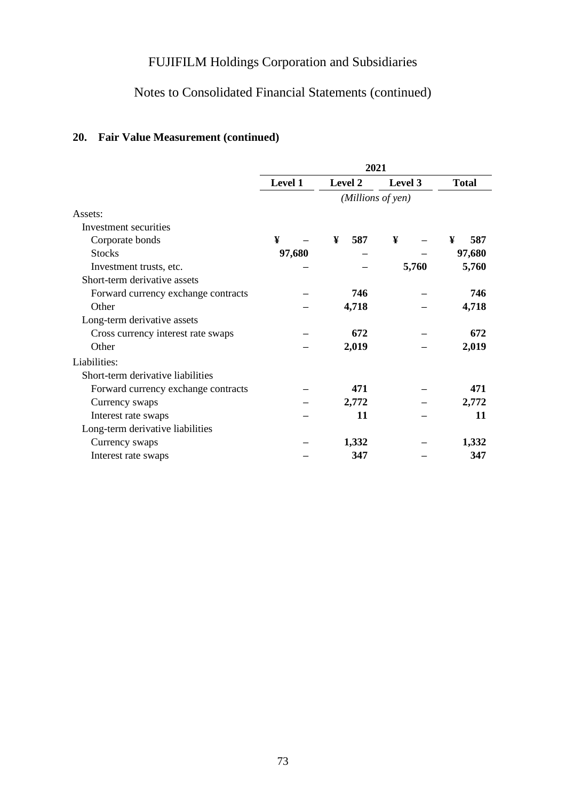# Notes to Consolidated Financial Statements (continued)

# **20. Fair Value Measurement (continued)**

|                                     | 2021    |        |   |                   |         |       |   |              |
|-------------------------------------|---------|--------|---|-------------------|---------|-------|---|--------------|
|                                     | Level 1 |        |   | Level 2           | Level 3 |       |   | <b>Total</b> |
|                                     |         |        |   | (Millions of yen) |         |       |   |              |
| Assets:                             |         |        |   |                   |         |       |   |              |
| Investment securities               |         |        |   |                   |         |       |   |              |
| Corporate bonds                     | ¥       |        | ¥ | 587               | ¥       |       | ¥ | 587          |
| <b>Stocks</b>                       |         | 97,680 |   |                   |         |       |   | 97,680       |
| Investment trusts, etc.             |         |        |   |                   |         | 5,760 |   | 5,760        |
| Short-term derivative assets        |         |        |   |                   |         |       |   |              |
| Forward currency exchange contracts |         |        |   | 746               |         |       |   | 746          |
| Other                               |         |        |   | 4,718             |         |       |   | 4,718        |
| Long-term derivative assets         |         |        |   |                   |         |       |   |              |
| Cross currency interest rate swaps  |         |        |   | 672               |         |       |   | 672          |
| Other                               |         |        |   | 2,019             |         |       |   | 2,019        |
| Liabilities:                        |         |        |   |                   |         |       |   |              |
| Short-term derivative liabilities   |         |        |   |                   |         |       |   |              |
| Forward currency exchange contracts |         |        |   | 471               |         |       |   | 471          |
| Currency swaps                      |         |        |   | 2,772             |         |       |   | 2,772        |
| Interest rate swaps                 |         |        |   | 11                |         |       |   | 11           |
| Long-term derivative liabilities    |         |        |   |                   |         |       |   |              |
| Currency swaps                      |         |        |   | 1,332             |         |       |   | 1,332        |
| Interest rate swaps                 |         |        |   | 347               |         |       |   | 347          |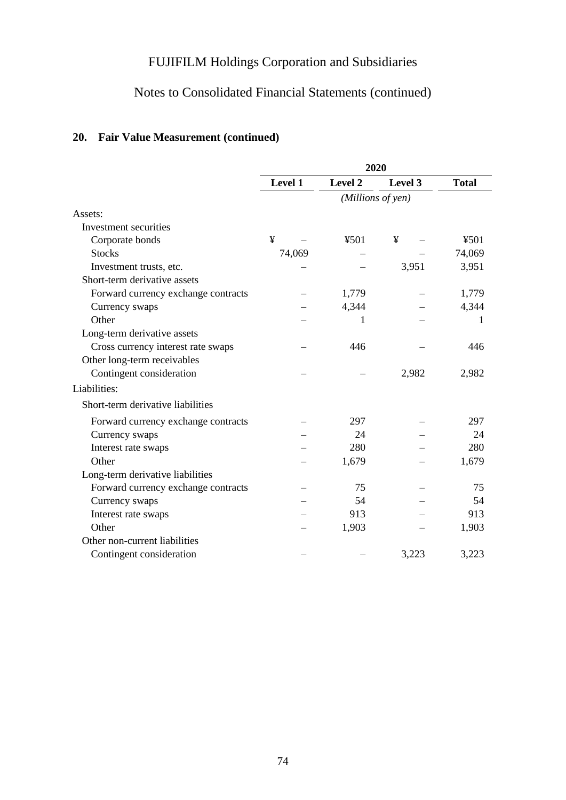# Notes to Consolidated Financial Statements (continued)

# **20. Fair Value Measurement (continued)**

|                                     | 2020    |         |         |              |  |
|-------------------------------------|---------|---------|---------|--------------|--|
|                                     | Level 1 | Level 2 | Level 3 | <b>Total</b> |  |
|                                     |         |         |         |              |  |
| Assets:                             |         |         |         |              |  |
| Investment securities               |         |         |         |              |  |
| Corporate bonds                     | ¥       | 4501    | ¥       | ¥501         |  |
| <b>Stocks</b>                       | 74,069  |         |         | 74,069       |  |
| Investment trusts, etc.             |         |         | 3,951   | 3,951        |  |
| Short-term derivative assets        |         |         |         |              |  |
| Forward currency exchange contracts |         | 1,779   |         | 1,779        |  |
| Currency swaps                      |         | 4,344   |         | 4,344        |  |
| Other                               |         | 1       |         | 1            |  |
| Long-term derivative assets         |         |         |         |              |  |
| Cross currency interest rate swaps  |         | 446     |         | 446          |  |
| Other long-term receivables         |         |         |         |              |  |
| Contingent consideration            |         |         | 2,982   | 2,982        |  |
| Liabilities:                        |         |         |         |              |  |
| Short-term derivative liabilities   |         |         |         |              |  |
| Forward currency exchange contracts |         | 297     |         | 297          |  |
| Currency swaps                      |         | 24      |         | 24           |  |
| Interest rate swaps                 |         | 280     |         | 280          |  |
| Other                               |         | 1,679   |         | 1,679        |  |
| Long-term derivative liabilities    |         |         |         |              |  |
| Forward currency exchange contracts |         | 75      |         | 75           |  |
| Currency swaps                      |         | 54      |         | 54           |  |
| Interest rate swaps                 |         | 913     |         | 913          |  |
| Other                               |         | 1,903   |         | 1,903        |  |
| Other non-current liabilities       |         |         |         |              |  |
| Contingent consideration            |         |         | 3,223   | 3,223        |  |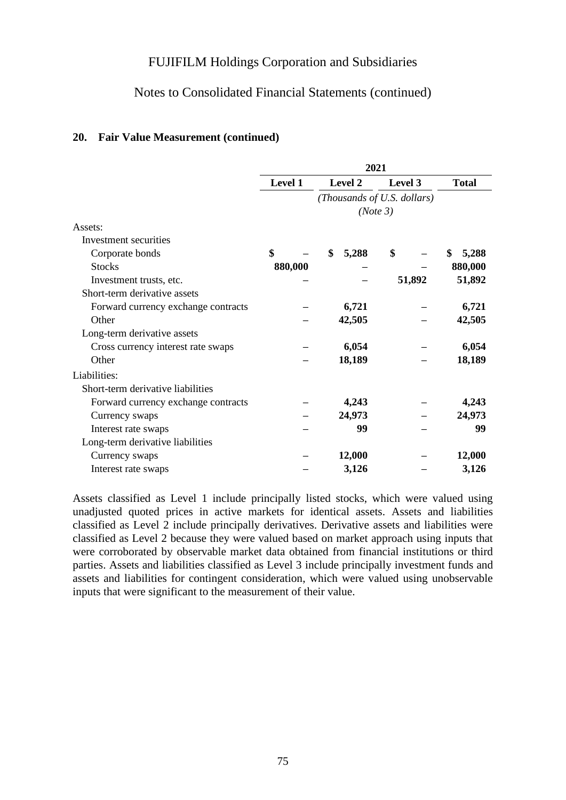# Notes to Consolidated Financial Statements (continued)

#### **20. Fair Value Measurement (continued)**

|                                     | 2021    |                                         |         |              |
|-------------------------------------|---------|-----------------------------------------|---------|--------------|
|                                     | Level 1 | Level 2                                 | Level 3 | <b>Total</b> |
|                                     |         | (Thousands of U.S. dollars)<br>(Note 3) |         |              |
| Assets:                             |         |                                         |         |              |
| Investment securities               |         |                                         |         |              |
| Corporate bonds                     | \$      | \$<br>5,288                             | \$      | \$<br>5,288  |
| <b>Stocks</b>                       | 880,000 |                                         |         | 880,000      |
| Investment trusts, etc.             |         |                                         | 51,892  | 51,892       |
| Short-term derivative assets        |         |                                         |         |              |
| Forward currency exchange contracts |         | 6,721                                   |         | 6,721        |
| Other                               |         | 42,505                                  |         | 42,505       |
| Long-term derivative assets         |         |                                         |         |              |
| Cross currency interest rate swaps  |         | 6,054                                   |         | 6,054        |
| Other                               |         | 18,189                                  |         | 18,189       |
| Liabilities:                        |         |                                         |         |              |
| Short-term derivative liabilities   |         |                                         |         |              |
| Forward currency exchange contracts |         | 4,243                                   |         | 4,243        |
| Currency swaps                      |         | 24,973                                  |         | 24,973       |
| Interest rate swaps                 |         | 99                                      |         | 99           |
| Long-term derivative liabilities    |         |                                         |         |              |
| Currency swaps                      |         | 12,000                                  |         | 12,000       |
| Interest rate swaps                 |         | 3,126                                   |         | 3,126        |

Assets classified as Level 1 include principally listed stocks, which were valued using unadjusted quoted prices in active markets for identical assets. Assets and liabilities classified as Level 2 include principally derivatives. Derivative assets and liabilities were classified as Level 2 because they were valued based on market approach using inputs that were corroborated by observable market data obtained from financial institutions or third parties. Assets and liabilities classified as Level 3 include principally investment funds and assets and liabilities for contingent consideration, which were valued using unobservable inputs that were significant to the measurement of their value.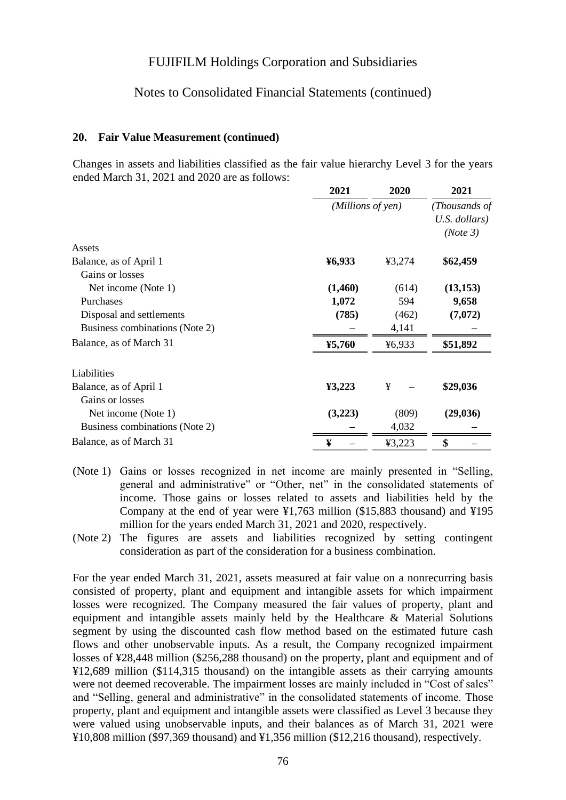#### Notes to Consolidated Financial Statements (continued)

#### **20. Fair Value Measurement (continued)**

Changes in assets and liabilities classified as the fair value hierarchy Level 3 for the years ended March 31, 2021 and 2020 are as follows:

|                                | 2021              | 2020   | 2021                                      |
|--------------------------------|-------------------|--------|-------------------------------------------|
|                                | (Millions of yen) |        | Thousands of<br>U.S. dollars)<br>(Note 3) |
| Assets                         |                   |        |                                           |
| Balance, as of April 1         | ¥6,933            | ¥3,274 | \$62,459                                  |
| Gains or losses                |                   |        |                                           |
| Net income (Note 1)            | (1,460)           | (614)  | (13, 153)                                 |
| Purchases                      | 1,072             | 594    | 9,658                                     |
| Disposal and settlements       | (785)             | (462)  | (7,072)                                   |
| Business combinations (Note 2) |                   | 4,141  |                                           |
| Balance, as of March 31        | 45,760            | ¥6,933 | \$51,892                                  |
| Liabilities                    |                   |        |                                           |
| Balance, as of April 1         | 43,223            | ¥      | \$29,036                                  |
| Gains or losses                |                   |        |                                           |
| Net income (Note 1)            | (3,223)           | (809)  | (29, 036)                                 |
| Business combinations (Note 2) |                   | 4,032  |                                           |
| Balance, as of March 31        | ¥                 | ¥3,223 | \$                                        |

(Note 1) Gains or losses recognized in net income are mainly presented in "Selling, general and administrative" or "Other, net" in the consolidated statements of income. Those gains or losses related to assets and liabilities held by the Company at the end of year were ¥1,763 million (\$15,883 thousand) and ¥195 million for the years ended March 31, 2021 and 2020, respectively.

(Note 2) The figures are assets and liabilities recognized by setting contingent consideration as part of the consideration for a business combination.

For the year ended March 31, 2021, assets measured at fair value on a nonrecurring basis consisted of property, plant and equipment and intangible assets for which impairment losses were recognized. The Company measured the fair values of property, plant and equipment and intangible assets mainly held by the Healthcare & Material Solutions segment by using the discounted cash flow method based on the estimated future cash flows and other unobservable inputs. As a result, the Company recognized impairment losses of ¥28,448 million (\$256,288 thousand) on the property, plant and equipment and of ¥12,689 million (\$114,315 thousand) on the intangible assets as their carrying amounts were not deemed recoverable. The impairment losses are mainly included in "Cost of sales" and "Selling, general and administrative" in the consolidated statements of income. Those property, plant and equipment and intangible assets were classified as Level 3 because they were valued using unobservable inputs, and their balances as of March 31, 2021 were ¥10,808 million (\$97,369 thousand) and ¥1,356 million (\$12,216 thousand), respectively.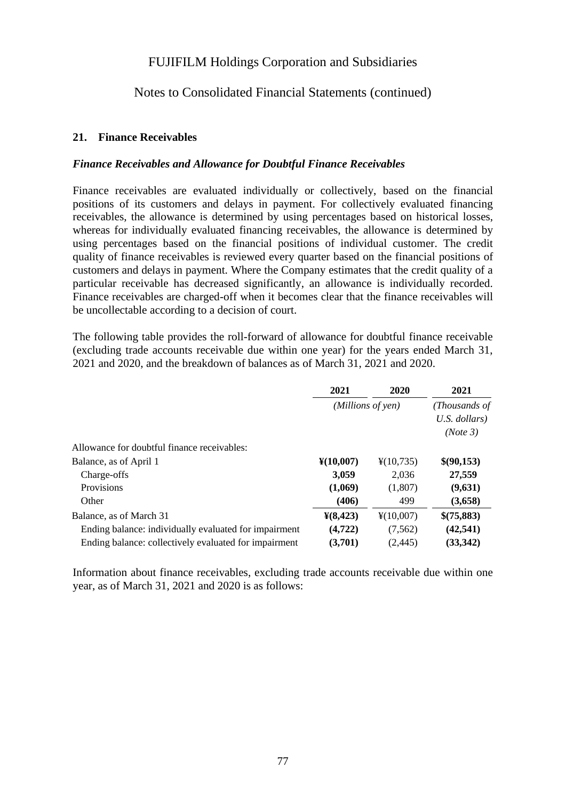## Notes to Consolidated Financial Statements (continued)

#### **21. Finance Receivables**

#### *Finance Receivables and Allowance for Doubtful Finance Receivables*

Finance receivables are evaluated individually or collectively, based on the financial positions of its customers and delays in payment. For collectively evaluated financing receivables, the allowance is determined by using percentages based on historical losses, whereas for individually evaluated financing receivables, the allowance is determined by using percentages based on the financial positions of individual customer. The credit quality of finance receivables is reviewed every quarter based on the financial positions of customers and delays in payment. Where the Company estimates that the credit quality of a particular receivable has decreased significantly, an allowance is individually recorded. Finance receivables are charged-off when it becomes clear that the finance receivables will be uncollectable according to a decision of court.

The following table provides the roll-forward of allowance for doubtful finance receivable (excluding trade accounts receivable due within one year) for the years ended March 31, 2021 and 2020, and the breakdown of balances as of March 31, 2021 and 2020.

|                                                       | 2021                             | 2020                             | 2021                           |
|-------------------------------------------------------|----------------------------------|----------------------------------|--------------------------------|
|                                                       | (Millions of yen)                |                                  | (Thousands of<br>U.S. dollars) |
|                                                       |                                  |                                  | (Note 3)                       |
| Allowance for doubtful finance receivables:           |                                  |                                  |                                |
| Balance, as of April 1                                | $\frac{\text{V}}{\text{10,007}}$ | $\frac{1}{2}(10, 735)$           | \$(90,153)                     |
| Charge-offs                                           | 3,059                            | 2.036                            | 27,559                         |
| <b>Provisions</b>                                     | (1,069)                          | (1,807)                          | (9,631)                        |
| Other                                                 | (406)                            | 499                              | (3,658)                        |
| Balance, as of March 31                               | $\frac{1}{2}(8,423)$             | $\frac{\text{V}}{\text{10,007}}$ | \$(75,883)                     |
| Ending balance: individually evaluated for impairment | (4, 722)                         | (7, 562)                         | (42, 541)                      |
| Ending balance: collectively evaluated for impairment | (3,701)                          | (2.445)                          | (33,342)                       |

Information about finance receivables, excluding trade accounts receivable due within one year, as of March 31, 2021 and 2020 is as follows: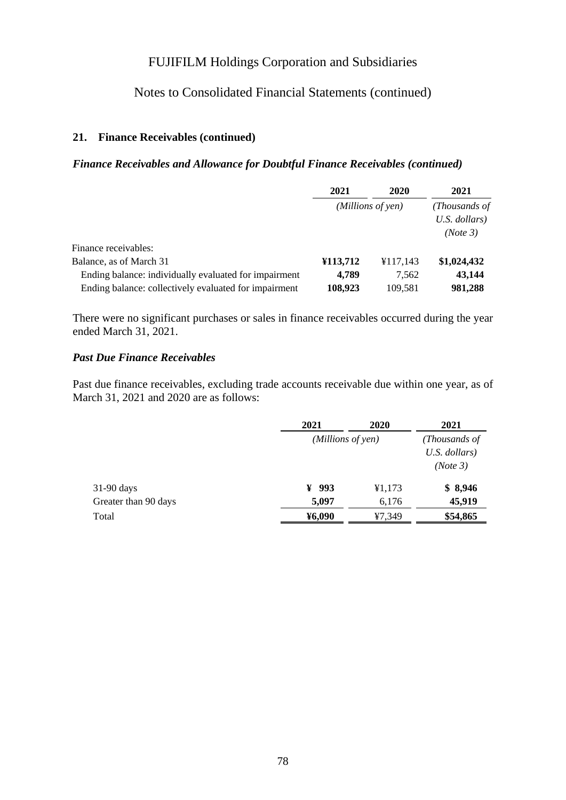# Notes to Consolidated Financial Statements (continued)

#### **21. Finance Receivables (continued)**

#### *Finance Receivables and Allowance for Doubtful Finance Receivables (continued)*

|                                                       | 2021     | 2020              | 2021                                       |
|-------------------------------------------------------|----------|-------------------|--------------------------------------------|
|                                                       |          | (Millions of yen) | (Thousands of<br>U.S. dollars)<br>(Note 3) |
| Finance receivables:                                  |          |                   |                                            |
| Balance, as of March 31                               | ¥113,712 | ¥117,143          | \$1,024,432                                |
| Ending balance: individually evaluated for impairment | 4.789    | 7.562             | 43,144                                     |
| Ending balance: collectively evaluated for impairment | 108,923  | 109,581           | 981,288                                    |

There were no significant purchases or sales in finance receivables occurred during the year ended March 31, 2021.

#### *Past Due Finance Receivables*

Past due finance receivables, excluding trade accounts receivable due within one year, as of March 31, 2021 and 2020 are as follows:

|                      | 2021              | 2020   | 2021                                       |
|----------------------|-------------------|--------|--------------------------------------------|
|                      | (Millions of yen) |        | (Thousands of<br>U.S. dollars)<br>(Note 3) |
| 31-90 days           | $\frac{1}{2}$ 993 | ¥1,173 | \$8,946                                    |
| Greater than 90 days | 5,097             | 6,176  | 45,919                                     |
| Total                | ¥6,090            | ¥7,349 | \$54,865                                   |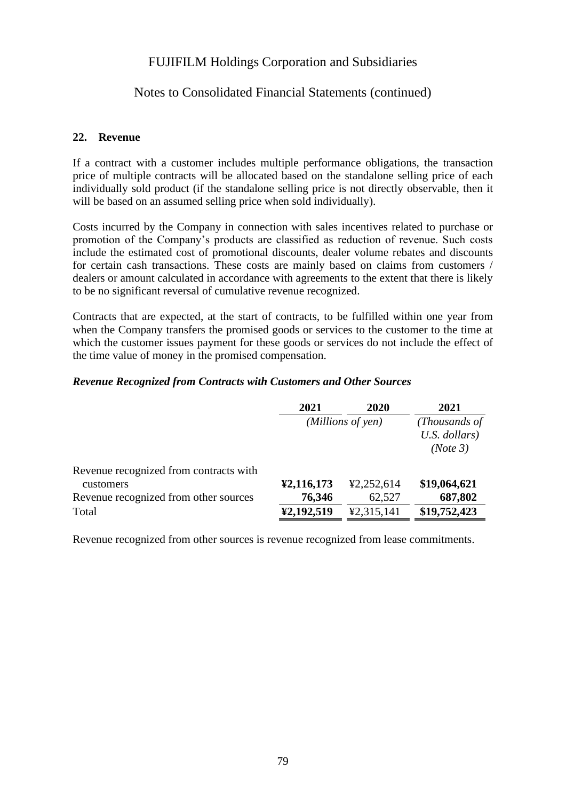## Notes to Consolidated Financial Statements (continued)

#### **22. Revenue**

If a contract with a customer includes multiple performance obligations, the transaction price of multiple contracts will be allocated based on the standalone selling price of each individually sold product (if the standalone selling price is not directly observable, then it will be based on an assumed selling price when sold individually).

Costs incurred by the Company in connection with sales incentives related to purchase or promotion of the Company's products are classified as reduction of revenue. Such costs include the estimated cost of promotional discounts, dealer volume rebates and discounts for certain cash transactions. These costs are mainly based on claims from customers / dealers or amount calculated in accordance with agreements to the extent that there is likely to be no significant reversal of cumulative revenue recognized.

Contracts that are expected, at the start of contracts, to be fulfilled within one year from when the Company transfers the promised goods or services to the customer to the time at which the customer issues payment for these goods or services do not include the effect of the time value of money in the promised compensation.

#### *Revenue Recognized from Contracts with Customers and Other Sources*

|                                                     | 2021       | 2020              | 2021                      |
|-----------------------------------------------------|------------|-------------------|---------------------------|
|                                                     |            | (Millions of yen) | (Thousands of             |
|                                                     |            |                   | U.S. dollars)<br>(Note 3) |
| Revenue recognized from contracts with<br>customers | 42,116,173 | ¥2,252,614        | \$19,064,621              |
| Revenue recognized from other sources               | 76,346     | 62,527            | 687,802                   |
| Total                                               | ¥2,192,519 | ¥2,315,141        | \$19,752,423              |

Revenue recognized from other sources is revenue recognized from lease commitments.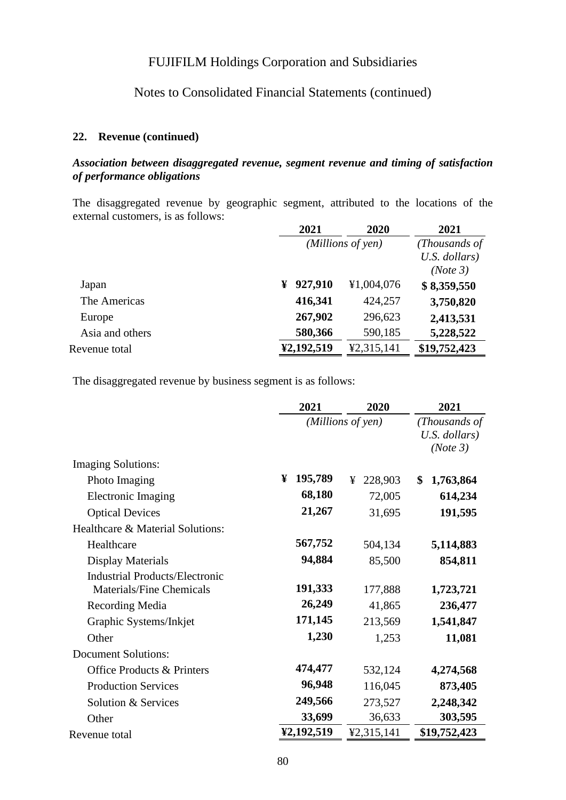# Notes to Consolidated Financial Statements (continued)

#### **22. Revenue (continued)**

#### *Association between disaggregated revenue, segment revenue and timing of satisfaction of performance obligations*

The disaggregated revenue by geographic segment, attributed to the locations of the external customers, is as follows:

|                 | 2021         | 2020              | 2021          |
|-----------------|--------------|-------------------|---------------|
|                 |              | (Millions of yen) |               |
|                 |              |                   | U.S. dollars) |
|                 |              |                   | (Note 3)      |
| Japan           | 927,910<br>¥ | ¥1,004,076        | \$8,359,550   |
| The Americas    | 416,341      | 424,257           | 3,750,820     |
| Europe          | 267,902      | 296,623           | 2,413,531     |
| Asia and others | 580,366      | 590,185           | 5,228,522     |
| Revenue total   | ¥2,192,519   | ¥2,315,141        | \$19,752,423  |

The disaggregated revenue by business segment is as follows:

|                                                                          | 2021         | 2020              | 2021                                       |
|--------------------------------------------------------------------------|--------------|-------------------|--------------------------------------------|
|                                                                          |              | (Millions of yen) | (Thousands of<br>U.S. dollars)<br>(Note 3) |
| <b>Imaging Solutions:</b>                                                |              |                   |                                            |
| Photo Imaging                                                            | 195,789<br>¥ | 228,903<br>¥      | 1,763,864<br>\$                            |
| <b>Electronic Imaging</b>                                                | 68,180       | 72,005            | 614,234                                    |
| <b>Optical Devices</b>                                                   | 21,267       | 31,695            | 191,595                                    |
| Healthcare & Material Solutions:                                         |              |                   |                                            |
| Healthcare                                                               | 567,752      | 504,134           | 5,114,883                                  |
| Display Materials                                                        | 94,884       | 85,500            | 854,811                                    |
| <b>Industrial Products/Electronic</b><br><b>Materials/Fine Chemicals</b> | 191,333      | 177,888           | 1,723,721                                  |
| Recording Media                                                          | 26,249       | 41,865            | 236,477                                    |
| Graphic Systems/Inkjet                                                   | 171,145      | 213,569           | 1,541,847                                  |
| Other                                                                    | 1,230        | 1,253             | 11,081                                     |
| <b>Document Solutions:</b>                                               |              |                   |                                            |
| <b>Office Products &amp; Printers</b>                                    | 474,477      | 532,124           | 4,274,568                                  |
| <b>Production Services</b>                                               | 96,948       | 116,045           | 873,405                                    |
| Solution & Services                                                      | 249,566      | 273,527           | 2,248,342                                  |
| Other                                                                    | 33,699       | 36,633            | 303,595                                    |
| Revenue total                                                            | ¥2,192,519   | ¥2,315,141        | \$19,752,423                               |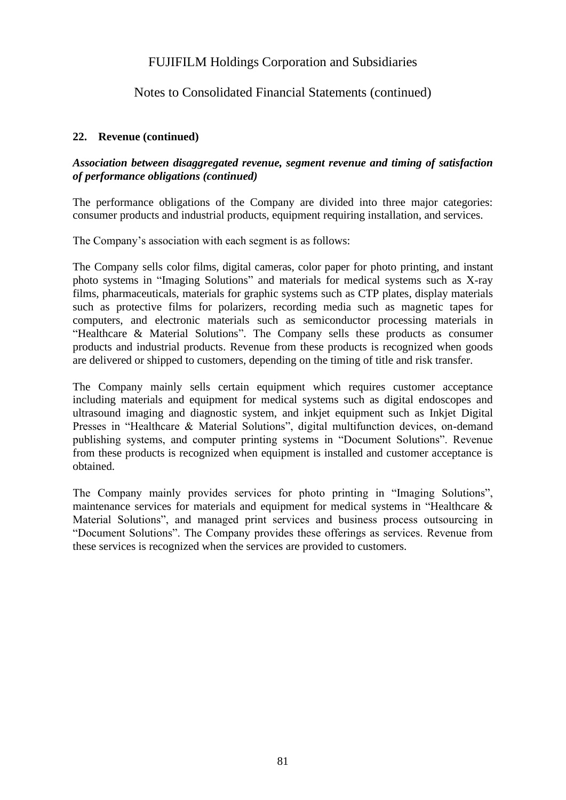## Notes to Consolidated Financial Statements (continued)

## **22. Revenue (continued)**

### *Association between disaggregated revenue, segment revenue and timing of satisfaction of performance obligations (continued)*

The performance obligations of the Company are divided into three major categories: consumer products and industrial products, equipment requiring installation, and services.

The Company's association with each segment is as follows:

The Company sells color films, digital cameras, color paper for photo printing, and instant photo systems in "Imaging Solutions" and materials for medical systems such as X-ray films, pharmaceuticals, materials for graphic systems such as CTP plates, display materials such as protective films for polarizers, recording media such as magnetic tapes for computers, and electronic materials such as semiconductor processing materials in "Healthcare & Material Solutions". The Company sells these products as consumer products and industrial products. Revenue from these products is recognized when goods are delivered or shipped to customers, depending on the timing of title and risk transfer.

The Company mainly sells certain equipment which requires customer acceptance including materials and equipment for medical systems such as digital endoscopes and ultrasound imaging and diagnostic system, and inkjet equipment such as Inkjet Digital Presses in "Healthcare & Material Solutions", digital multifunction devices, on-demand publishing systems, and computer printing systems in "Document Solutions". Revenue from these products is recognized when equipment is installed and customer acceptance is obtained.

The Company mainly provides services for photo printing in "Imaging Solutions", maintenance services for materials and equipment for medical systems in "Healthcare & Material Solutions", and managed print services and business process outsourcing in "Document Solutions". The Company provides these offerings as services. Revenue from these services is recognized when the services are provided to customers.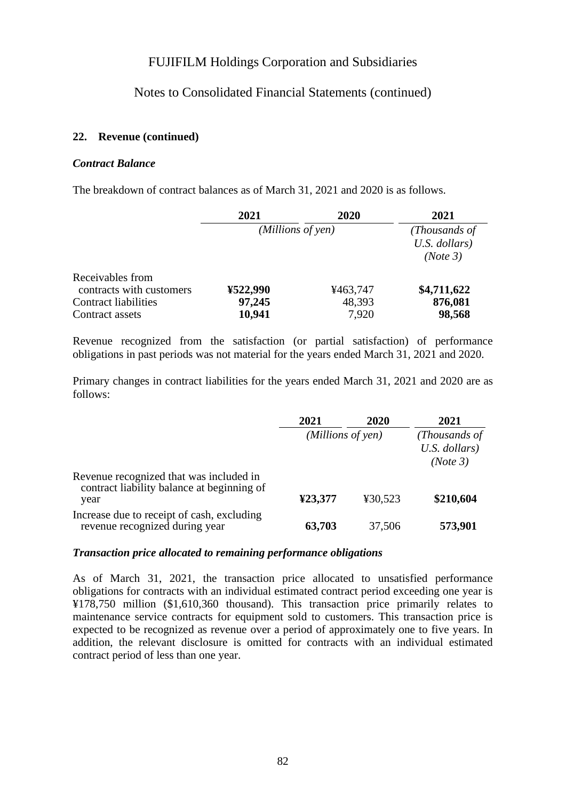## Notes to Consolidated Financial Statements (continued)

#### **22. Revenue (continued)**

#### *Contract Balance*

The breakdown of contract balances as of March 31, 2021 and 2020 is as follows.

|                                                                                                | 2021                         | 2020                        | 2021                                       |
|------------------------------------------------------------------------------------------------|------------------------------|-----------------------------|--------------------------------------------|
|                                                                                                | (Millions of yen)            |                             | (Thousands of<br>U.S. dollars)<br>(Note 3) |
| Receivables from<br>contracts with customers<br><b>Contract liabilities</b><br>Contract assets | ¥522,990<br>97,245<br>10,941 | ¥463,747<br>48,393<br>7,920 | \$4,711,622<br>876,081<br>98,568           |

Revenue recognized from the satisfaction (or partial satisfaction) of performance obligations in past periods was not material for the years ended March 31, 2021 and 2020.

Primary changes in contract liabilities for the years ended March 31, 2021 and 2020 are as follows:

|                                                                                               | 2021              | 2020    | 2021                                       |
|-----------------------------------------------------------------------------------------------|-------------------|---------|--------------------------------------------|
|                                                                                               | (Millions of yen) |         | (Thousands of<br>U.S. dollars)<br>(Note 3) |
| Revenue recognized that was included in<br>contract liability balance at beginning of<br>year | ¥23,377           | ¥30,523 | \$210,604                                  |
| Increase due to receipt of cash, excluding<br>revenue recognized during year                  | 63,703            | 37,506  | 573,901                                    |

#### *Transaction price allocated to remaining performance obligations*

As of March 31, 2021, the transaction price allocated to unsatisfied performance obligations for contracts with an individual estimated contract period exceeding one year is ¥178,750 million (\$1,610,360 thousand). This transaction price primarily relates to maintenance service contracts for equipment sold to customers. This transaction price is expected to be recognized as revenue over a period of approximately one to five years. In addition, the relevant disclosure is omitted for contracts with an individual estimated contract period of less than one year.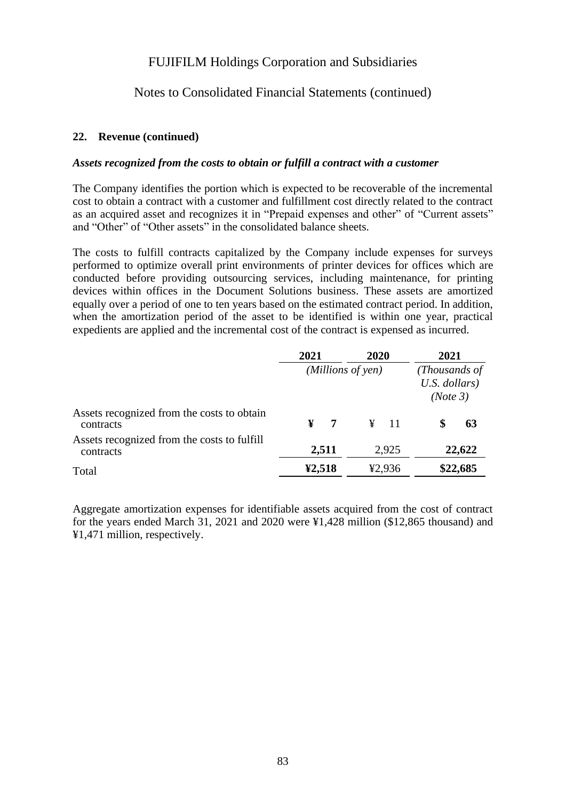## Notes to Consolidated Financial Statements (continued)

#### **22. Revenue (continued)**

#### *Assets recognized from the costs to obtain or fulfill a contract with a customer*

The Company identifies the portion which is expected to be recoverable of the incremental cost to obtain a contract with a customer and fulfillment cost directly related to the contract as an acquired asset and recognizes it in "Prepaid expenses and other" of "Current assets" and "Other" of "Other assets" in the consolidated balance sheets.

The costs to fulfill contracts capitalized by the Company include expenses for surveys performed to optimize overall print environments of printer devices for offices which are conducted before providing outsourcing services, including maintenance, for printing devices within offices in the Document Solutions business. These assets are amortized equally over a period of one to ten years based on the estimated contract period. In addition, when the amortization period of the asset to be identified is within one year, practical expedients are applied and the incremental cost of the contract is expensed as incurred.

|                                                          | 2021   |                   | 2020 |               | 2021                                       |          |
|----------------------------------------------------------|--------|-------------------|------|---------------|--------------------------------------------|----------|
|                                                          |        | (Millions of yen) |      |               | (Thousands of<br>U.S. dollars)<br>(Note 3) |          |
| Assets recognized from the costs to obtain<br>contracts  | ¥      | 7                 |      | $\angle 4$ 11 |                                            | 63       |
| Assets recognized from the costs to fulfill<br>contracts |        | 2,511             |      | 2,925         |                                            | 22,622   |
| Total                                                    | 42,518 |                   |      | ¥2,936        |                                            | \$22,685 |

Aggregate amortization expenses for identifiable assets acquired from the cost of contract for the years ended March 31, 2021 and 2020 were ¥1,428 million (\$12,865 thousand) and ¥1,471 million, respectively.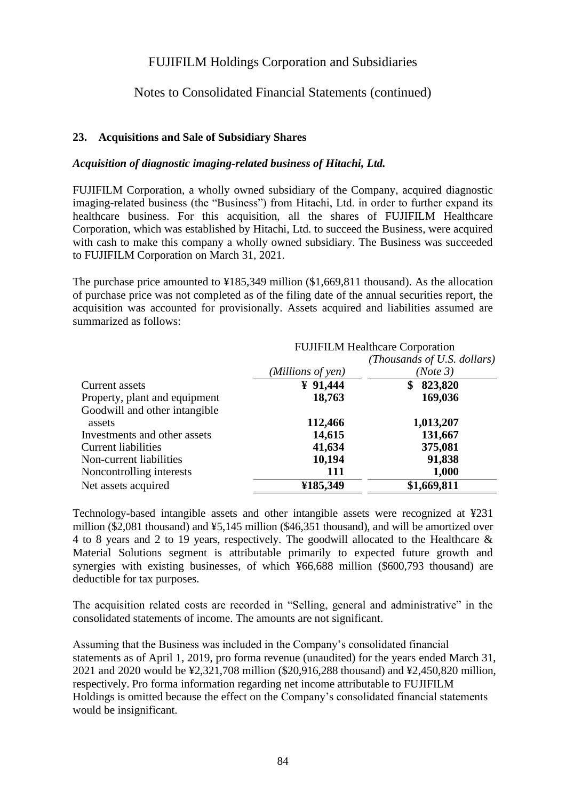Notes to Consolidated Financial Statements (continued)

## **23. Acquisitions and Sale of Subsidiary Shares**

#### *Acquisition of diagnostic imaging-related business of Hitachi, Ltd.*

FUJIFILM Corporation, a wholly owned subsidiary of the Company, acquired diagnostic imaging-related business (the "Business") from Hitachi, Ltd. in order to further expand its healthcare business. For this acquisition, all the shares of FUJIFILM Healthcare Corporation, which was established by Hitachi, Ltd. to succeed the Business, were acquired with cash to make this company a wholly owned subsidiary. The Business was succeeded to FUJIFILM Corporation on March 31, 2021.

The purchase price amounted to ¥185,349 million (\$1,669,811 thousand). As the allocation of purchase price was not completed as of the filing date of the annual securities report, the acquisition was accounted for provisionally. Assets acquired and liabilities assumed are summarized as follows:

|                               | <b>FUJIFILM Healthcare Corporation</b> |                             |  |
|-------------------------------|----------------------------------------|-----------------------------|--|
|                               |                                        | (Thousands of U.S. dollars) |  |
|                               | (Millions of yen)                      | (Note 3)                    |  |
| Current assets                | ¥ $91,444$                             | 823,820<br>\$               |  |
| Property, plant and equipment | 18,763                                 | 169,036                     |  |
| Goodwill and other intangible |                                        |                             |  |
| assets                        | 112,466                                | 1,013,207                   |  |
| Investments and other assets  | 14,615                                 | 131,667                     |  |
| <b>Current liabilities</b>    | 41,634                                 | 375,081                     |  |
| Non-current liabilities       | 10,194                                 | 91,838                      |  |
| Noncontrolling interests      | 111                                    | 1,000                       |  |
| Net assets acquired           | ¥185,349                               | \$1,669,811                 |  |

Technology-based intangible assets and other intangible assets were recognized at ¥231 million (\$2,081 thousand) and ¥5,145 million (\$46,351 thousand), and will be amortized over 4 to 8 years and 2 to 19 years, respectively. The goodwill allocated to the Healthcare & Material Solutions segment is attributable primarily to expected future growth and synergies with existing businesses, of which ¥66,688 million (\$600,793 thousand) are deductible for tax purposes.

The acquisition related costs are recorded in "Selling, general and administrative" in the consolidated statements of income. The amounts are not significant.

Assuming that the Business was included in the Company's consolidated financial statements as of April 1, 2019, pro forma revenue (unaudited) for the years ended March 31, 2021 and 2020 would be ¥2,321,708 million (\$20,916,288 thousand) and ¥2,450,820 million, respectively. Pro forma information regarding net income attributable to FUJIFILM Holdings is omitted because the effect on the Company's consolidated financial statements would be insignificant.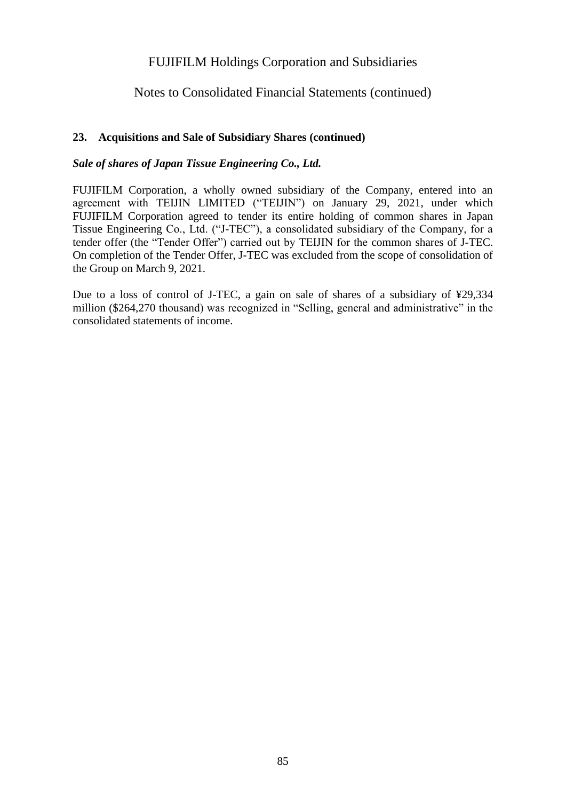## Notes to Consolidated Financial Statements (continued)

## **23. Acquisitions and Sale of Subsidiary Shares (continued)**

## *Sale of shares of Japan Tissue Engineering Co., Ltd.*

FUJIFILM Corporation, a wholly owned subsidiary of the Company, entered into an agreement with TEIJIN LIMITED ("TEIJIN") on January 29, 2021, under which FUJIFILM Corporation agreed to tender its entire holding of common shares in Japan Tissue Engineering Co., Ltd. ("J-TEC"), a consolidated subsidiary of the Company, for a tender offer (the "Tender Offer") carried out by TEIJIN for the common shares of J-TEC. On completion of the Tender Offer, J-TEC was excluded from the scope of consolidation of the Group on March 9, 2021.

Due to a loss of control of J-TEC, a gain on sale of shares of a subsidiary of ¥29,334 million (\$264,270 thousand) was recognized in "Selling, general and administrative" in the consolidated statements of income.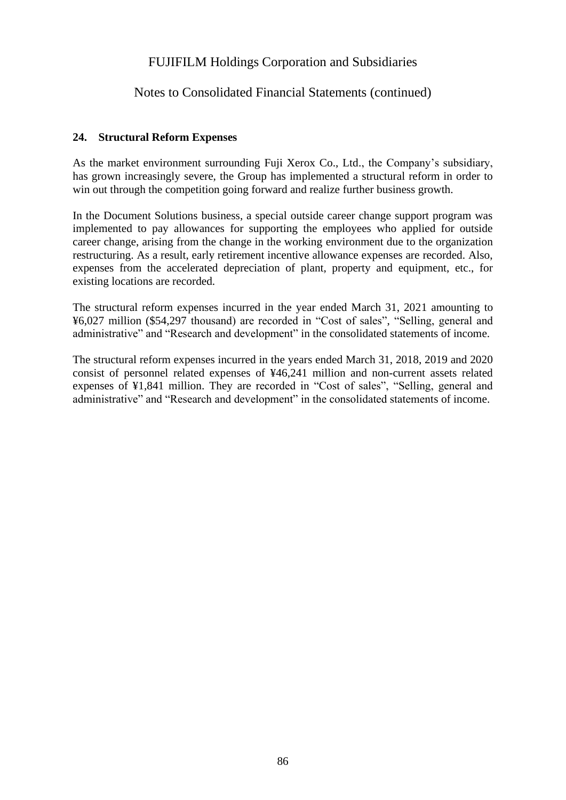## Notes to Consolidated Financial Statements (continued)

## **24. Structural Reform Expenses**

As the market environment surrounding Fuji Xerox Co., Ltd., the Company's subsidiary, has grown increasingly severe, the Group has implemented a structural reform in order to win out through the competition going forward and realize further business growth.

In the Document Solutions business, a special outside career change support program was implemented to pay allowances for supporting the employees who applied for outside career change, arising from the change in the working environment due to the organization restructuring. As a result, early retirement incentive allowance expenses are recorded. Also, expenses from the accelerated depreciation of plant, property and equipment, etc., for existing locations are recorded.

The structural reform expenses incurred in the year ended March 31, 2021 amounting to ¥6,027 million (\$54,297 thousand) are recorded in "Cost of sales", "Selling, general and administrative" and "Research and development" in the consolidated statements of income.

The structural reform expenses incurred in the years ended March 31, 2018, 2019 and 2020 consist of personnel related expenses of ¥46,241 million and non-current assets related expenses of ¥1,841 million. They are recorded in "Cost of sales", "Selling, general and administrative" and "Research and development" in the consolidated statements of income.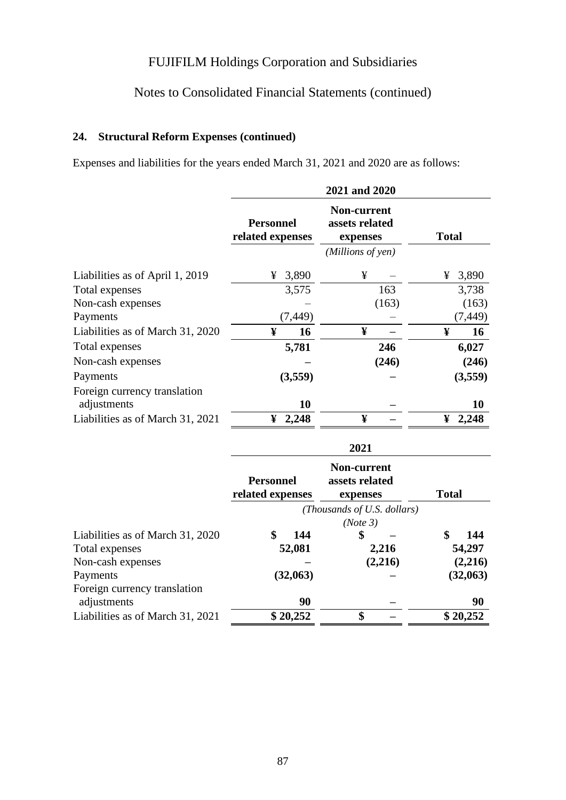# Notes to Consolidated Financial Statements (continued)

## **24. Structural Reform Expenses (continued)**

Expenses and liabilities for the years ended March 31, 2021 and 2020 are as follows:

|                                             |                                      | 2021 and 2020                                    |                |
|---------------------------------------------|--------------------------------------|--------------------------------------------------|----------------|
|                                             | <b>Personnel</b><br>related expenses | <b>Non-current</b><br>assets related<br>expenses | <b>Total</b>   |
|                                             |                                      | (Millions of yen)                                |                |
| Liabilities as of April 1, 2019             | 3,890<br>¥                           | ¥                                                | 3,890<br>¥     |
| Total expenses                              | 3,575                                | 163                                              | 3,738          |
| Non-cash expenses                           |                                      | (163)                                            | (163)          |
| Payments                                    | (7, 449)                             |                                                  | (7, 449)       |
| Liabilities as of March 31, 2020            | ¥<br>16                              | ¥                                                | ¥<br><b>16</b> |
| Total expenses                              | 5,781                                | 246                                              | 6,027          |
| Non-cash expenses                           |                                      | (246)                                            | (246)          |
| Payments                                    | (3,559)                              |                                                  | (3,559)        |
| Foreign currency translation<br>adjustments | 10                                   |                                                  | 10             |
| Liabilities as of March 31, 2021            | ¥<br>2,248                           | ¥                                                | ¥<br>2,248     |

|                                  |                                      | 2021                                             |              |
|----------------------------------|--------------------------------------|--------------------------------------------------|--------------|
|                                  | <b>Personnel</b><br>related expenses | <b>Non-current</b><br>assets related<br>expenses | <b>Total</b> |
|                                  |                                      | (Thousands of U.S. dollars)                      |              |
|                                  |                                      | (Note 3)                                         |              |
| Liabilities as of March 31, 2020 | \$<br>144                            | \$                                               | \$<br>144    |
| Total expenses                   | 52,081                               | 2,216                                            | 54,297       |
| Non-cash expenses                |                                      | (2,216)                                          | (2,216)      |
| Payments                         | (32,063)                             |                                                  | (32,063)     |
| Foreign currency translation     |                                      |                                                  |              |
| adjustments                      | 90                                   |                                                  | 90           |
| Liabilities as of March 31, 2021 | \$20,252                             | \$                                               | \$20,252     |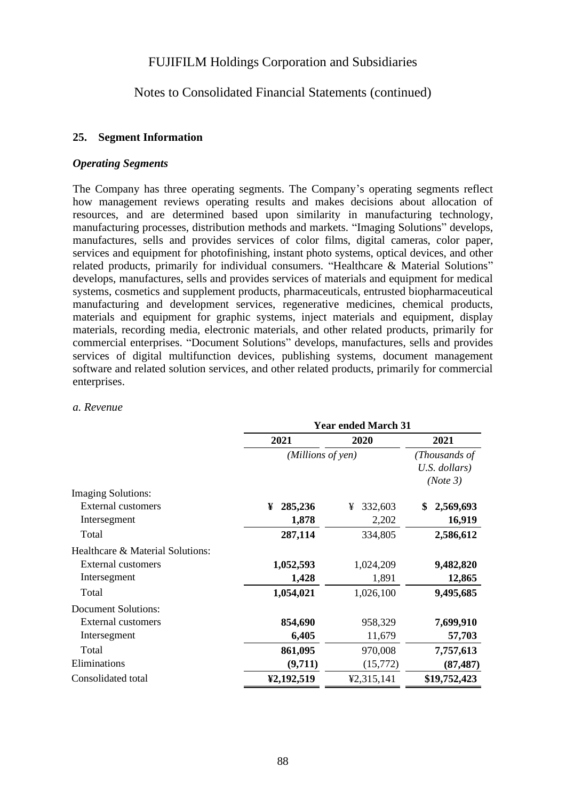#### Notes to Consolidated Financial Statements (continued)

#### **25. Segment Information**

#### *Operating Segments*

The Company has three operating segments. The Company's operating segments reflect how management reviews operating results and makes decisions about allocation of resources, and are determined based upon similarity in manufacturing technology, manufacturing processes, distribution methods and markets. "Imaging Solutions" develops, manufactures, sells and provides services of color films, digital cameras, color paper, services and equipment for photofinishing, instant photo systems, optical devices, and other related products, primarily for individual consumers. "Healthcare & Material Solutions" develops, manufactures, sells and provides services of materials and equipment for medical systems, cosmetics and supplement products, pharmaceuticals, entrusted biopharmaceutical manufacturing and development services, regenerative medicines, chemical products, materials and equipment for graphic systems, inject materials and equipment, display materials, recording media, electronic materials, and other related products, primarily for commercial enterprises. "Document Solutions" develops, manufactures, sells and provides services of digital multifunction devices, publishing systems, document management software and related solution services, and other related products, primarily for commercial enterprises.

#### *a. Revenue*

|                                  | <b>Year ended March 31</b> |              |                                            |
|----------------------------------|----------------------------|--------------|--------------------------------------------|
|                                  | 2021                       | 2020         | 2021                                       |
|                                  | (Millions of yen)          |              | (Thousands of<br>U.S. dollars)<br>(Note 3) |
| <b>Imaging Solutions:</b>        |                            |              |                                            |
| External customers               | ¥<br>285,236               | 332,603<br>¥ | \$<br>2,569,693                            |
| Intersegment                     | 1,878                      | 2,202        | 16,919                                     |
| Total                            | 287,114                    | 334,805      | 2,586,612                                  |
| Healthcare & Material Solutions: |                            |              |                                            |
| External customers               | 1,052,593                  | 1,024,209    | 9,482,820                                  |
| Intersegment                     | 1,428                      | 1,891        | 12,865                                     |
| Total                            | 1,054,021                  | 1,026,100    | 9,495,685                                  |
| Document Solutions:              |                            |              |                                            |
| External customers               | 854,690                    | 958,329      | 7,699,910                                  |
| Intersegment                     | 6,405                      | 11,679       | 57,703                                     |
| Total                            | 861,095                    | 970,008      | 7,757,613                                  |
| Eliminations                     | (9,711)                    | (15,772)     | (87, 487)                                  |
| Consolidated total               | ¥2,192,519                 | ¥2,315,141   | \$19,752,423                               |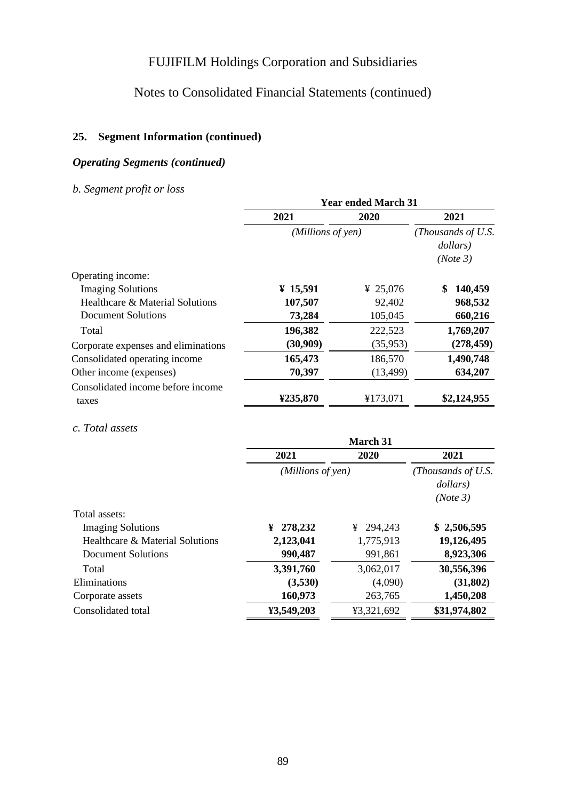# Notes to Consolidated Financial Statements (continued)

## **25. Segment Information (continued)**

## *Operating Segments (continued)*

## *b. Segment profit or loss*

|                                            | <b>Year ended March 31</b> |           |                                            |
|--------------------------------------------|----------------------------|-----------|--------------------------------------------|
|                                            | 2021                       | 2020      | 2021                                       |
|                                            | (Millions of yen)          |           | (Thousands of U.S.<br>dollars)<br>(Note 3) |
| Operating income:                          |                            |           |                                            |
| <b>Imaging Solutions</b>                   | ¥ $15,591$                 | ¥ 25,076  | 140,459<br>\$                              |
| Healthcare & Material Solutions            | 107,507                    | 92,402    | 968,532                                    |
| Document Solutions                         | 73,284                     | 105,045   | 660,216                                    |
| Total                                      | 196,382                    | 222,523   | 1,769,207                                  |
| Corporate expenses and eliminations        | (30,909)                   | (35,953)  | (278, 459)                                 |
| Consolidated operating income              | 165,473                    | 186,570   | 1,490,748                                  |
| Other income (expenses)                    | 70,397                     | (13, 499) | 634,207                                    |
| Consolidated income before income<br>taxes | ¥235,870                   | ¥173,071  | \$2,124,955                                |

*c. Total assets*

|                                 | <b>March 31</b>   |              |                                            |
|---------------------------------|-------------------|--------------|--------------------------------------------|
|                                 | 2021              | 2020         | 2021                                       |
|                                 | (Millions of yen) |              | (Thousands of U.S.<br>dollars)<br>(Note 3) |
| Total assets:                   |                   |              |                                            |
| <b>Imaging Solutions</b>        | 278,232<br>¥      | 294,243<br>¥ | \$2,506,595                                |
| Healthcare & Material Solutions | 2,123,041         | 1,775,913    | 19,126,495                                 |
| Document Solutions              | 990,487           | 991,861      | 8,923,306                                  |
| Total                           | 3,391,760         | 3,062,017    | 30,556,396                                 |
| Eliminations                    | (3,530)           | (4,090)      | (31,802)                                   |
| Corporate assets                | 160,973           | 263,765      | 1,450,208                                  |
| Consolidated total              | ¥3,549,203        | ¥3,321,692   | \$31,974,802                               |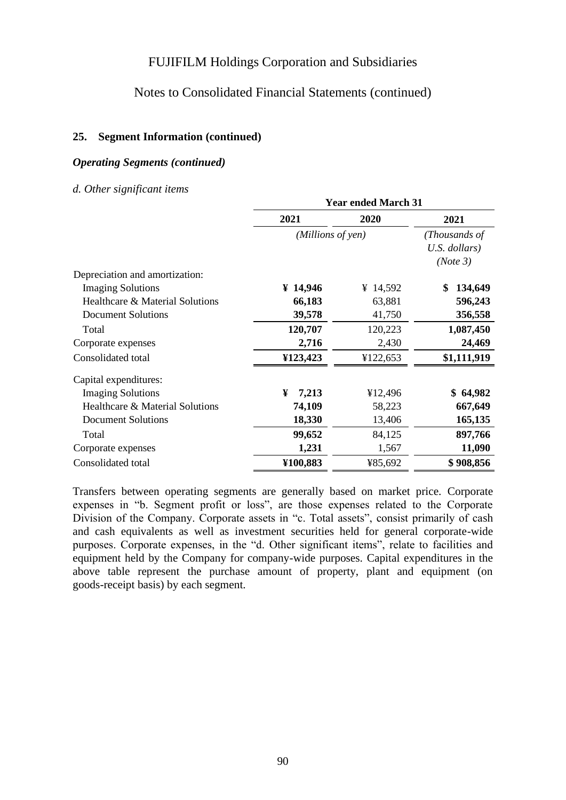## Notes to Consolidated Financial Statements (continued)

#### **25. Segment Information (continued)**

#### *Operating Segments (continued)*

#### *d. Other significant items*

|                                 | <b>Year ended March 31</b> |          |                                            |
|---------------------------------|----------------------------|----------|--------------------------------------------|
|                                 | 2021                       | 2020     | 2021                                       |
|                                 | (Millions of yen)          |          | (Thousands of<br>U.S. dollars)<br>(Note 3) |
| Depreciation and amortization:  |                            |          |                                            |
| <b>Imaging Solutions</b>        | ¥ 14,946                   | ¥ 14,592 | 134,649<br>\$                              |
| Healthcare & Material Solutions | 66,183                     | 63,881   | 596,243                                    |
| <b>Document Solutions</b>       | 39,578                     | 41,750   | 356,558                                    |
| Total                           | 120,707                    | 120,223  | 1,087,450                                  |
| Corporate expenses              | 2,716                      | 2,430    | 24,469                                     |
| Consolidated total              | ¥123,423                   | ¥122,653 | \$1,111,919                                |
| Capital expenditures:           |                            |          |                                            |
| <b>Imaging Solutions</b>        | ¥<br>7,213                 | ¥12,496  | \$64,982                                   |
| Healthcare & Material Solutions | 74,109                     | 58,223   | 667,649                                    |
| Document Solutions              | 18,330                     | 13,406   | 165,135                                    |
| Total                           | 99,652                     | 84,125   | 897,766                                    |
| Corporate expenses              | 1,231                      | 1,567    | 11,090                                     |
| Consolidated total              | ¥100,883                   | ¥85,692  | \$908,856                                  |

Transfers between operating segments are generally based on market price. Corporate expenses in "b. Segment profit or loss", are those expenses related to the Corporate Division of the Company. Corporate assets in "c. Total assets", consist primarily of cash and cash equivalents as well as investment securities held for general corporate-wide purposes. Corporate expenses, in the "d. Other significant items", relate to facilities and equipment held by the Company for company-wide purposes. Capital expenditures in the above table represent the purchase amount of property, plant and equipment (on goods-receipt basis) by each segment.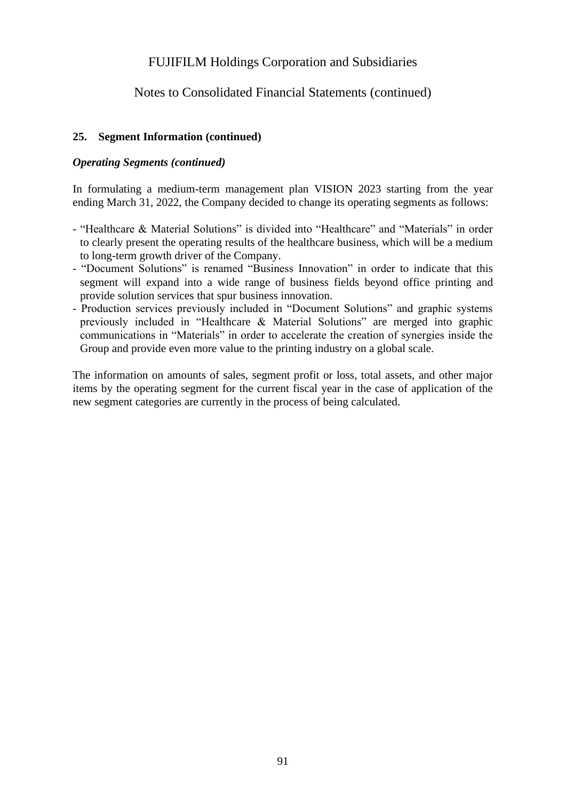## Notes to Consolidated Financial Statements (continued)

## **25. Segment Information (continued)**

#### *Operating Segments (continued)*

In formulating a medium-term management plan VISION 2023 starting from the year ending March 31, 2022, the Company decided to change its operating segments as follows:

- "Healthcare & Material Solutions" is divided into "Healthcare" and "Materials" in order to clearly present the operating results of the healthcare business, which will be a medium to long-term growth driver of the Company.
- "Document Solutions" is renamed "Business Innovation" in order to indicate that this segment will expand into a wide range of business fields beyond office printing and provide solution services that spur business innovation.
- Production services previously included in "Document Solutions" and graphic systems previously included in "Healthcare & Material Solutions" are merged into graphic communications in "Materials" in order to accelerate the creation of synergies inside the Group and provide even more value to the printing industry on a global scale.

The information on amounts of sales, segment profit or loss, total assets, and other major items by the operating segment for the current fiscal year in the case of application of the new segment categories are currently in the process of being calculated.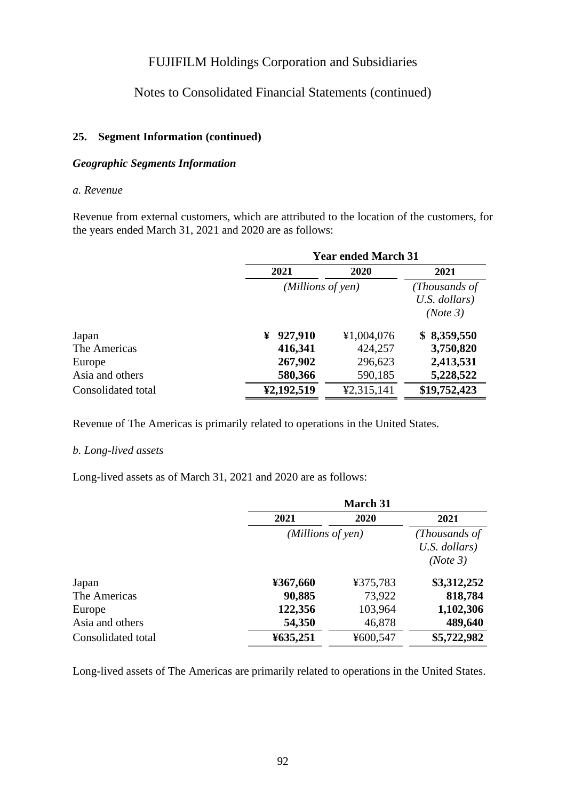# Notes to Consolidated Financial Statements (continued)

#### **25. Segment Information (continued)**

#### *Geographic Segments Information*

#### *a. Revenue*

Revenue from external customers, which are attributed to the location of the customers, for the years ended March 31, 2021 and 2020 are as follows:

|                    | <b>Year ended March 31</b> |            |                                            |  |
|--------------------|----------------------------|------------|--------------------------------------------|--|
|                    | 2021                       | 2020       | 2021                                       |  |
|                    | (Millions of yen)          |            | (Thousands of<br>U.S. dollars)<br>(Note 3) |  |
| Japan              | ¥ $927,910$                | ¥1,004,076 | \$8,359,550                                |  |
| The Americas       | 416,341                    | 424,257    | 3,750,820                                  |  |
| Europe             | 267,902                    | 296,623    | 2,413,531                                  |  |
| Asia and others    | 580,366                    | 590,185    | 5,228,522                                  |  |
| Consolidated total | ¥2,192,519                 | ¥2,315,141 | \$19,752,423                               |  |

Revenue of The Americas is primarily related to operations in the United States.

#### *b. Long-lived assets*

Long-lived assets as of March 31, 2021 and 2020 are as follows:

|                    |                   | <b>March 31</b> |                                            |
|--------------------|-------------------|-----------------|--------------------------------------------|
|                    | 2021              | 2020            | 2021                                       |
|                    | (Millions of yen) |                 | (Thousands of<br>U.S. dollars)<br>(Note 3) |
| Japan              | ¥367,660          | ¥375,783        | \$3,312,252                                |
| The Americas       | 90,885            | 73,922          | 818,784                                    |
| Europe             | 122,356           | 103,964         | 1,102,306                                  |
| Asia and others    | 54,350            | 46,878          | 489,640                                    |
| Consolidated total | ¥635,251          | ¥600,547        | \$5,722,982                                |

Long-lived assets of The Americas are primarily related to operations in the United States.